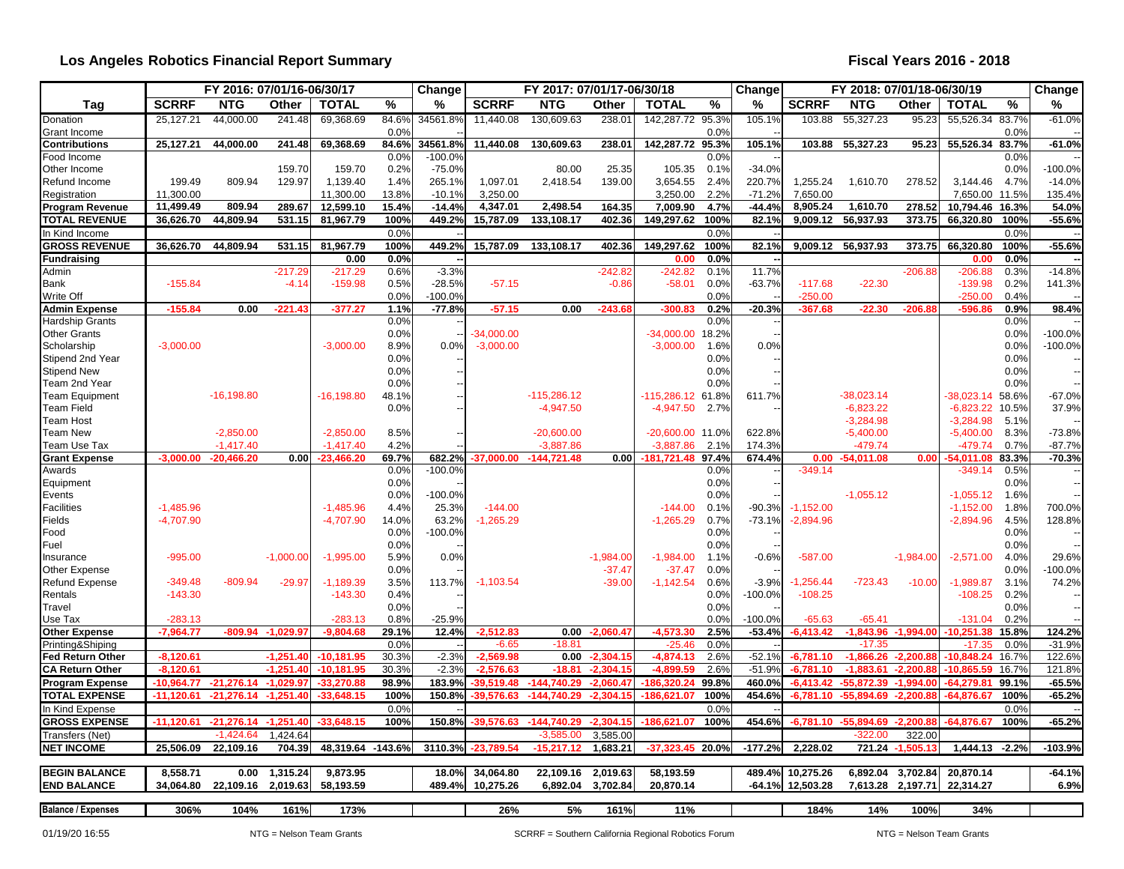### **Los Angeles Robotics Financial Report Summary**

|                                             |              | FY 2016: 07/01/16-06/30/17 |             |                   |               | Change    |                        | FY 2017: 07/01/17-06/30/18 |             |                         |               | Change    | FY 2018: 07/01/18-06/30/19 |                             |                   | Change                         |               |                    |
|---------------------------------------------|--------------|----------------------------|-------------|-------------------|---------------|-----------|------------------------|----------------------------|-------------|-------------------------|---------------|-----------|----------------------------|-----------------------------|-------------------|--------------------------------|---------------|--------------------|
| Tag                                         | <b>SCRRF</b> | <b>NTG</b>                 | Other       | <b>TOTAL</b>      | %             | %         | <b>SCRRF</b>           | <b>NTG</b>                 | Other       | <b>TOTAL</b>            | $\%$          | %         | <b>SCRRF</b>               | <b>NTG</b>                  | Other             | <b>TOTAL</b>                   | %             | %                  |
| Donation<br>Grant Income                    | 25.127.21    | 44,000.00                  | 241.48      | 69,368.69         | 84.6%<br>0.0% | 34561.89  | 11,440.08              | 130,609.63                 | 238.01      | 142,287.72 95.3%        | 0.0%          | 105.1%    | 103.88                     | 55,327.23                   | 95.23             | 55,526.34                      | 83.7%<br>0.0% | $-61.0%$           |
| <b>Contributions</b>                        | 25.127.21    | 44,000.00                  | 241.48      | 69,368.69         | 84.6%         | 34561.8%  | 11,440.08              | 130,609.63                 | 238.01      | 142,287.72 95.3%        |               | 105.1%    | 103.88                     | 55,327.23                   | 95.23             | 55,526.34 83.7%                |               | $-61.0%$           |
| Food Income                                 |              |                            |             |                   | 0.0%          | $-100.0%$ |                        |                            |             |                         | 0.0%          |           |                            |                             |                   |                                | 0.0%          |                    |
| Other Income                                |              |                            | 159.70      | 159.70            | 0.2%          | $-75.0%$  |                        | 80.00                      | 25.35       | 105.35                  | 0.1%          | $-34.0%$  |                            |                             |                   |                                | 0.0%          | $-100.0%$          |
| Refund Income                               | 199.49       | 809.94                     | 129.97      | 1,139.40          | 1.4%          | 265.1%    | 1.097.01               | 2.418.54                   | 139.00      | 3,654.55                | 2.4%          | 220.7%    | 1,255.24                   | 1,610.70                    | 278.52            | 3.144.46 4.7%                  |               | $-14.0%$           |
| Registration                                | 11,300.00    |                            |             | 11,300.00         | 13.8%         | $-10.1%$  | 3,250.00               |                            |             | 3,250.00                | 2.2%          | $-71.2%$  | 7,650.00                   |                             |                   | 7,650.00 11.5%                 |               | 135.4%             |
| <b>Program Revenue</b>                      | 11,499.49    | 809.94                     | 289.67      | 12,599.10         | 15.4%         | $-14.4%$  | 4,347.01               | 2,498.54                   | 164.35      | 7,009.90                | 4.7%          | $-44.4%$  | 8,905.24                   | 1,610.70                    | 278.52            | 10,794.46 16.3%                |               | 54.0%              |
| <b>TOTAL REVENUE</b>                        | 36,626.70    | 44,809.94                  | 531.15      | 81,967.79         | 100%          | 449.2%    | 15,787.09              | 133,108.17                 | 402.36      | 149,297.62              | 100%          | 82.1%     | 9,009.12                   | 56,937.93                   | 373.75            | 66,320.80                      | 100%          | $-55.6%$           |
| In Kind Income                              |              |                            |             |                   | 0.0%          |           |                        |                            |             |                         | 0.0%          |           |                            |                             |                   |                                | 0.0%          |                    |
| <b>GROSS REVENUE</b>                        | 36,626.70    | 44,809.94                  | 531.15      | 81,967.79         | 100%          | 449.2%    | 15,787.09              | 133,108.17                 | 402.36      | 149,297.62              | 100%          | 82.1%     | 9,009.12                   | 56,937.93                   | 373.75            | 66,320.80                      | 100%          | $-55.6%$           |
| Fundraising                                 |              |                            |             | 0.00              | 0.0%          |           |                        |                            |             | 0.00                    | 0.0%          |           |                            |                             |                   | 0.00                           | 0.0%          |                    |
| Admin                                       |              |                            | $-217.29$   | $-217.29$         | 0.6%          | $-3.3%$   |                        |                            | $-242.82$   | $-242.82$               | 0.1%          | 11.7%     |                            |                             | $-206.88$         | $-206.88$                      | 0.3%          | $-14.8%$           |
| <b>Bank</b>                                 | $-155.84$    |                            | $-4.14$     | $-159.98$         | 0.5%          | $-28.5%$  | $-57.15$               |                            | $-0.86$     | $-58.01$                | 0.0%          | $-63.7%$  | $-117.68$                  | $-22.30$                    |                   | $-139.98$                      | 0.2%          | 141.3%             |
| Write Off                                   |              |                            |             |                   | 0.0%          | $-100.0%$ |                        |                            |             |                         | 0.0%          |           | $-250.00$                  |                             |                   | $-250.00$                      | 0.4%          |                    |
| <b>Admin Expense</b>                        | $-155.84$    | 0.00                       | $-221.43$   | $-377.27$         | 1.1%          | $-77.8%$  | $-57.15$               | 0.00                       | $-243.68$   | $-300.83$               | 0.2%          | $-20.3%$  | $-367.68$                  | $-22.30$                    | $-206.8$          | -596.86                        | 0.9%          | 98.4%              |
| <b>Hardship Grants</b>                      |              |                            |             |                   | 0.0%          |           |                        |                            |             |                         | 0.0%          |           |                            |                             |                   |                                | 0.0%          |                    |
| <b>Other Grants</b>                         |              |                            |             |                   | 0.0%          |           | $-34.000.00$           |                            |             | $-34,000.00$            | 18.2%         |           |                            |                             |                   |                                | 0.0%          | $-100.0%$          |
| Scholarship                                 | $-3,000.00$  |                            |             | $-3.000.00$       | 8.9%          | 0.0%      | $-3,000.00$            |                            |             | $-3,000.00$             | 1.6%          | 0.0%      |                            |                             |                   |                                | 0.0%          | $-100.0%$          |
| Stipend 2nd Year                            |              |                            |             |                   | 0.0%          |           |                        |                            |             |                         | 0.0%          |           |                            |                             |                   |                                | 0.0%          |                    |
| <b>Stipend New</b>                          |              |                            |             |                   | 0.0%          |           |                        |                            |             |                         | 0.0%          |           |                            |                             |                   |                                | 0.0%          |                    |
| Team 2nd Year                               |              |                            |             |                   | 0.0%          |           |                        | $-115.286.12$              |             |                         | 0.0%          |           |                            |                             |                   |                                | 0.0%          |                    |
| <b>Team Equipment</b>                       |              | $-16,198.80$               |             | $-16,198.80$      | 48.1%<br>0.0% |           |                        |                            |             | $-115,286.12$           | 61.8%<br>2.7% | 611.7%    |                            | $-38,023.14$<br>$-6,823.22$ |                   | $-38,023.14$                   | 58.6%         | $-67.0%$<br>37.9%  |
| <b>Team Field</b><br><b>Team Host</b>       |              |                            |             |                   |               |           |                        | $-4,947.50$                |             | $-4,947.50$             |               |           |                            | $-3,284.98$                 |                   | -6,823.22 10.5%<br>$-3,284.98$ | 5.1%          |                    |
| Team New                                    |              | $-2,850.00$                |             | $-2,850.00$       | 8.5%          |           |                        | $-20,600.00$               |             | $-20,600.00$            | 11.0%         | 622.8%    |                            | $-5,400.00$                 |                   | $-5,400.00$                    | 8.3%          | $-73.8%$           |
| Team Use Tax                                |              | $-1,417.40$                |             | $-1,417.40$       | 4.2%          |           |                        | $-3,887.86$                |             | $-3.887.86$             | 2.1%          | 174.3%    |                            | $-479.74$                   |                   | -479.74                        | 0.7%          | $-87.7%$           |
| <b>Grant Expense</b>                        | $-3.000.00$  | $-20.466.20$               | 0.00        | $-23,466.20$      | 69.7%         | 682.2%    | $-37.000.00$           | $-144,721.48$              | 0.00        | $-181,721.48$           | 97.4%         | 674.4%    | 0.00                       | $-54.011.08$                | 0.00              | 4.011.08                       | 83.3%         | $-70.3%$           |
| Awards                                      |              |                            |             |                   | 0.0%          | $-100.0%$ |                        |                            |             |                         | 0.0%          |           | $-349.14$                  |                             |                   | $-349.14$                      | 0.5%          |                    |
| Equipment                                   |              |                            |             |                   | 0.0%          |           |                        |                            |             |                         | 0.0%          |           |                            |                             |                   |                                | 0.0%          |                    |
| Events                                      |              |                            |             |                   | 0.0%          | $-100.0%$ |                        |                            |             |                         | 0.0%          |           |                            | $-1,055.12$                 |                   | $-1,055.12$                    | 1.6%          |                    |
| <b>Facilities</b>                           | $-1,485.96$  |                            |             | $-1,485.96$       | 4.4%          | 25.3%     | $-144.00$              |                            |             | $-144.00$               | 0.1%          | $-90.3%$  | $-1,152.00$                |                             |                   | $-1,152.00$                    | 1.8%          | 700.0%             |
| Fields                                      | $-4,707.90$  |                            |             | $-4,707.90$       | 14.0%         | 63.2%     | $-1,265.29$            |                            |             | $-1,265.29$             | 0.7%          | $-73.1%$  | $-2,894.96$                |                             |                   | $-2,894.96$                    | 4.5%          | 128.8%             |
| Food                                        |              |                            |             |                   | 0.0%          | $-100.0%$ |                        |                            |             |                         | 0.0%          |           |                            |                             |                   |                                | 0.0%          |                    |
| Fuel                                        |              |                            |             |                   | 0.0%          |           |                        |                            |             |                         | 0.0%          |           |                            |                             |                   |                                | 0.0%          |                    |
| Insurance                                   | $-995.00$    |                            | $-1,000.00$ | $-1,995.00$       | 5.9%          | 0.0%      |                        |                            | $-1,984.00$ | $-1,984.00$             | 1.1%          | $-0.6%$   | $-587.00$                  |                             | $-1,984.00$       | $-2,571.00$                    | 4.0%          | 29.6%              |
| Other Expense                               |              |                            |             |                   | 0.0%          |           |                        |                            | $-37.47$    | $-37.47$                | 0.0%          |           |                            |                             |                   |                                | 0.0%          | $-100.0%$          |
| <b>Refund Expense</b>                       | $-349.48$    | $-809.94$                  | $-29.97$    | $-1,189.39$       | 3.5%          | 113.7%    | $-1,103.54$            |                            | $-39.00$    | $-1,142.54$             | 0.6%          | $-3.9%$   | $-1,256.44$                | $-723.43$                   | $-10.00$          | $-1,989.87$                    | 3.1%          | 74.2%              |
| Rentals                                     | $-143.30$    |                            |             | $-143.30$         | 0.4%          |           |                        |                            |             |                         | 0.0%          | $-100.0%$ | $-108.25$                  |                             |                   | $-108.25$                      | 0.2%          |                    |
| Travel                                      |              |                            |             |                   | 0.0%          |           |                        |                            |             |                         | 0.0%          |           |                            |                             |                   |                                | 0.0%          |                    |
| Use Tax                                     | $-283.13$    |                            |             | $-283.13$         | 0.8%          | $-25.9%$  |                        |                            |             |                         | 0.0%          | $-100.0%$ | $-65.63$                   | $-65.41$                    |                   | $-131.04$                      | 0.2%          |                    |
| <b>Other Expense</b>                        | $-7.964.77$  | $-809.94$                  | $-1.029.97$ | $-9.804.68$       | 29.1%         | 12.4%     | $-2.512.83$            | 0.00                       | $-2.060.47$ | $-4,573.30$             | 2.5%          | $-53.4%$  | $-6.413.42$                | $-1.843.96 -1.994.00$       |                   | $-10.251.38$                   | 15.8%         | 124.2%             |
| Printing&Shiping<br><b>Fed Return Other</b> | $-8.120.61$  |                            | $-1.251.40$ | $-10.181.95$      | 0.0%<br>30.3% | $-2.3%$   | $-6.65$<br>$-2.569.98$ | $-18.8^{\circ}$<br>0.00    | $-2,304.15$ | $-25.46$<br>$-4.874.13$ | 0.0%<br>2.6%  | $-52.1%$  | $-6.781.10$                | $-17.35$<br>$-1.866.26$     | $-2.200.88$       | $-17.35$<br>$-10.848.24$       | 0.0%<br>16.7% | $-31.9%$<br>122.6% |
| <b>CA Return Other</b>                      | $-8.120.61$  |                            | $-1.251.40$ | $-10,181.95$      | 30.3%         | $-2.3%$   | $-2.576.63$            | $-18.81$                   | $-2,304.15$ | $-4,899.59$             | 2.6%          | $-51.9%$  | $-6.781.10$                | $-1.883.61$                 | $-2,200.88$       | $-10,865.59$                   | 16.7%         | 121.8%             |
|                                             | $-10.964.77$ | $-21.276.14$               | $-1.029.97$ |                   | 98.9%         | 183.9%    | 39.519.48              | $-144.740.29$              | $-2.060.4$  |                         | 99.8%         | 460.0%    | $-6.413.42$                | -55.872.39                  | $-1.994.0$        | $-64.279.8$                    | 99.1%         | $-65.5%$           |
| <b>Program Expense</b>                      |              |                            |             | -33,270.88        |               |           |                        |                            |             | 186.320.24              |               |           |                            |                             |                   |                                | 100%          |                    |
| <b>TOTAL EXPENSE</b>                        | $-11.120.61$ | $-21.276.14$               | $-1.251.40$ | $-33.648.15$      | 100%          | 150.8%    | -39.576.63             | $-144.740.29$              | $-2.304.15$ | $-186.621.07$           | 100%          | 454.6%    | -6.781.10                  | $-55.894.69$                | $-2.200.88$       | $-64.876.67$                   |               | $-65.2%$           |
| In Kind Expense                             |              |                            |             |                   | 0.0%          |           |                        |                            |             |                         | 0.0%          |           |                            |                             |                   |                                | 0.0%          |                    |
| <b>GROSS EXPENSE</b>                        | $-11.120.61$ | $-21.276.14$               | $-1.251.40$ | $-33.648.15$      | 100%          | 150.8%    | 39.576.63              | $-144.740.29$              | $-2.304.15$ | $-186.621.07$           | 100%          | 454.6%    | $-6.781.10$                | $-55.894.69$                | $-2.200.8$        | -64.876.67                     | 100%          | $-65.2%$           |
| Transfers (Net)                             |              | -1.424.64                  | 1.424.64    |                   |               |           |                        | $-3,585.00$                | 3.585.00    |                         |               |           |                            | $-322.00$                   | 322.00            |                                |               |                    |
| <b>NET INCOME</b>                           | 25,506.09    | 22,109.16                  | 704.39      | 48,319.64 -143.6% |               | 3110.3%   | $-23,789.54$           | $-15,217.12$               | 1,683.21    | $-37,323.45$            | 20.0%         | $-177.2%$ | 2,228.02                   |                             | 721.24 -1,505.13  | 1,444.13 -2.2%                 |               | $-103.9%$          |
| <b>BEGIN BALANCE</b>                        | 8,558.71     | 0.00                       | 1,315.24    | 9,873.95          |               | 18.0%     | 34,064.80              | 22,109.16                  | 2,019.63    | 58,193.59               |               | 489.4%    | 10,275.26                  |                             | 6,892.04 3,702.84 | 20,870.14                      |               | $-64.1%$           |
| <b>END BALANCE</b>                          | 34,064.80    | 22,109.16                  | 2,019.63    | 58,193.59         |               | 489.4%    | 10,275.26              | 6,892.04                   | 3,702.84    | 20,870.14               |               | $-64.1%$  | 12,503.28                  | 7,613.28 2,197.71           |                   | 22,314.27                      |               | 6.9%               |
|                                             |              |                            |             |                   |               |           |                        |                            |             |                         |               |           |                            |                             |                   |                                |               |                    |
| <b>Balance / Expenses</b>                   | 306%         | 104%                       | 161%        | 173%              |               |           | 26%                    | 5%                         | 161%        | 11%                     |               |           | 184%                       | 14%                         | 100%              | 34%                            |               |                    |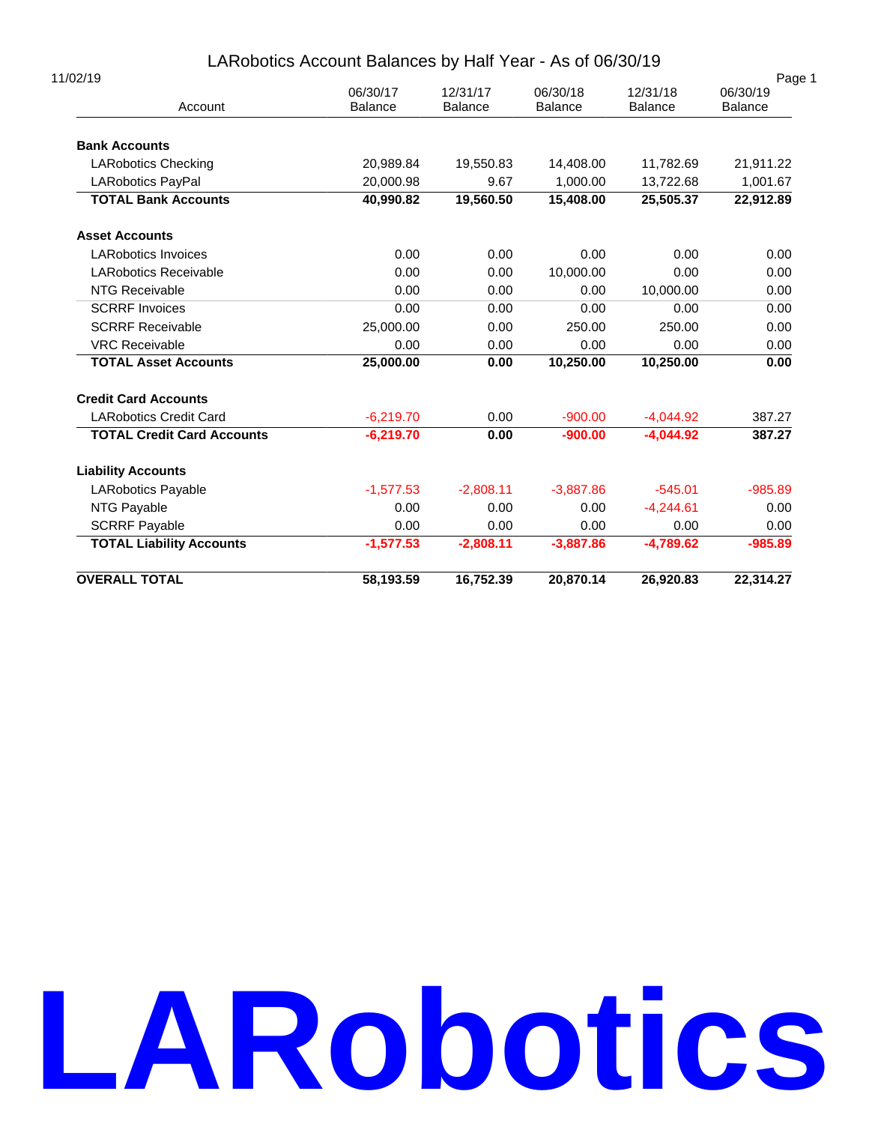# LARobotics Account Balances by Half Year - As of 06/30/19

| 11/02/19                          | 06/30/17       | 12/31/17       | 06/30/18       | 12/31/18       | Page 1<br>06/30/19 |
|-----------------------------------|----------------|----------------|----------------|----------------|--------------------|
| Account                           | <b>Balance</b> | <b>Balance</b> | <b>Balance</b> | <b>Balance</b> | <b>Balance</b>     |
| <b>Bank Accounts</b>              |                |                |                |                |                    |
| <b>LARobotics Checking</b>        | 20,989.84      | 19,550.83      | 14,408.00      | 11,782.69      | 21,911.22          |
| <b>LARobotics PayPal</b>          | 20,000.98      | 9.67           | 1,000.00       | 13,722.68      | 1,001.67           |
| <b>TOTAL Bank Accounts</b>        | 40,990.82      | 19,560.50      | 15,408.00      | 25,505.37      | 22,912.89          |
| <b>Asset Accounts</b>             |                |                |                |                |                    |
| <b>LARobotics Invoices</b>        | 0.00           | 0.00           | 0.00           | 0.00           | 0.00               |
| <b>LARobotics Receivable</b>      | 0.00           | 0.00           | 10,000.00      | 0.00           | 0.00               |
| <b>NTG Receivable</b>             | 0.00           | 0.00           | 0.00           | 10,000.00      | 0.00               |
| <b>SCRRF Invoices</b>             | 0.00           | 0.00           | 0.00           | 0.00           | 0.00               |
| <b>SCRRF Receivable</b>           | 25,000.00      | 0.00           | 250.00         | 250.00         | 0.00               |
| <b>VRC Receivable</b>             | 0.00           | 0.00           | 0.00           | 0.00           | 0.00               |
| <b>TOTAL Asset Accounts</b>       | 25,000.00      | 0.00           | 10,250.00      | 10,250.00      | 0.00               |
| <b>Credit Card Accounts</b>       |                |                |                |                |                    |
| <b>LARobotics Credit Card</b>     | $-6,219.70$    | 0.00           | $-900.00$      | $-4,044.92$    | 387.27             |
| <b>TOTAL Credit Card Accounts</b> | $-6,219.70$    | 0.00           | $-900.00$      | $-4.044.92$    | 387.27             |
| <b>Liability Accounts</b>         |                |                |                |                |                    |
| <b>LARobotics Payable</b>         | $-1,577.53$    | $-2.808.11$    | $-3.887.86$    | $-545.01$      | $-985.89$          |
| NTG Payable                       | 0.00           | 0.00           | 0.00           | $-4.244.61$    | 0.00               |
| <b>SCRRF Payable</b>              | 0.00           | 0.00           | 0.00           | 0.00           | 0.00               |
| <b>TOTAL Liability Accounts</b>   | $-1,577.53$    | $-2,808.11$    | $-3.887.86$    | $-4,789.62$    | $-985.89$          |
| <b>OVERALL TOTAL</b>              | 58,193.59      | 16,752.39      | 20,870.14      | 26,920.83      | 22,314.27          |

# **LARobotics**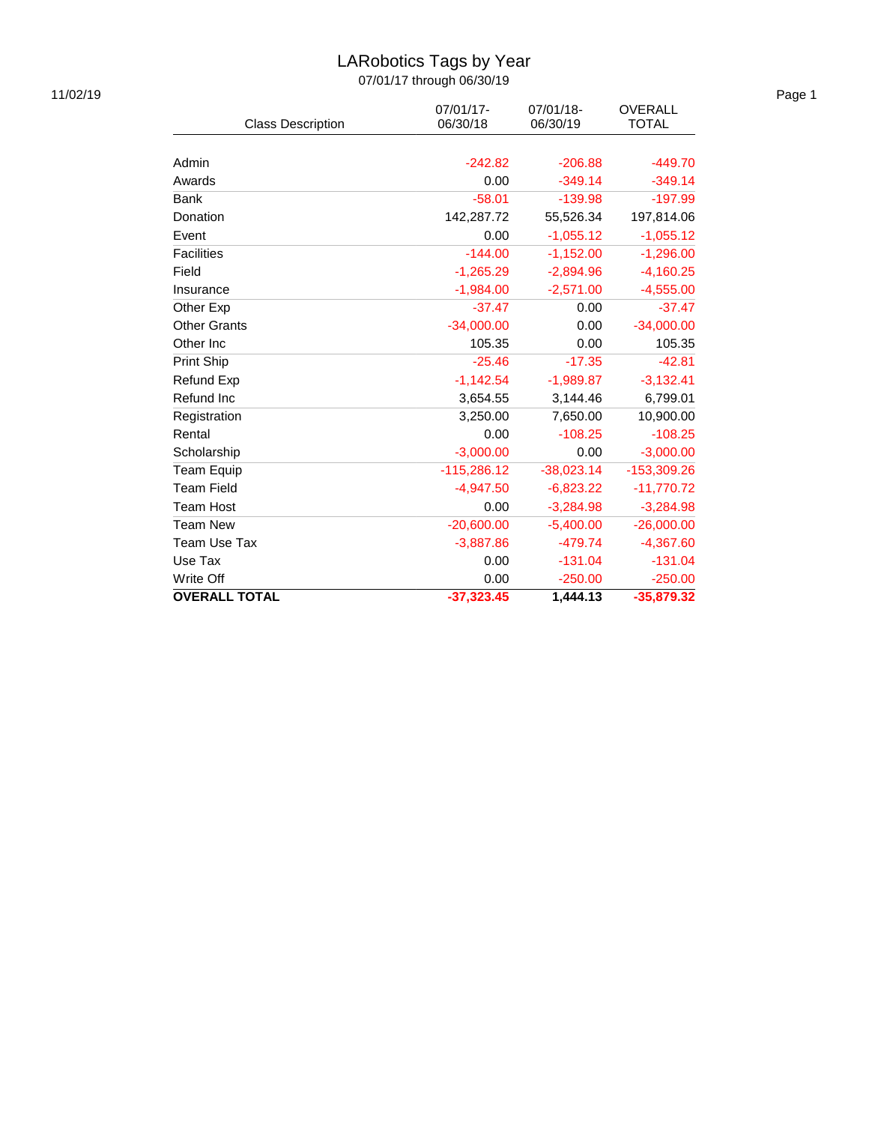# LARobotics Tags by Year

| <b>Class Description</b> | 07/01/17-<br>06/30/18 | 07/01/18-<br>06/30/19 | <b>OVERALL</b><br><b>TOTAL</b> |
|--------------------------|-----------------------|-----------------------|--------------------------------|
|                          |                       |                       |                                |
| Admin                    | $-242.82$             | $-206.88$             | $-449.70$                      |
| Awards                   | 0.00                  | $-349.14$             | $-349.14$                      |
| Bank                     | $-58.01$              | $-139.98$             | $-197.99$                      |
| Donation                 | 142,287.72            | 55,526.34             | 197,814.06                     |
| Event                    | 0.00                  | $-1,055.12$           | $-1,055.12$                    |
| <b>Facilities</b>        | $-144.00$             | $-1,152.00$           | $-1,296.00$                    |
| Field                    | $-1,265.29$           | $-2,894.96$           | $-4,160.25$                    |
| Insurance                | $-1,984.00$           | $-2,571.00$           | $-4,555.00$                    |
| Other Exp                | $-37.47$              | 0.00                  | $-37.47$                       |
| <b>Other Grants</b>      | $-34,000.00$          | 0.00                  | $-34,000.00$                   |
| Other Inc                | 105.35                | 0.00                  | 105.35                         |
| Print Ship               | $-25.46$              | $-17.35$              | $-42.81$                       |
| Refund Exp               | $-1,142.54$           | $-1,989.87$           | $-3,132.41$                    |
| Refund Inc               | 3,654.55              | 3,144.46              | 6,799.01                       |
| Registration             | 3,250.00              | 7,650.00              | 10,900.00                      |
| Rental                   | 0.00                  | $-108.25$             | $-108.25$                      |
| Scholarship              | $-3,000.00$           | 0.00                  | $-3,000.00$                    |
| <b>Team Equip</b>        | $-115,286.12$         | $-38,023.14$          | -153,309.26                    |
| <b>Team Field</b>        | $-4,947.50$           | $-6,823.22$           | $-11,770.72$                   |
| <b>Team Host</b>         | 0.00                  | $-3,284.98$           | $-3,284.98$                    |
| <b>Team New</b>          | $-20,600.00$          | $-5,400.00$           | $-26,000.00$                   |
| <b>Team Use Tax</b>      | $-3,887.86$           | $-479.74$             | $-4,367.60$                    |
| Use Tax                  | 0.00                  | $-131.04$             | $-131.04$                      |
| Write Off                | 0.00                  | $-250.00$             | $-250.00$                      |
| <b>OVERALL TOTAL</b>     | $-37,323.45$          | 1.444.13              | $-35,879.32$                   |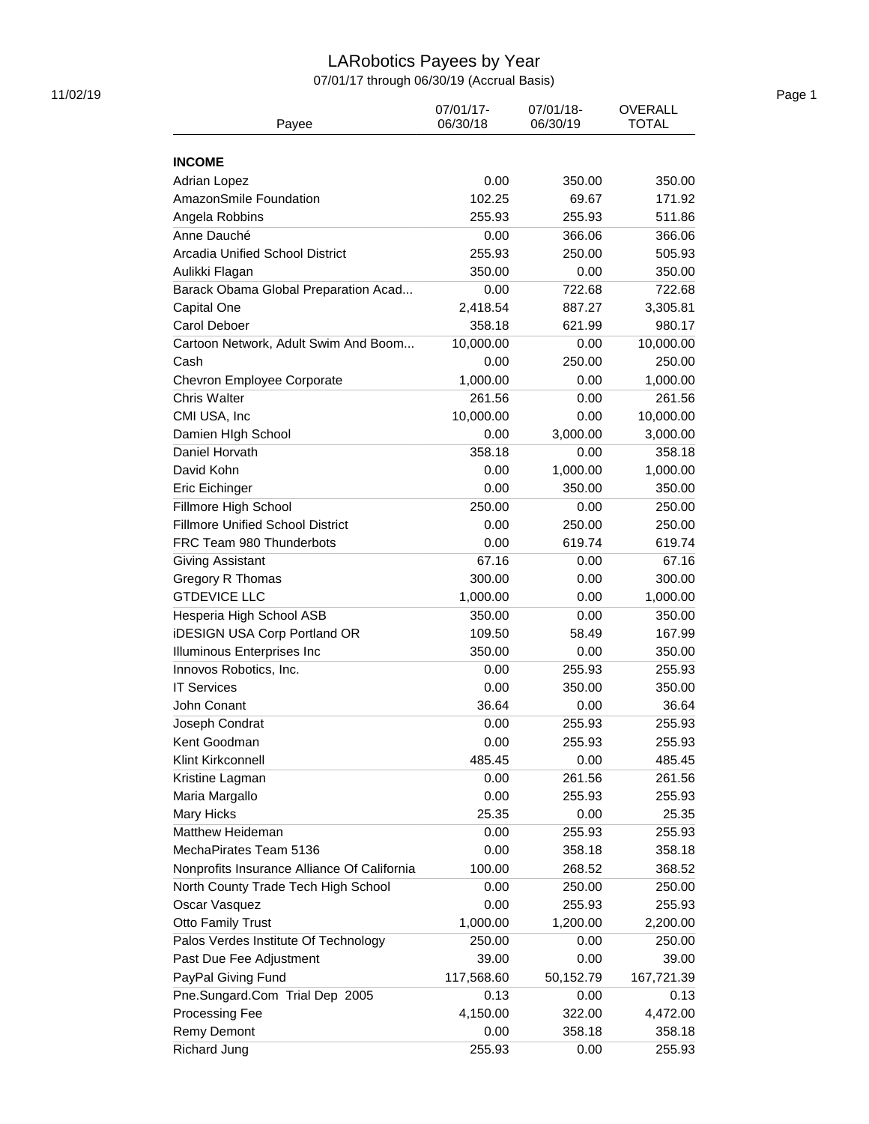# LARobotics Payees by Year

07/01/17 through 06/30/19 (Accrual Basis)

| Payee                                          | 07/01/17-<br>06/30/18 | 07/01/18-<br>06/30/19 | <b>OVERALL</b><br><b>TOTAL</b> |
|------------------------------------------------|-----------------------|-----------------------|--------------------------------|
| <b>INCOME</b>                                  |                       |                       |                                |
| <b>Adrian Lopez</b>                            | 0.00                  | 350.00                | 350.00                         |
| AmazonSmile Foundation                         | 102.25                | 69.67                 | 171.92                         |
|                                                | 255.93                | 255.93                | 511.86                         |
| Angela Robbins                                 |                       |                       |                                |
| Anne Dauché<br>Arcadia Unified School District | 0.00                  | 366.06                | 366.06                         |
|                                                | 255.93                | 250.00                | 505.93                         |
| Aulikki Flagan                                 | 350.00                | 0.00                  | 350.00                         |
| Barack Obama Global Preparation Acad           | 0.00                  | 722.68                | 722.68                         |
| Capital One                                    | 2,418.54              | 887.27                | 3,305.81                       |
| Carol Deboer                                   | 358.18                | 621.99                | 980.17                         |
| Cartoon Network, Adult Swim And Boom           | 10,000.00             | 0.00                  | 10,000.00                      |
| Cash                                           | 0.00                  | 250.00                | 250.00                         |
| Chevron Employee Corporate                     | 1,000.00              | 0.00                  | 1,000.00                       |
| <b>Chris Walter</b>                            | 261.56                | 0.00                  | 261.56                         |
| CMI USA, Inc                                   | 10,000.00             | 0.00                  | 10,000.00                      |
| Damien HIgh School                             | 0.00                  | 3,000.00              | 3,000.00                       |
| Daniel Horvath                                 | 358.18                | 0.00                  | 358.18                         |
| David Kohn                                     | 0.00                  | 1,000.00              | 1,000.00                       |
| Eric Eichinger                                 | 0.00                  | 350.00                | 350.00                         |
| Fillmore High School                           | 250.00                | 0.00                  | 250.00                         |
| <b>Fillmore Unified School District</b>        | 0.00                  | 250.00                | 250.00                         |
| FRC Team 980 Thunderbots                       | 0.00                  | 619.74                | 619.74                         |
| Giving Assistant                               | 67.16                 | 0.00                  | 67.16                          |
| Gregory R Thomas                               | 300.00                | 0.00                  | 300.00                         |
| <b>GTDEVICE LLC</b>                            | 1,000.00              | 0.00                  | 1,000.00                       |
| Hesperia High School ASB                       | 350.00                | 0.00                  | 350.00                         |
| <b>iDESIGN USA Corp Portland OR</b>            | 109.50                | 58.49                 | 167.99                         |
| Illuminous Enterprises Inc                     | 350.00                | 0.00                  | 350.00                         |
| Innovos Robotics, Inc.                         | 0.00                  | 255.93                | 255.93                         |
| <b>IT Services</b>                             | 0.00                  | 350.00                | 350.00                         |
| John Conant                                    | 36.64                 | 0.00                  | 36.64                          |
| Joseph Condrat                                 | 0.00                  | 255.93                | 255.93                         |
| Kent Goodman                                   | 0.00                  | 255.93                | 255.93                         |
| Klint Kirkconnell                              | 485.45                | 0.00                  | 485.45                         |
| Kristine Lagman                                | 0.00                  | 261.56                | 261.56                         |
| Maria Margallo                                 | 0.00                  | 255.93                | 255.93                         |
| Mary Hicks                                     | 25.35                 | 0.00                  | 25.35                          |
| Matthew Heideman                               | 0.00                  | 255.93                | 255.93                         |
| MechaPirates Team 5136                         | 0.00                  | 358.18                | 358.18                         |
| Nonprofits Insurance Alliance Of California    | 100.00                | 268.52                | 368.52                         |
| North County Trade Tech High School            | 0.00                  | 250.00                | 250.00                         |
| Oscar Vasquez                                  | 0.00                  | 255.93                | 255.93                         |
| <b>Otto Family Trust</b>                       | 1,000.00              | 1,200.00              | 2,200.00                       |
| Palos Verdes Institute Of Technology           | 250.00                | 0.00                  | 250.00                         |
| Past Due Fee Adjustment                        | 39.00                 | 0.00                  | 39.00                          |
| PayPal Giving Fund                             | 117,568.60            | 50,152.79             | 167,721.39                     |
| Pne.Sungard.Com Trial Dep 2005                 | 0.13                  | 0.00                  | 0.13                           |
| Processing Fee                                 | 4,150.00              | 322.00                | 4,472.00                       |
|                                                |                       |                       |                                |
| Remy Demont                                    | 0.00                  | 358.18                | 358.18                         |
| <b>Richard Jung</b>                            | 255.93                | 0.00                  | 255.93                         |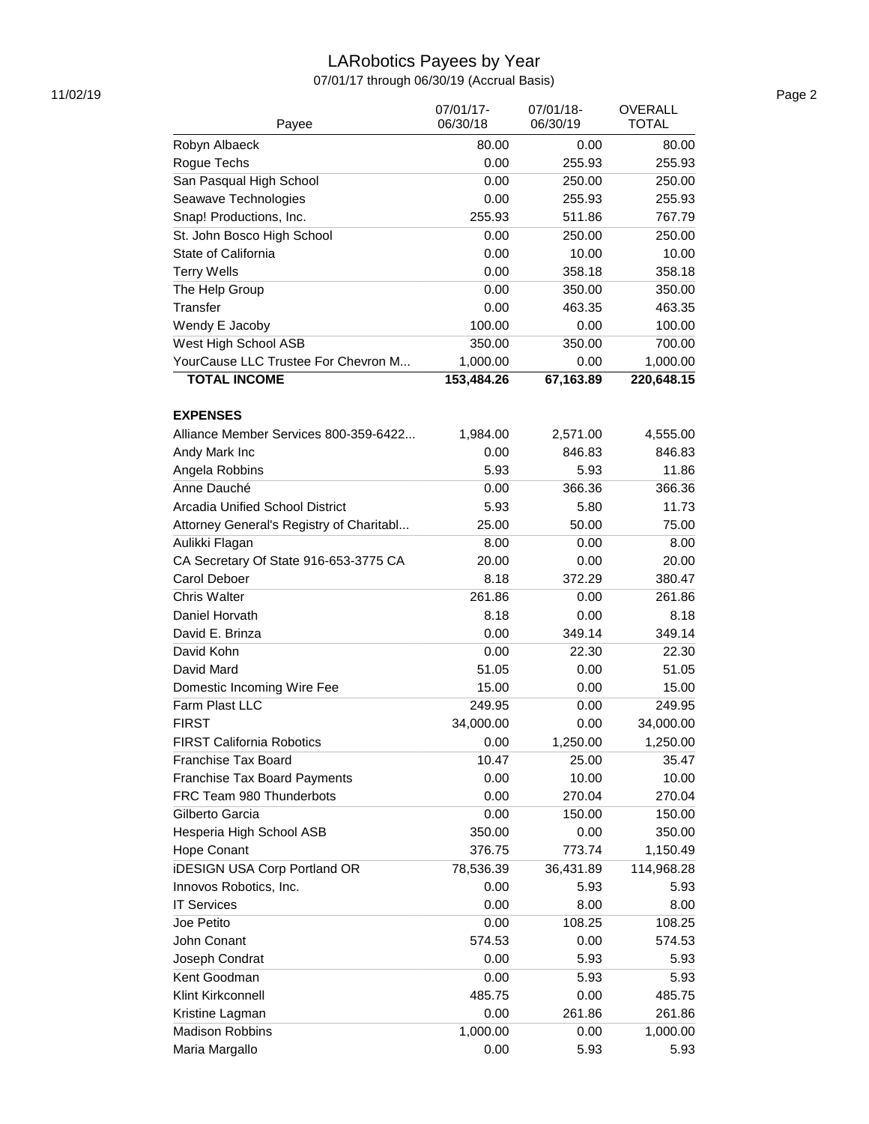# LARobotics Payees by Year

07/01/17 through 06/30/19 (Accrual Basis)

| Payee                                    | 07/01/17-<br>06/30/18 | 07/01/18-<br>06/30/19 | <b>OVERALL</b><br><b>TOTAL</b> |
|------------------------------------------|-----------------------|-----------------------|--------------------------------|
| Robyn Albaeck                            | 80.00                 | 0.00                  | 80.00                          |
| Rogue Techs                              | 0.00                  | 255.93                | 255.93                         |
| San Pasqual High School                  | 0.00                  | 250.00                | 250.00                         |
| Seawave Technologies                     | 0.00                  | 255.93                | 255.93                         |
| Snap! Productions, Inc.                  | 255.93                | 511.86                | 767.79                         |
| St. John Bosco High School               | 0.00                  | 250.00                | 250.00                         |
| State of California                      | 0.00                  | 10.00                 | 10.00                          |
| <b>Terry Wells</b>                       | 0.00                  | 358.18                | 358.18                         |
| The Help Group                           | 0.00                  | 350.00                | 350.00                         |
| Transfer                                 | 0.00                  | 463.35                | 463.35                         |
| Wendy E Jacoby                           | 100.00                | 0.00                  | 100.00                         |
| West High School ASB                     | 350.00                | 350.00                | 700.00                         |
| YourCause LLC Trustee For Chevron M      | 1,000.00              | 0.00                  | 1,000.00                       |
| <b>TOTAL INCOME</b>                      | 153,484.26            | 67,163.89             | 220,648.15                     |
| <b>EXPENSES</b>                          |                       |                       |                                |
| Alliance Member Services 800-359-6422    | 1,984.00              | 2,571.00              | 4,555.00                       |
| Andy Mark Inc                            | 0.00                  | 846.83                | 846.83                         |
| Angela Robbins                           | 5.93                  | 5.93                  | 11.86                          |
| Anne Dauché                              | 0.00                  | 366.36                | 366.36                         |
| Arcadia Unified School District          | 5.93                  | 5.80                  | 11.73                          |
| Attorney General's Registry of Charitabl | 25.00                 | 50.00                 | 75.00                          |
| Aulikki Flagan                           | 8.00                  | 0.00                  | 8.00                           |
| CA Secretary Of State 916-653-3775 CA    | 20.00                 | 0.00                  | 20.00                          |
| Carol Deboer                             | 8.18                  | 372.29                | 380.47                         |
| <b>Chris Walter</b>                      | 261.86                | 0.00                  | 261.86                         |
| Daniel Horvath                           | 8.18                  | 0.00                  | 8.18                           |
| David E. Brinza                          | 0.00                  | 349.14                | 349.14                         |
| David Kohn                               | 0.00                  | 22.30                 | 22.30                          |
| David Mard                               | 51.05                 | 0.00                  | 51.05                          |
| Domestic Incoming Wire Fee               | 15.00                 | 0.00                  | 15.00                          |
| Farm Plast LLC                           | 249.95                | 0.00                  | 249.95                         |
| <b>FIRST</b>                             | 34,000.00             | 0.00                  | 34,000.00                      |
| <b>FIRST California Robotics</b>         | 0.00                  | 1,250.00              | 1,250.00                       |
| <b>Franchise Tax Board</b>               | 10.47                 | 25.00                 | 35.47                          |
| Franchise Tax Board Payments             | 0.00                  | 10.00                 | 10.00                          |
| FRC Team 980 Thunderbots                 | 0.00                  | 270.04                | 270.04                         |
| Gilberto Garcia                          | 0.00                  | 150.00                | 150.00                         |
| Hesperia High School ASB                 | 350.00                | 0.00                  | 350.00                         |
| Hope Conant                              | 376.75                | 773.74                | 1,150.49                       |
| <b>iDESIGN USA Corp Portland OR</b>      | 78,536.39             | 36,431.89             | 114,968.28                     |
| Innovos Robotics, Inc.                   | 0.00                  | 5.93                  | 5.93                           |
| <b>IT Services</b>                       | 0.00                  | 8.00                  | 8.00                           |
| Joe Petito                               | 0.00                  | 108.25                | 108.25                         |
| John Conant                              | 574.53                | 0.00                  | 574.53                         |
| Joseph Condrat                           | 0.00                  | 5.93                  | 5.93                           |
| Kent Goodman                             | 0.00                  | 5.93                  | 5.93                           |
| Klint Kirkconnell                        | 485.75                | 0.00                  | 485.75                         |
| Kristine Lagman                          | 0.00                  | 261.86                | 261.86                         |
| <b>Madison Robbins</b>                   | 1,000.00              | 0.00                  | 1,000.00                       |
| Maria Margallo                           | 0.00                  | 5.93                  | 5.93                           |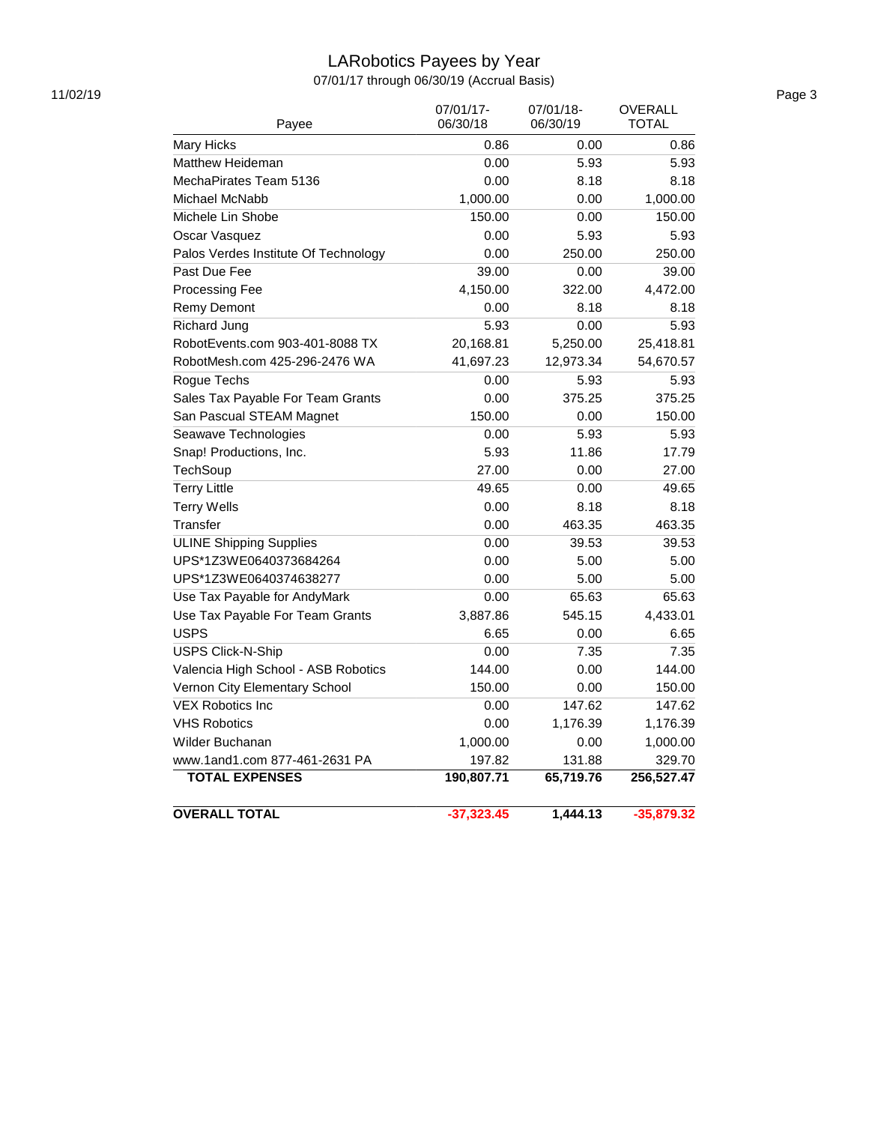# LARobotics Payees by Year

07/01/17 through 06/30/19 (Accrual Basis)

| Payee                                | 07/01/17-<br>06/30/18 | 07/01/18-<br>06/30/19 | <b>OVERALL</b><br>TOTAL |
|--------------------------------------|-----------------------|-----------------------|-------------------------|
| Mary Hicks                           | 0.86                  | 0.00                  | 0.86                    |
| <b>Matthew Heideman</b>              | 0.00                  | 5.93                  | 5.93                    |
| MechaPirates Team 5136               | 0.00                  | 8.18                  | 8.18                    |
| Michael McNabb                       | 1,000.00              | 0.00                  | 1,000.00                |
| Michele Lin Shobe                    | 150.00                | 0.00                  | 150.00                  |
| Oscar Vasquez                        | 0.00                  | 5.93                  | 5.93                    |
| Palos Verdes Institute Of Technology | 0.00                  | 250.00                | 250.00                  |
| Past Due Fee                         | 39.00                 | 0.00                  | 39.00                   |
| Processing Fee                       | 4,150.00              | 322.00                | 4,472.00                |
| Remy Demont                          | 0.00                  | 8.18                  | 8.18                    |
| Richard Jung                         | 5.93                  | 0.00                  | 5.93                    |
| RobotEvents.com 903-401-8088 TX      | 20,168.81             | 5,250.00              | 25,418.81               |
| RobotMesh.com 425-296-2476 WA        | 41,697.23             | 12,973.34             | 54,670.57               |
| Rogue Techs                          | 0.00                  | 5.93                  | 5.93                    |
| Sales Tax Payable For Team Grants    | 0.00                  | 375.25                | 375.25                  |
| San Pascual STEAM Magnet             | 150.00                | 0.00                  | 150.00                  |
| Seawave Technologies                 | 0.00                  | 5.93                  | 5.93                    |
| Snap! Productions, Inc.              | 5.93                  | 11.86                 | 17.79                   |
| TechSoup                             | 27.00                 | 0.00                  | 27.00                   |
| <b>Terry Little</b>                  | 49.65                 | 0.00                  | 49.65                   |
| <b>Terry Wells</b>                   | 0.00                  | 8.18                  | 8.18                    |
| Transfer                             | 0.00                  | 463.35                | 463.35                  |
| <b>ULINE Shipping Supplies</b>       | 0.00                  | 39.53                 | 39.53                   |
| UPS*1Z3WE0640373684264               | 0.00                  | 5.00                  | 5.00                    |
| UPS*1Z3WE0640374638277               | 0.00                  | 5.00                  | 5.00                    |
| Use Tax Payable for AndyMark         | 0.00                  | 65.63                 | 65.63                   |
| Use Tax Payable For Team Grants      | 3,887.86              | 545.15                | 4,433.01                |
| <b>USPS</b>                          | 6.65                  | 0.00                  | 6.65                    |
| <b>USPS Click-N-Ship</b>             | 0.00                  | 7.35                  | 7.35                    |
| Valencia High School - ASB Robotics  | 144.00                | 0.00                  | 144.00                  |
| Vernon City Elementary School        | 150.00                | 0.00                  | 150.00                  |
| <b>VEX Robotics Inc</b>              | 0.00                  | 147.62                | 147.62                  |
| <b>VHS Robotics</b>                  | 0.00                  | 1,176.39              | 1,176.39                |
| Wilder Buchanan                      | 1,000.00              | 0.00                  | 1,000.00                |
| www.1and1.com 877-461-2631 PA        | 197.82                | 131.88                | 329.70                  |
| <b>TOTAL EXPENSES</b>                | 190,807.71            | 65,719.76             | 256,527.47              |
| <b>OVERALL TOTAL</b>                 | $-37,323.45$          | 1,444.13              | $-35,879.32$            |

11/02/19 Page 3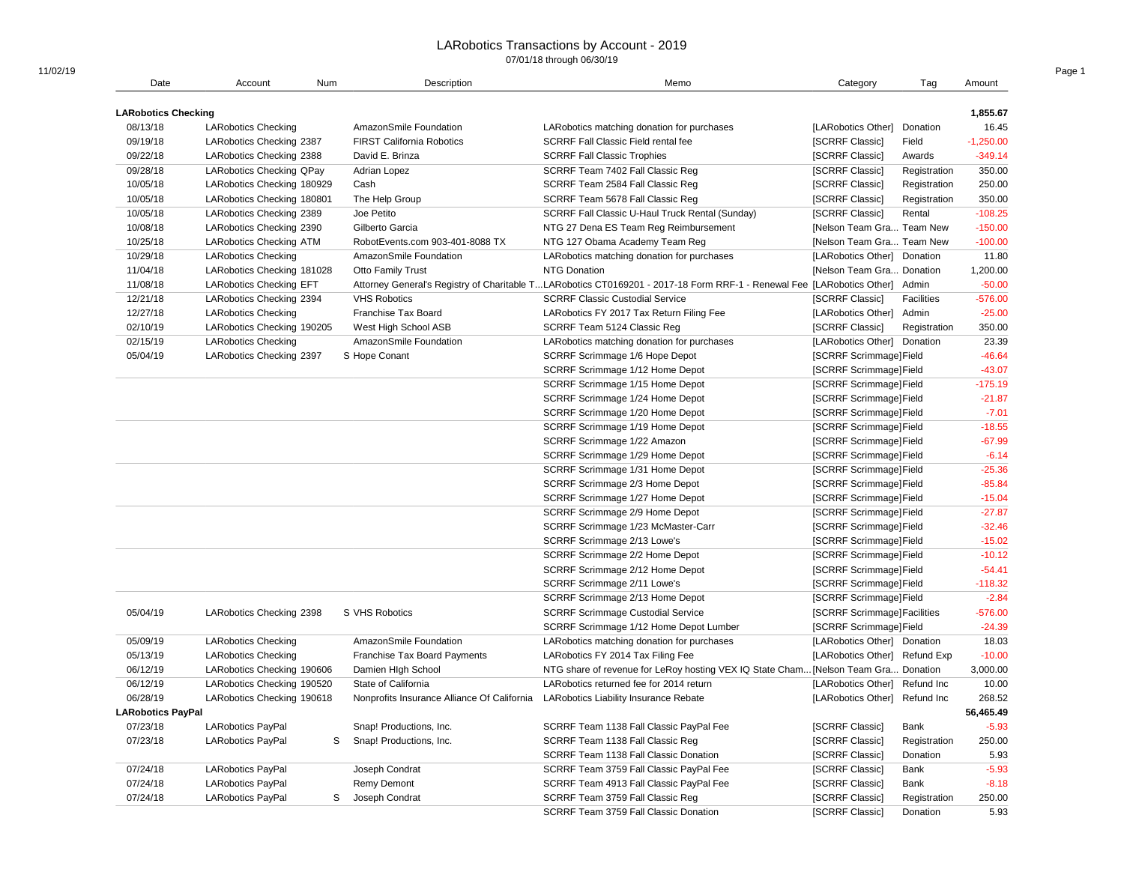| Num<br>1,855.67<br><b>LARobotics Checking</b><br>16.45<br>08/13/18<br>AmazonSmile Foundation<br><b>LARobotics Checking</b><br>LARobotics matching donation for purchases<br>[LARobotics Other] Donation<br>09/19/18<br>$-1,250.00$<br>LARobotics Checking 2387<br><b>FIRST California Robotics</b><br><b>SCRRF Fall Classic Field rental fee</b><br>[SCRRF Classic]<br>Field<br>09/22/18<br>David E. Brinza<br><b>SCRRF Fall Classic Trophies</b><br>[SCRRF Classic]<br>$-349.14$<br>LARobotics Checking 2388<br>Awards<br>09/28/18<br><b>LARobotics Checking QPay</b><br>SCRRF Team 7402 Fall Classic Reg<br>Registration<br>350.00<br>Adrian Lopez<br>[SCRRF Classic]<br>10/05/18<br>250.00<br>LARobotics Checking 180929<br>Cash<br>SCRRF Team 2584 Fall Classic Reg<br>[SCRRF Classic]<br>Registration<br>10/05/18<br>SCRRF Team 5678 Fall Classic Reg<br>[SCRRF Classic]<br>350.00<br>LARobotics Checking 180801<br>The Help Group<br>Registration<br>$-108.25$<br>10/05/18<br>LARobotics Checking 2389<br>Joe Petito<br>SCRRF Fall Classic U-Haul Truck Rental (Sunday)<br>[SCRRF Classic]<br>Rental<br>10/08/18<br>LARobotics Checking 2390<br>Gilberto Garcia<br>NTG 27 Dena ES Team Reg Reimbursement<br>[Nelson Team Gra Team New<br>$-150.00$<br>10/25/18<br>RobotEvents.com 903-401-8088 TX<br>[Nelson Team Gra Team New<br>$-100.00$<br><b>LARobotics Checking ATM</b><br>NTG 127 Obama Academy Team Reg<br>11.80<br>10/29/18<br>AmazonSmile Foundation<br><b>LARobotics Checking</b><br>LARobotics matching donation for purchases<br>[LARobotics Other] Donation<br>11/04/18<br>Otto Family Trust<br><b>NTG Donation</b><br>1,200.00<br>LARobotics Checking 181028<br>[Nelson Team Gra Donation<br>11/08/18<br>Attorney General's Registry of Charitable TLARobotics CT0169201 - 2017-18 Form RRF-1 - Renewal Fee [LARobotics Other] Admin<br><b>LARobotics Checking EFT</b><br>$-50.00$<br>12/21/18<br><b>SCRRF Classic Custodial Service</b><br>[SCRRF Classic]<br>$-576.00$<br>LARobotics Checking 2394<br><b>VHS Robotics</b><br>Facilities<br>12/27/18<br>$-25.00$<br><b>LARobotics Checking</b><br>Franchise Tax Board<br>LARobotics FY 2017 Tax Return Filing Fee<br>[LARobotics Other]<br>Admin<br>02/10/19<br>350.00<br>LARobotics Checking 190205<br>West High School ASB<br>SCRRF Team 5124 Classic Reg<br>[SCRRF Classic]<br>Registration<br>02/15/19<br>AmazonSmile Foundation<br>23.39<br><b>LARobotics Checking</b><br>LARobotics matching donation for purchases<br>[LARobotics Other] Donation<br>$-46.64$<br>05/04/19<br>LARobotics Checking 2397<br>S Hope Conant<br>SCRRF Scrimmage 1/6 Hope Depot<br>[SCRRF Scrimmage]Field<br>[SCRRF Scrimmage]Field<br>$-43.07$<br>SCRRF Scrimmage 1/12 Home Depot<br>$-175.19$<br>SCRRF Scrimmage 1/15 Home Depot<br>[SCRRF Scrimmage]Field<br>$-21.87$<br>SCRRF Scrimmage 1/24 Home Depot<br>[SCRRF Scrimmage] Field<br>$-7.01$<br>SCRRF Scrimmage 1/20 Home Depot<br>[SCRRF Scrimmage]Field<br>$-18.55$<br>SCRRF Scrimmage 1/19 Home Depot<br>[SCRRF Scrimmage]Field<br>$-67.99$<br>[SCRRF Scrimmage]Field<br>SCRRF Scrimmage 1/22 Amazon<br>$-6.14$<br>[SCRRF Scrimmage]Field<br>SCRRF Scrimmage 1/29 Home Depot<br>$-25.36$<br>SCRRF Scrimmage 1/31 Home Depot<br>[SCRRF Scrimmage]Field<br>$-85.84$<br>[SCRRF Scrimmage]Field<br>SCRRF Scrimmage 2/3 Home Depot<br>$-15.04$<br>SCRRF Scrimmage 1/27 Home Depot<br>[SCRRF Scrimmage] Field<br>$-27.87$<br>SCRRF Scrimmage 2/9 Home Depot<br>[SCRRF Scrimmage]Field<br>$-32.46$<br>SCRRF Scrimmage 1/23 McMaster-Carr<br>[SCRRF Scrimmage]Field<br>$-15.02$<br>SCRRF Scrimmage 2/13 Lowe's<br>[SCRRF Scrimmage]Field<br>$-10.12$<br>SCRRF Scrimmage 2/2 Home Depot<br>[SCRRF Scrimmage] Field<br>$-54.41$<br>[SCRRF Scrimmage]Field<br>SCRRF Scrimmage 2/12 Home Depot<br>SCRRF Scrimmage 2/11 Lowe's<br>[SCRRF Scrimmage]Field<br>$-118.32$<br>SCRRF Scrimmage 2/13 Home Depot<br>[SCRRF Scrimmage]Field<br>$-2.84$<br>05/04/19<br>$-576.00$<br>LARobotics Checking 2398<br>S VHS Robotics<br><b>SCRRF Scrimmage Custodial Service</b><br>[SCRRF Scrimmage] Facilities<br>$-24.39$<br>SCRRF Scrimmage 1/12 Home Depot Lumber<br>[SCRRF Scrimmage]Field<br>05/09/19<br>18.03<br><b>LARobotics Checking</b><br>AmazonSmile Foundation<br>LARobotics matching donation for purchases<br>[LARobotics Other] Donation<br>05/13/19<br>LARobotics FY 2014 Tax Filing Fee<br>[LARobotics Other] Refund Exp<br>$-10.00$<br><b>LARobotics Checking</b><br><b>Franchise Tax Board Payments</b><br>06/12/19<br>LARobotics Checking 190606<br>Damien High School<br>NTG share of revenue for LeRoy hosting VEX IQ State Cham [Nelson Team Gra Donation<br>3,000.00<br>06/12/19<br>State of California<br>LARobotics returned fee for 2014 return<br>10.00<br>LARobotics Checking 190520<br>[LARobotics Other] Refund Inc<br>06/28/19<br>[LARobotics Other] Refund Inc<br>268.52<br>LARobotics Checking 190618<br>Nonprofits Insurance Alliance Of California LARobotics Liability Insurance Rebate<br><b>LARobotics PayPal</b><br>56,465.49<br>07/23/18<br><b>LARobotics PayPal</b><br>Snap! Productions, Inc.<br>SCRRF Team 1138 Fall Classic PayPal Fee<br>[SCRRF Classic]<br>$-5.93$<br>Bank<br>07/23/18<br>250.00<br><b>LARobotics PayPal</b><br>S<br>Snap! Productions, Inc.<br>SCRRF Team 1138 Fall Classic Reg<br>[SCRRF Classic]<br>Registration<br>[SCRRF Classic]<br>Donation<br>5.93<br>SCRRF Team 1138 Fall Classic Donation<br>07/24/18<br>$-5.93$<br><b>LARobotics PayPal</b><br>Joseph Condrat<br>SCRRF Team 3759 Fall Classic PayPal Fee<br>[SCRRF Classic]<br>Bank<br>07/24/18<br>$-8.18$<br><b>LARobotics PayPal</b><br>Remy Demont<br>SCRRF Team 4913 Fall Classic PayPal Fee<br>[SCRRF Classic]<br>Bank<br>07/24/18<br><b>LARobotics PayPal</b><br>S<br>Joseph Condrat<br>SCRRF Team 3759 Fall Classic Reg<br>[SCRRF Classic]<br>Registration<br>250.00<br>SCRRF Team 3759 Fall Classic Donation<br>[SCRRF Classic]<br>5.93<br>Donation |      |         |             |      |          |     |        |
|---------------------------------------------------------------------------------------------------------------------------------------------------------------------------------------------------------------------------------------------------------------------------------------------------------------------------------------------------------------------------------------------------------------------------------------------------------------------------------------------------------------------------------------------------------------------------------------------------------------------------------------------------------------------------------------------------------------------------------------------------------------------------------------------------------------------------------------------------------------------------------------------------------------------------------------------------------------------------------------------------------------------------------------------------------------------------------------------------------------------------------------------------------------------------------------------------------------------------------------------------------------------------------------------------------------------------------------------------------------------------------------------------------------------------------------------------------------------------------------------------------------------------------------------------------------------------------------------------------------------------------------------------------------------------------------------------------------------------------------------------------------------------------------------------------------------------------------------------------------------------------------------------------------------------------------------------------------------------------------------------------------------------------------------------------------------------------------------------------------------------------------------------------------------------------------------------------------------------------------------------------------------------------------------------------------------------------------------------------------------------------------------------------------------------------------------------------------------------------------------------------------------------------------------------------------------------------------------------------------------------------------------------------------------------------------------------------------------------------------------------------------------------------------------------------------------------------------------------------------------------------------------------------------------------------------------------------------------------------------------------------------------------------------------------------------------------------------------------------------------------------------------------------------------------------------------------------------------------------------------------------------------------------------------------------------------------------------------------------------------------------------------------------------------------------------------------------------------------------------------------------------------------------------------------------------------------------------------------------------------------------------------------------------------------------------------------------------------------------------------------------------------------------------------------------------------------------------------------------------------------------------------------------------------------------------------------------------------------------------------------------------------------------------------------------------------------------------------------------------------------------------------------------------------------------------------------------------------------------------------------------------------------------------------------------------------------------------------------------------------------------------------------------------------------------------------------------------------------------------------------------------------------------------------------------------------------------------------------------------------------------------------------------------------------------------------------------------------------------------------------------------------------------------------------------------------------------------------------------------------------------------------------------------------------------------------------------------------------------------------------------------------------------------------------------------------------------------------------------------------------------------------------------------------------------------------------------------------------------------------------------------------------------------------------------------------------------------------------------------------------------------------------------------------------------------------------------------------------------------------------------------------------------------------------------------------------------------------------------------------------------------------------------------------------------------------------------------------------------------------------------------------------------------------------------------------------------------------------------------------------------------------------------------------------------------------------------------------------|------|---------|-------------|------|----------|-----|--------|
|                                                                                                                                                                                                                                                                                                                                                                                                                                                                                                                                                                                                                                                                                                                                                                                                                                                                                                                                                                                                                                                                                                                                                                                                                                                                                                                                                                                                                                                                                                                                                                                                                                                                                                                                                                                                                                                                                                                                                                                                                                                                                                                                                                                                                                                                                                                                                                                                                                                                                                                                                                                                                                                                                                                                                                                                                                                                                                                                                                                                                                                                                                                                                                                                                                                                                                                                                                                                                                                                                                                                                                                                                                                                                                                                                                                                                                                                                                                                                                                                                                                                                                                                                                                                                                                                                                                                                                                                                                                                                                                                                                                                                                                                                                                                                                                                                                                                                                                                                                                                                                                                                                                                                                                                                                                                                                                                                                                                                                                                                                                                                                                                                                                                                                                                                                                                                                                                                                                                                                           | Date | Account | Description | Memo | Category | Tag | Amount |
|                                                                                                                                                                                                                                                                                                                                                                                                                                                                                                                                                                                                                                                                                                                                                                                                                                                                                                                                                                                                                                                                                                                                                                                                                                                                                                                                                                                                                                                                                                                                                                                                                                                                                                                                                                                                                                                                                                                                                                                                                                                                                                                                                                                                                                                                                                                                                                                                                                                                                                                                                                                                                                                                                                                                                                                                                                                                                                                                                                                                                                                                                                                                                                                                                                                                                                                                                                                                                                                                                                                                                                                                                                                                                                                                                                                                                                                                                                                                                                                                                                                                                                                                                                                                                                                                                                                                                                                                                                                                                                                                                                                                                                                                                                                                                                                                                                                                                                                                                                                                                                                                                                                                                                                                                                                                                                                                                                                                                                                                                                                                                                                                                                                                                                                                                                                                                                                                                                                                                                           |      |         |             |      |          |     |        |
|                                                                                                                                                                                                                                                                                                                                                                                                                                                                                                                                                                                                                                                                                                                                                                                                                                                                                                                                                                                                                                                                                                                                                                                                                                                                                                                                                                                                                                                                                                                                                                                                                                                                                                                                                                                                                                                                                                                                                                                                                                                                                                                                                                                                                                                                                                                                                                                                                                                                                                                                                                                                                                                                                                                                                                                                                                                                                                                                                                                                                                                                                                                                                                                                                                                                                                                                                                                                                                                                                                                                                                                                                                                                                                                                                                                                                                                                                                                                                                                                                                                                                                                                                                                                                                                                                                                                                                                                                                                                                                                                                                                                                                                                                                                                                                                                                                                                                                                                                                                                                                                                                                                                                                                                                                                                                                                                                                                                                                                                                                                                                                                                                                                                                                                                                                                                                                                                                                                                                                           |      |         |             |      |          |     |        |
|                                                                                                                                                                                                                                                                                                                                                                                                                                                                                                                                                                                                                                                                                                                                                                                                                                                                                                                                                                                                                                                                                                                                                                                                                                                                                                                                                                                                                                                                                                                                                                                                                                                                                                                                                                                                                                                                                                                                                                                                                                                                                                                                                                                                                                                                                                                                                                                                                                                                                                                                                                                                                                                                                                                                                                                                                                                                                                                                                                                                                                                                                                                                                                                                                                                                                                                                                                                                                                                                                                                                                                                                                                                                                                                                                                                                                                                                                                                                                                                                                                                                                                                                                                                                                                                                                                                                                                                                                                                                                                                                                                                                                                                                                                                                                                                                                                                                                                                                                                                                                                                                                                                                                                                                                                                                                                                                                                                                                                                                                                                                                                                                                                                                                                                                                                                                                                                                                                                                                                           |      |         |             |      |          |     |        |
|                                                                                                                                                                                                                                                                                                                                                                                                                                                                                                                                                                                                                                                                                                                                                                                                                                                                                                                                                                                                                                                                                                                                                                                                                                                                                                                                                                                                                                                                                                                                                                                                                                                                                                                                                                                                                                                                                                                                                                                                                                                                                                                                                                                                                                                                                                                                                                                                                                                                                                                                                                                                                                                                                                                                                                                                                                                                                                                                                                                                                                                                                                                                                                                                                                                                                                                                                                                                                                                                                                                                                                                                                                                                                                                                                                                                                                                                                                                                                                                                                                                                                                                                                                                                                                                                                                                                                                                                                                                                                                                                                                                                                                                                                                                                                                                                                                                                                                                                                                                                                                                                                                                                                                                                                                                                                                                                                                                                                                                                                                                                                                                                                                                                                                                                                                                                                                                                                                                                                                           |      |         |             |      |          |     |        |
|                                                                                                                                                                                                                                                                                                                                                                                                                                                                                                                                                                                                                                                                                                                                                                                                                                                                                                                                                                                                                                                                                                                                                                                                                                                                                                                                                                                                                                                                                                                                                                                                                                                                                                                                                                                                                                                                                                                                                                                                                                                                                                                                                                                                                                                                                                                                                                                                                                                                                                                                                                                                                                                                                                                                                                                                                                                                                                                                                                                                                                                                                                                                                                                                                                                                                                                                                                                                                                                                                                                                                                                                                                                                                                                                                                                                                                                                                                                                                                                                                                                                                                                                                                                                                                                                                                                                                                                                                                                                                                                                                                                                                                                                                                                                                                                                                                                                                                                                                                                                                                                                                                                                                                                                                                                                                                                                                                                                                                                                                                                                                                                                                                                                                                                                                                                                                                                                                                                                                                           |      |         |             |      |          |     |        |
|                                                                                                                                                                                                                                                                                                                                                                                                                                                                                                                                                                                                                                                                                                                                                                                                                                                                                                                                                                                                                                                                                                                                                                                                                                                                                                                                                                                                                                                                                                                                                                                                                                                                                                                                                                                                                                                                                                                                                                                                                                                                                                                                                                                                                                                                                                                                                                                                                                                                                                                                                                                                                                                                                                                                                                                                                                                                                                                                                                                                                                                                                                                                                                                                                                                                                                                                                                                                                                                                                                                                                                                                                                                                                                                                                                                                                                                                                                                                                                                                                                                                                                                                                                                                                                                                                                                                                                                                                                                                                                                                                                                                                                                                                                                                                                                                                                                                                                                                                                                                                                                                                                                                                                                                                                                                                                                                                                                                                                                                                                                                                                                                                                                                                                                                                                                                                                                                                                                                                                           |      |         |             |      |          |     |        |
|                                                                                                                                                                                                                                                                                                                                                                                                                                                                                                                                                                                                                                                                                                                                                                                                                                                                                                                                                                                                                                                                                                                                                                                                                                                                                                                                                                                                                                                                                                                                                                                                                                                                                                                                                                                                                                                                                                                                                                                                                                                                                                                                                                                                                                                                                                                                                                                                                                                                                                                                                                                                                                                                                                                                                                                                                                                                                                                                                                                                                                                                                                                                                                                                                                                                                                                                                                                                                                                                                                                                                                                                                                                                                                                                                                                                                                                                                                                                                                                                                                                                                                                                                                                                                                                                                                                                                                                                                                                                                                                                                                                                                                                                                                                                                                                                                                                                                                                                                                                                                                                                                                                                                                                                                                                                                                                                                                                                                                                                                                                                                                                                                                                                                                                                                                                                                                                                                                                                                                           |      |         |             |      |          |     |        |
|                                                                                                                                                                                                                                                                                                                                                                                                                                                                                                                                                                                                                                                                                                                                                                                                                                                                                                                                                                                                                                                                                                                                                                                                                                                                                                                                                                                                                                                                                                                                                                                                                                                                                                                                                                                                                                                                                                                                                                                                                                                                                                                                                                                                                                                                                                                                                                                                                                                                                                                                                                                                                                                                                                                                                                                                                                                                                                                                                                                                                                                                                                                                                                                                                                                                                                                                                                                                                                                                                                                                                                                                                                                                                                                                                                                                                                                                                                                                                                                                                                                                                                                                                                                                                                                                                                                                                                                                                                                                                                                                                                                                                                                                                                                                                                                                                                                                                                                                                                                                                                                                                                                                                                                                                                                                                                                                                                                                                                                                                                                                                                                                                                                                                                                                                                                                                                                                                                                                                                           |      |         |             |      |          |     |        |
|                                                                                                                                                                                                                                                                                                                                                                                                                                                                                                                                                                                                                                                                                                                                                                                                                                                                                                                                                                                                                                                                                                                                                                                                                                                                                                                                                                                                                                                                                                                                                                                                                                                                                                                                                                                                                                                                                                                                                                                                                                                                                                                                                                                                                                                                                                                                                                                                                                                                                                                                                                                                                                                                                                                                                                                                                                                                                                                                                                                                                                                                                                                                                                                                                                                                                                                                                                                                                                                                                                                                                                                                                                                                                                                                                                                                                                                                                                                                                                                                                                                                                                                                                                                                                                                                                                                                                                                                                                                                                                                                                                                                                                                                                                                                                                                                                                                                                                                                                                                                                                                                                                                                                                                                                                                                                                                                                                                                                                                                                                                                                                                                                                                                                                                                                                                                                                                                                                                                                                           |      |         |             |      |          |     |        |
|                                                                                                                                                                                                                                                                                                                                                                                                                                                                                                                                                                                                                                                                                                                                                                                                                                                                                                                                                                                                                                                                                                                                                                                                                                                                                                                                                                                                                                                                                                                                                                                                                                                                                                                                                                                                                                                                                                                                                                                                                                                                                                                                                                                                                                                                                                                                                                                                                                                                                                                                                                                                                                                                                                                                                                                                                                                                                                                                                                                                                                                                                                                                                                                                                                                                                                                                                                                                                                                                                                                                                                                                                                                                                                                                                                                                                                                                                                                                                                                                                                                                                                                                                                                                                                                                                                                                                                                                                                                                                                                                                                                                                                                                                                                                                                                                                                                                                                                                                                                                                                                                                                                                                                                                                                                                                                                                                                                                                                                                                                                                                                                                                                                                                                                                                                                                                                                                                                                                                                           |      |         |             |      |          |     |        |
|                                                                                                                                                                                                                                                                                                                                                                                                                                                                                                                                                                                                                                                                                                                                                                                                                                                                                                                                                                                                                                                                                                                                                                                                                                                                                                                                                                                                                                                                                                                                                                                                                                                                                                                                                                                                                                                                                                                                                                                                                                                                                                                                                                                                                                                                                                                                                                                                                                                                                                                                                                                                                                                                                                                                                                                                                                                                                                                                                                                                                                                                                                                                                                                                                                                                                                                                                                                                                                                                                                                                                                                                                                                                                                                                                                                                                                                                                                                                                                                                                                                                                                                                                                                                                                                                                                                                                                                                                                                                                                                                                                                                                                                                                                                                                                                                                                                                                                                                                                                                                                                                                                                                                                                                                                                                                                                                                                                                                                                                                                                                                                                                                                                                                                                                                                                                                                                                                                                                                                           |      |         |             |      |          |     |        |
|                                                                                                                                                                                                                                                                                                                                                                                                                                                                                                                                                                                                                                                                                                                                                                                                                                                                                                                                                                                                                                                                                                                                                                                                                                                                                                                                                                                                                                                                                                                                                                                                                                                                                                                                                                                                                                                                                                                                                                                                                                                                                                                                                                                                                                                                                                                                                                                                                                                                                                                                                                                                                                                                                                                                                                                                                                                                                                                                                                                                                                                                                                                                                                                                                                                                                                                                                                                                                                                                                                                                                                                                                                                                                                                                                                                                                                                                                                                                                                                                                                                                                                                                                                                                                                                                                                                                                                                                                                                                                                                                                                                                                                                                                                                                                                                                                                                                                                                                                                                                                                                                                                                                                                                                                                                                                                                                                                                                                                                                                                                                                                                                                                                                                                                                                                                                                                                                                                                                                                           |      |         |             |      |          |     |        |
|                                                                                                                                                                                                                                                                                                                                                                                                                                                                                                                                                                                                                                                                                                                                                                                                                                                                                                                                                                                                                                                                                                                                                                                                                                                                                                                                                                                                                                                                                                                                                                                                                                                                                                                                                                                                                                                                                                                                                                                                                                                                                                                                                                                                                                                                                                                                                                                                                                                                                                                                                                                                                                                                                                                                                                                                                                                                                                                                                                                                                                                                                                                                                                                                                                                                                                                                                                                                                                                                                                                                                                                                                                                                                                                                                                                                                                                                                                                                                                                                                                                                                                                                                                                                                                                                                                                                                                                                                                                                                                                                                                                                                                                                                                                                                                                                                                                                                                                                                                                                                                                                                                                                                                                                                                                                                                                                                                                                                                                                                                                                                                                                                                                                                                                                                                                                                                                                                                                                                                           |      |         |             |      |          |     |        |
|                                                                                                                                                                                                                                                                                                                                                                                                                                                                                                                                                                                                                                                                                                                                                                                                                                                                                                                                                                                                                                                                                                                                                                                                                                                                                                                                                                                                                                                                                                                                                                                                                                                                                                                                                                                                                                                                                                                                                                                                                                                                                                                                                                                                                                                                                                                                                                                                                                                                                                                                                                                                                                                                                                                                                                                                                                                                                                                                                                                                                                                                                                                                                                                                                                                                                                                                                                                                                                                                                                                                                                                                                                                                                                                                                                                                                                                                                                                                                                                                                                                                                                                                                                                                                                                                                                                                                                                                                                                                                                                                                                                                                                                                                                                                                                                                                                                                                                                                                                                                                                                                                                                                                                                                                                                                                                                                                                                                                                                                                                                                                                                                                                                                                                                                                                                                                                                                                                                                                                           |      |         |             |      |          |     |        |
|                                                                                                                                                                                                                                                                                                                                                                                                                                                                                                                                                                                                                                                                                                                                                                                                                                                                                                                                                                                                                                                                                                                                                                                                                                                                                                                                                                                                                                                                                                                                                                                                                                                                                                                                                                                                                                                                                                                                                                                                                                                                                                                                                                                                                                                                                                                                                                                                                                                                                                                                                                                                                                                                                                                                                                                                                                                                                                                                                                                                                                                                                                                                                                                                                                                                                                                                                                                                                                                                                                                                                                                                                                                                                                                                                                                                                                                                                                                                                                                                                                                                                                                                                                                                                                                                                                                                                                                                                                                                                                                                                                                                                                                                                                                                                                                                                                                                                                                                                                                                                                                                                                                                                                                                                                                                                                                                                                                                                                                                                                                                                                                                                                                                                                                                                                                                                                                                                                                                                                           |      |         |             |      |          |     |        |
|                                                                                                                                                                                                                                                                                                                                                                                                                                                                                                                                                                                                                                                                                                                                                                                                                                                                                                                                                                                                                                                                                                                                                                                                                                                                                                                                                                                                                                                                                                                                                                                                                                                                                                                                                                                                                                                                                                                                                                                                                                                                                                                                                                                                                                                                                                                                                                                                                                                                                                                                                                                                                                                                                                                                                                                                                                                                                                                                                                                                                                                                                                                                                                                                                                                                                                                                                                                                                                                                                                                                                                                                                                                                                                                                                                                                                                                                                                                                                                                                                                                                                                                                                                                                                                                                                                                                                                                                                                                                                                                                                                                                                                                                                                                                                                                                                                                                                                                                                                                                                                                                                                                                                                                                                                                                                                                                                                                                                                                                                                                                                                                                                                                                                                                                                                                                                                                                                                                                                                           |      |         |             |      |          |     |        |
|                                                                                                                                                                                                                                                                                                                                                                                                                                                                                                                                                                                                                                                                                                                                                                                                                                                                                                                                                                                                                                                                                                                                                                                                                                                                                                                                                                                                                                                                                                                                                                                                                                                                                                                                                                                                                                                                                                                                                                                                                                                                                                                                                                                                                                                                                                                                                                                                                                                                                                                                                                                                                                                                                                                                                                                                                                                                                                                                                                                                                                                                                                                                                                                                                                                                                                                                                                                                                                                                                                                                                                                                                                                                                                                                                                                                                                                                                                                                                                                                                                                                                                                                                                                                                                                                                                                                                                                                                                                                                                                                                                                                                                                                                                                                                                                                                                                                                                                                                                                                                                                                                                                                                                                                                                                                                                                                                                                                                                                                                                                                                                                                                                                                                                                                                                                                                                                                                                                                                                           |      |         |             |      |          |     |        |
|                                                                                                                                                                                                                                                                                                                                                                                                                                                                                                                                                                                                                                                                                                                                                                                                                                                                                                                                                                                                                                                                                                                                                                                                                                                                                                                                                                                                                                                                                                                                                                                                                                                                                                                                                                                                                                                                                                                                                                                                                                                                                                                                                                                                                                                                                                                                                                                                                                                                                                                                                                                                                                                                                                                                                                                                                                                                                                                                                                                                                                                                                                                                                                                                                                                                                                                                                                                                                                                                                                                                                                                                                                                                                                                                                                                                                                                                                                                                                                                                                                                                                                                                                                                                                                                                                                                                                                                                                                                                                                                                                                                                                                                                                                                                                                                                                                                                                                                                                                                                                                                                                                                                                                                                                                                                                                                                                                                                                                                                                                                                                                                                                                                                                                                                                                                                                                                                                                                                                                           |      |         |             |      |          |     |        |
|                                                                                                                                                                                                                                                                                                                                                                                                                                                                                                                                                                                                                                                                                                                                                                                                                                                                                                                                                                                                                                                                                                                                                                                                                                                                                                                                                                                                                                                                                                                                                                                                                                                                                                                                                                                                                                                                                                                                                                                                                                                                                                                                                                                                                                                                                                                                                                                                                                                                                                                                                                                                                                                                                                                                                                                                                                                                                                                                                                                                                                                                                                                                                                                                                                                                                                                                                                                                                                                                                                                                                                                                                                                                                                                                                                                                                                                                                                                                                                                                                                                                                                                                                                                                                                                                                                                                                                                                                                                                                                                                                                                                                                                                                                                                                                                                                                                                                                                                                                                                                                                                                                                                                                                                                                                                                                                                                                                                                                                                                                                                                                                                                                                                                                                                                                                                                                                                                                                                                                           |      |         |             |      |          |     |        |
|                                                                                                                                                                                                                                                                                                                                                                                                                                                                                                                                                                                                                                                                                                                                                                                                                                                                                                                                                                                                                                                                                                                                                                                                                                                                                                                                                                                                                                                                                                                                                                                                                                                                                                                                                                                                                                                                                                                                                                                                                                                                                                                                                                                                                                                                                                                                                                                                                                                                                                                                                                                                                                                                                                                                                                                                                                                                                                                                                                                                                                                                                                                                                                                                                                                                                                                                                                                                                                                                                                                                                                                                                                                                                                                                                                                                                                                                                                                                                                                                                                                                                                                                                                                                                                                                                                                                                                                                                                                                                                                                                                                                                                                                                                                                                                                                                                                                                                                                                                                                                                                                                                                                                                                                                                                                                                                                                                                                                                                                                                                                                                                                                                                                                                                                                                                                                                                                                                                                                                           |      |         |             |      |          |     |        |
|                                                                                                                                                                                                                                                                                                                                                                                                                                                                                                                                                                                                                                                                                                                                                                                                                                                                                                                                                                                                                                                                                                                                                                                                                                                                                                                                                                                                                                                                                                                                                                                                                                                                                                                                                                                                                                                                                                                                                                                                                                                                                                                                                                                                                                                                                                                                                                                                                                                                                                                                                                                                                                                                                                                                                                                                                                                                                                                                                                                                                                                                                                                                                                                                                                                                                                                                                                                                                                                                                                                                                                                                                                                                                                                                                                                                                                                                                                                                                                                                                                                                                                                                                                                                                                                                                                                                                                                                                                                                                                                                                                                                                                                                                                                                                                                                                                                                                                                                                                                                                                                                                                                                                                                                                                                                                                                                                                                                                                                                                                                                                                                                                                                                                                                                                                                                                                                                                                                                                                           |      |         |             |      |          |     |        |
|                                                                                                                                                                                                                                                                                                                                                                                                                                                                                                                                                                                                                                                                                                                                                                                                                                                                                                                                                                                                                                                                                                                                                                                                                                                                                                                                                                                                                                                                                                                                                                                                                                                                                                                                                                                                                                                                                                                                                                                                                                                                                                                                                                                                                                                                                                                                                                                                                                                                                                                                                                                                                                                                                                                                                                                                                                                                                                                                                                                                                                                                                                                                                                                                                                                                                                                                                                                                                                                                                                                                                                                                                                                                                                                                                                                                                                                                                                                                                                                                                                                                                                                                                                                                                                                                                                                                                                                                                                                                                                                                                                                                                                                                                                                                                                                                                                                                                                                                                                                                                                                                                                                                                                                                                                                                                                                                                                                                                                                                                                                                                                                                                                                                                                                                                                                                                                                                                                                                                                           |      |         |             |      |          |     |        |
|                                                                                                                                                                                                                                                                                                                                                                                                                                                                                                                                                                                                                                                                                                                                                                                                                                                                                                                                                                                                                                                                                                                                                                                                                                                                                                                                                                                                                                                                                                                                                                                                                                                                                                                                                                                                                                                                                                                                                                                                                                                                                                                                                                                                                                                                                                                                                                                                                                                                                                                                                                                                                                                                                                                                                                                                                                                                                                                                                                                                                                                                                                                                                                                                                                                                                                                                                                                                                                                                                                                                                                                                                                                                                                                                                                                                                                                                                                                                                                                                                                                                                                                                                                                                                                                                                                                                                                                                                                                                                                                                                                                                                                                                                                                                                                                                                                                                                                                                                                                                                                                                                                                                                                                                                                                                                                                                                                                                                                                                                                                                                                                                                                                                                                                                                                                                                                                                                                                                                                           |      |         |             |      |          |     |        |
|                                                                                                                                                                                                                                                                                                                                                                                                                                                                                                                                                                                                                                                                                                                                                                                                                                                                                                                                                                                                                                                                                                                                                                                                                                                                                                                                                                                                                                                                                                                                                                                                                                                                                                                                                                                                                                                                                                                                                                                                                                                                                                                                                                                                                                                                                                                                                                                                                                                                                                                                                                                                                                                                                                                                                                                                                                                                                                                                                                                                                                                                                                                                                                                                                                                                                                                                                                                                                                                                                                                                                                                                                                                                                                                                                                                                                                                                                                                                                                                                                                                                                                                                                                                                                                                                                                                                                                                                                                                                                                                                                                                                                                                                                                                                                                                                                                                                                                                                                                                                                                                                                                                                                                                                                                                                                                                                                                                                                                                                                                                                                                                                                                                                                                                                                                                                                                                                                                                                                                           |      |         |             |      |          |     |        |
|                                                                                                                                                                                                                                                                                                                                                                                                                                                                                                                                                                                                                                                                                                                                                                                                                                                                                                                                                                                                                                                                                                                                                                                                                                                                                                                                                                                                                                                                                                                                                                                                                                                                                                                                                                                                                                                                                                                                                                                                                                                                                                                                                                                                                                                                                                                                                                                                                                                                                                                                                                                                                                                                                                                                                                                                                                                                                                                                                                                                                                                                                                                                                                                                                                                                                                                                                                                                                                                                                                                                                                                                                                                                                                                                                                                                                                                                                                                                                                                                                                                                                                                                                                                                                                                                                                                                                                                                                                                                                                                                                                                                                                                                                                                                                                                                                                                                                                                                                                                                                                                                                                                                                                                                                                                                                                                                                                                                                                                                                                                                                                                                                                                                                                                                                                                                                                                                                                                                                                           |      |         |             |      |          |     |        |
|                                                                                                                                                                                                                                                                                                                                                                                                                                                                                                                                                                                                                                                                                                                                                                                                                                                                                                                                                                                                                                                                                                                                                                                                                                                                                                                                                                                                                                                                                                                                                                                                                                                                                                                                                                                                                                                                                                                                                                                                                                                                                                                                                                                                                                                                                                                                                                                                                                                                                                                                                                                                                                                                                                                                                                                                                                                                                                                                                                                                                                                                                                                                                                                                                                                                                                                                                                                                                                                                                                                                                                                                                                                                                                                                                                                                                                                                                                                                                                                                                                                                                                                                                                                                                                                                                                                                                                                                                                                                                                                                                                                                                                                                                                                                                                                                                                                                                                                                                                                                                                                                                                                                                                                                                                                                                                                                                                                                                                                                                                                                                                                                                                                                                                                                                                                                                                                                                                                                                                           |      |         |             |      |          |     |        |
|                                                                                                                                                                                                                                                                                                                                                                                                                                                                                                                                                                                                                                                                                                                                                                                                                                                                                                                                                                                                                                                                                                                                                                                                                                                                                                                                                                                                                                                                                                                                                                                                                                                                                                                                                                                                                                                                                                                                                                                                                                                                                                                                                                                                                                                                                                                                                                                                                                                                                                                                                                                                                                                                                                                                                                                                                                                                                                                                                                                                                                                                                                                                                                                                                                                                                                                                                                                                                                                                                                                                                                                                                                                                                                                                                                                                                                                                                                                                                                                                                                                                                                                                                                                                                                                                                                                                                                                                                                                                                                                                                                                                                                                                                                                                                                                                                                                                                                                                                                                                                                                                                                                                                                                                                                                                                                                                                                                                                                                                                                                                                                                                                                                                                                                                                                                                                                                                                                                                                                           |      |         |             |      |          |     |        |
|                                                                                                                                                                                                                                                                                                                                                                                                                                                                                                                                                                                                                                                                                                                                                                                                                                                                                                                                                                                                                                                                                                                                                                                                                                                                                                                                                                                                                                                                                                                                                                                                                                                                                                                                                                                                                                                                                                                                                                                                                                                                                                                                                                                                                                                                                                                                                                                                                                                                                                                                                                                                                                                                                                                                                                                                                                                                                                                                                                                                                                                                                                                                                                                                                                                                                                                                                                                                                                                                                                                                                                                                                                                                                                                                                                                                                                                                                                                                                                                                                                                                                                                                                                                                                                                                                                                                                                                                                                                                                                                                                                                                                                                                                                                                                                                                                                                                                                                                                                                                                                                                                                                                                                                                                                                                                                                                                                                                                                                                                                                                                                                                                                                                                                                                                                                                                                                                                                                                                                           |      |         |             |      |          |     |        |
|                                                                                                                                                                                                                                                                                                                                                                                                                                                                                                                                                                                                                                                                                                                                                                                                                                                                                                                                                                                                                                                                                                                                                                                                                                                                                                                                                                                                                                                                                                                                                                                                                                                                                                                                                                                                                                                                                                                                                                                                                                                                                                                                                                                                                                                                                                                                                                                                                                                                                                                                                                                                                                                                                                                                                                                                                                                                                                                                                                                                                                                                                                                                                                                                                                                                                                                                                                                                                                                                                                                                                                                                                                                                                                                                                                                                                                                                                                                                                                                                                                                                                                                                                                                                                                                                                                                                                                                                                                                                                                                                                                                                                                                                                                                                                                                                                                                                                                                                                                                                                                                                                                                                                                                                                                                                                                                                                                                                                                                                                                                                                                                                                                                                                                                                                                                                                                                                                                                                                                           |      |         |             |      |          |     |        |
|                                                                                                                                                                                                                                                                                                                                                                                                                                                                                                                                                                                                                                                                                                                                                                                                                                                                                                                                                                                                                                                                                                                                                                                                                                                                                                                                                                                                                                                                                                                                                                                                                                                                                                                                                                                                                                                                                                                                                                                                                                                                                                                                                                                                                                                                                                                                                                                                                                                                                                                                                                                                                                                                                                                                                                                                                                                                                                                                                                                                                                                                                                                                                                                                                                                                                                                                                                                                                                                                                                                                                                                                                                                                                                                                                                                                                                                                                                                                                                                                                                                                                                                                                                                                                                                                                                                                                                                                                                                                                                                                                                                                                                                                                                                                                                                                                                                                                                                                                                                                                                                                                                                                                                                                                                                                                                                                                                                                                                                                                                                                                                                                                                                                                                                                                                                                                                                                                                                                                                           |      |         |             |      |          |     |        |
|                                                                                                                                                                                                                                                                                                                                                                                                                                                                                                                                                                                                                                                                                                                                                                                                                                                                                                                                                                                                                                                                                                                                                                                                                                                                                                                                                                                                                                                                                                                                                                                                                                                                                                                                                                                                                                                                                                                                                                                                                                                                                                                                                                                                                                                                                                                                                                                                                                                                                                                                                                                                                                                                                                                                                                                                                                                                                                                                                                                                                                                                                                                                                                                                                                                                                                                                                                                                                                                                                                                                                                                                                                                                                                                                                                                                                                                                                                                                                                                                                                                                                                                                                                                                                                                                                                                                                                                                                                                                                                                                                                                                                                                                                                                                                                                                                                                                                                                                                                                                                                                                                                                                                                                                                                                                                                                                                                                                                                                                                                                                                                                                                                                                                                                                                                                                                                                                                                                                                                           |      |         |             |      |          |     |        |
|                                                                                                                                                                                                                                                                                                                                                                                                                                                                                                                                                                                                                                                                                                                                                                                                                                                                                                                                                                                                                                                                                                                                                                                                                                                                                                                                                                                                                                                                                                                                                                                                                                                                                                                                                                                                                                                                                                                                                                                                                                                                                                                                                                                                                                                                                                                                                                                                                                                                                                                                                                                                                                                                                                                                                                                                                                                                                                                                                                                                                                                                                                                                                                                                                                                                                                                                                                                                                                                                                                                                                                                                                                                                                                                                                                                                                                                                                                                                                                                                                                                                                                                                                                                                                                                                                                                                                                                                                                                                                                                                                                                                                                                                                                                                                                                                                                                                                                                                                                                                                                                                                                                                                                                                                                                                                                                                                                                                                                                                                                                                                                                                                                                                                                                                                                                                                                                                                                                                                                           |      |         |             |      |          |     |        |
|                                                                                                                                                                                                                                                                                                                                                                                                                                                                                                                                                                                                                                                                                                                                                                                                                                                                                                                                                                                                                                                                                                                                                                                                                                                                                                                                                                                                                                                                                                                                                                                                                                                                                                                                                                                                                                                                                                                                                                                                                                                                                                                                                                                                                                                                                                                                                                                                                                                                                                                                                                                                                                                                                                                                                                                                                                                                                                                                                                                                                                                                                                                                                                                                                                                                                                                                                                                                                                                                                                                                                                                                                                                                                                                                                                                                                                                                                                                                                                                                                                                                                                                                                                                                                                                                                                                                                                                                                                                                                                                                                                                                                                                                                                                                                                                                                                                                                                                                                                                                                                                                                                                                                                                                                                                                                                                                                                                                                                                                                                                                                                                                                                                                                                                                                                                                                                                                                                                                                                           |      |         |             |      |          |     |        |
|                                                                                                                                                                                                                                                                                                                                                                                                                                                                                                                                                                                                                                                                                                                                                                                                                                                                                                                                                                                                                                                                                                                                                                                                                                                                                                                                                                                                                                                                                                                                                                                                                                                                                                                                                                                                                                                                                                                                                                                                                                                                                                                                                                                                                                                                                                                                                                                                                                                                                                                                                                                                                                                                                                                                                                                                                                                                                                                                                                                                                                                                                                                                                                                                                                                                                                                                                                                                                                                                                                                                                                                                                                                                                                                                                                                                                                                                                                                                                                                                                                                                                                                                                                                                                                                                                                                                                                                                                                                                                                                                                                                                                                                                                                                                                                                                                                                                                                                                                                                                                                                                                                                                                                                                                                                                                                                                                                                                                                                                                                                                                                                                                                                                                                                                                                                                                                                                                                                                                                           |      |         |             |      |          |     |        |
|                                                                                                                                                                                                                                                                                                                                                                                                                                                                                                                                                                                                                                                                                                                                                                                                                                                                                                                                                                                                                                                                                                                                                                                                                                                                                                                                                                                                                                                                                                                                                                                                                                                                                                                                                                                                                                                                                                                                                                                                                                                                                                                                                                                                                                                                                                                                                                                                                                                                                                                                                                                                                                                                                                                                                                                                                                                                                                                                                                                                                                                                                                                                                                                                                                                                                                                                                                                                                                                                                                                                                                                                                                                                                                                                                                                                                                                                                                                                                                                                                                                                                                                                                                                                                                                                                                                                                                                                                                                                                                                                                                                                                                                                                                                                                                                                                                                                                                                                                                                                                                                                                                                                                                                                                                                                                                                                                                                                                                                                                                                                                                                                                                                                                                                                                                                                                                                                                                                                                                           |      |         |             |      |          |     |        |
|                                                                                                                                                                                                                                                                                                                                                                                                                                                                                                                                                                                                                                                                                                                                                                                                                                                                                                                                                                                                                                                                                                                                                                                                                                                                                                                                                                                                                                                                                                                                                                                                                                                                                                                                                                                                                                                                                                                                                                                                                                                                                                                                                                                                                                                                                                                                                                                                                                                                                                                                                                                                                                                                                                                                                                                                                                                                                                                                                                                                                                                                                                                                                                                                                                                                                                                                                                                                                                                                                                                                                                                                                                                                                                                                                                                                                                                                                                                                                                                                                                                                                                                                                                                                                                                                                                                                                                                                                                                                                                                                                                                                                                                                                                                                                                                                                                                                                                                                                                                                                                                                                                                                                                                                                                                                                                                                                                                                                                                                                                                                                                                                                                                                                                                                                                                                                                                                                                                                                                           |      |         |             |      |          |     |        |
|                                                                                                                                                                                                                                                                                                                                                                                                                                                                                                                                                                                                                                                                                                                                                                                                                                                                                                                                                                                                                                                                                                                                                                                                                                                                                                                                                                                                                                                                                                                                                                                                                                                                                                                                                                                                                                                                                                                                                                                                                                                                                                                                                                                                                                                                                                                                                                                                                                                                                                                                                                                                                                                                                                                                                                                                                                                                                                                                                                                                                                                                                                                                                                                                                                                                                                                                                                                                                                                                                                                                                                                                                                                                                                                                                                                                                                                                                                                                                                                                                                                                                                                                                                                                                                                                                                                                                                                                                                                                                                                                                                                                                                                                                                                                                                                                                                                                                                                                                                                                                                                                                                                                                                                                                                                                                                                                                                                                                                                                                                                                                                                                                                                                                                                                                                                                                                                                                                                                                                           |      |         |             |      |          |     |        |
|                                                                                                                                                                                                                                                                                                                                                                                                                                                                                                                                                                                                                                                                                                                                                                                                                                                                                                                                                                                                                                                                                                                                                                                                                                                                                                                                                                                                                                                                                                                                                                                                                                                                                                                                                                                                                                                                                                                                                                                                                                                                                                                                                                                                                                                                                                                                                                                                                                                                                                                                                                                                                                                                                                                                                                                                                                                                                                                                                                                                                                                                                                                                                                                                                                                                                                                                                                                                                                                                                                                                                                                                                                                                                                                                                                                                                                                                                                                                                                                                                                                                                                                                                                                                                                                                                                                                                                                                                                                                                                                                                                                                                                                                                                                                                                                                                                                                                                                                                                                                                                                                                                                                                                                                                                                                                                                                                                                                                                                                                                                                                                                                                                                                                                                                                                                                                                                                                                                                                                           |      |         |             |      |          |     |        |
|                                                                                                                                                                                                                                                                                                                                                                                                                                                                                                                                                                                                                                                                                                                                                                                                                                                                                                                                                                                                                                                                                                                                                                                                                                                                                                                                                                                                                                                                                                                                                                                                                                                                                                                                                                                                                                                                                                                                                                                                                                                                                                                                                                                                                                                                                                                                                                                                                                                                                                                                                                                                                                                                                                                                                                                                                                                                                                                                                                                                                                                                                                                                                                                                                                                                                                                                                                                                                                                                                                                                                                                                                                                                                                                                                                                                                                                                                                                                                                                                                                                                                                                                                                                                                                                                                                                                                                                                                                                                                                                                                                                                                                                                                                                                                                                                                                                                                                                                                                                                                                                                                                                                                                                                                                                                                                                                                                                                                                                                                                                                                                                                                                                                                                                                                                                                                                                                                                                                                                           |      |         |             |      |          |     |        |
|                                                                                                                                                                                                                                                                                                                                                                                                                                                                                                                                                                                                                                                                                                                                                                                                                                                                                                                                                                                                                                                                                                                                                                                                                                                                                                                                                                                                                                                                                                                                                                                                                                                                                                                                                                                                                                                                                                                                                                                                                                                                                                                                                                                                                                                                                                                                                                                                                                                                                                                                                                                                                                                                                                                                                                                                                                                                                                                                                                                                                                                                                                                                                                                                                                                                                                                                                                                                                                                                                                                                                                                                                                                                                                                                                                                                                                                                                                                                                                                                                                                                                                                                                                                                                                                                                                                                                                                                                                                                                                                                                                                                                                                                                                                                                                                                                                                                                                                                                                                                                                                                                                                                                                                                                                                                                                                                                                                                                                                                                                                                                                                                                                                                                                                                                                                                                                                                                                                                                                           |      |         |             |      |          |     |        |
|                                                                                                                                                                                                                                                                                                                                                                                                                                                                                                                                                                                                                                                                                                                                                                                                                                                                                                                                                                                                                                                                                                                                                                                                                                                                                                                                                                                                                                                                                                                                                                                                                                                                                                                                                                                                                                                                                                                                                                                                                                                                                                                                                                                                                                                                                                                                                                                                                                                                                                                                                                                                                                                                                                                                                                                                                                                                                                                                                                                                                                                                                                                                                                                                                                                                                                                                                                                                                                                                                                                                                                                                                                                                                                                                                                                                                                                                                                                                                                                                                                                                                                                                                                                                                                                                                                                                                                                                                                                                                                                                                                                                                                                                                                                                                                                                                                                                                                                                                                                                                                                                                                                                                                                                                                                                                                                                                                                                                                                                                                                                                                                                                                                                                                                                                                                                                                                                                                                                                                           |      |         |             |      |          |     |        |
|                                                                                                                                                                                                                                                                                                                                                                                                                                                                                                                                                                                                                                                                                                                                                                                                                                                                                                                                                                                                                                                                                                                                                                                                                                                                                                                                                                                                                                                                                                                                                                                                                                                                                                                                                                                                                                                                                                                                                                                                                                                                                                                                                                                                                                                                                                                                                                                                                                                                                                                                                                                                                                                                                                                                                                                                                                                                                                                                                                                                                                                                                                                                                                                                                                                                                                                                                                                                                                                                                                                                                                                                                                                                                                                                                                                                                                                                                                                                                                                                                                                                                                                                                                                                                                                                                                                                                                                                                                                                                                                                                                                                                                                                                                                                                                                                                                                                                                                                                                                                                                                                                                                                                                                                                                                                                                                                                                                                                                                                                                                                                                                                                                                                                                                                                                                                                                                                                                                                                                           |      |         |             |      |          |     |        |
|                                                                                                                                                                                                                                                                                                                                                                                                                                                                                                                                                                                                                                                                                                                                                                                                                                                                                                                                                                                                                                                                                                                                                                                                                                                                                                                                                                                                                                                                                                                                                                                                                                                                                                                                                                                                                                                                                                                                                                                                                                                                                                                                                                                                                                                                                                                                                                                                                                                                                                                                                                                                                                                                                                                                                                                                                                                                                                                                                                                                                                                                                                                                                                                                                                                                                                                                                                                                                                                                                                                                                                                                                                                                                                                                                                                                                                                                                                                                                                                                                                                                                                                                                                                                                                                                                                                                                                                                                                                                                                                                                                                                                                                                                                                                                                                                                                                                                                                                                                                                                                                                                                                                                                                                                                                                                                                                                                                                                                                                                                                                                                                                                                                                                                                                                                                                                                                                                                                                                                           |      |         |             |      |          |     |        |
|                                                                                                                                                                                                                                                                                                                                                                                                                                                                                                                                                                                                                                                                                                                                                                                                                                                                                                                                                                                                                                                                                                                                                                                                                                                                                                                                                                                                                                                                                                                                                                                                                                                                                                                                                                                                                                                                                                                                                                                                                                                                                                                                                                                                                                                                                                                                                                                                                                                                                                                                                                                                                                                                                                                                                                                                                                                                                                                                                                                                                                                                                                                                                                                                                                                                                                                                                                                                                                                                                                                                                                                                                                                                                                                                                                                                                                                                                                                                                                                                                                                                                                                                                                                                                                                                                                                                                                                                                                                                                                                                                                                                                                                                                                                                                                                                                                                                                                                                                                                                                                                                                                                                                                                                                                                                                                                                                                                                                                                                                                                                                                                                                                                                                                                                                                                                                                                                                                                                                                           |      |         |             |      |          |     |        |
|                                                                                                                                                                                                                                                                                                                                                                                                                                                                                                                                                                                                                                                                                                                                                                                                                                                                                                                                                                                                                                                                                                                                                                                                                                                                                                                                                                                                                                                                                                                                                                                                                                                                                                                                                                                                                                                                                                                                                                                                                                                                                                                                                                                                                                                                                                                                                                                                                                                                                                                                                                                                                                                                                                                                                                                                                                                                                                                                                                                                                                                                                                                                                                                                                                                                                                                                                                                                                                                                                                                                                                                                                                                                                                                                                                                                                                                                                                                                                                                                                                                                                                                                                                                                                                                                                                                                                                                                                                                                                                                                                                                                                                                                                                                                                                                                                                                                                                                                                                                                                                                                                                                                                                                                                                                                                                                                                                                                                                                                                                                                                                                                                                                                                                                                                                                                                                                                                                                                                                           |      |         |             |      |          |     |        |
|                                                                                                                                                                                                                                                                                                                                                                                                                                                                                                                                                                                                                                                                                                                                                                                                                                                                                                                                                                                                                                                                                                                                                                                                                                                                                                                                                                                                                                                                                                                                                                                                                                                                                                                                                                                                                                                                                                                                                                                                                                                                                                                                                                                                                                                                                                                                                                                                                                                                                                                                                                                                                                                                                                                                                                                                                                                                                                                                                                                                                                                                                                                                                                                                                                                                                                                                                                                                                                                                                                                                                                                                                                                                                                                                                                                                                                                                                                                                                                                                                                                                                                                                                                                                                                                                                                                                                                                                                                                                                                                                                                                                                                                                                                                                                                                                                                                                                                                                                                                                                                                                                                                                                                                                                                                                                                                                                                                                                                                                                                                                                                                                                                                                                                                                                                                                                                                                                                                                                                           |      |         |             |      |          |     |        |
|                                                                                                                                                                                                                                                                                                                                                                                                                                                                                                                                                                                                                                                                                                                                                                                                                                                                                                                                                                                                                                                                                                                                                                                                                                                                                                                                                                                                                                                                                                                                                                                                                                                                                                                                                                                                                                                                                                                                                                                                                                                                                                                                                                                                                                                                                                                                                                                                                                                                                                                                                                                                                                                                                                                                                                                                                                                                                                                                                                                                                                                                                                                                                                                                                                                                                                                                                                                                                                                                                                                                                                                                                                                                                                                                                                                                                                                                                                                                                                                                                                                                                                                                                                                                                                                                                                                                                                                                                                                                                                                                                                                                                                                                                                                                                                                                                                                                                                                                                                                                                                                                                                                                                                                                                                                                                                                                                                                                                                                                                                                                                                                                                                                                                                                                                                                                                                                                                                                                                                           |      |         |             |      |          |     |        |
|                                                                                                                                                                                                                                                                                                                                                                                                                                                                                                                                                                                                                                                                                                                                                                                                                                                                                                                                                                                                                                                                                                                                                                                                                                                                                                                                                                                                                                                                                                                                                                                                                                                                                                                                                                                                                                                                                                                                                                                                                                                                                                                                                                                                                                                                                                                                                                                                                                                                                                                                                                                                                                                                                                                                                                                                                                                                                                                                                                                                                                                                                                                                                                                                                                                                                                                                                                                                                                                                                                                                                                                                                                                                                                                                                                                                                                                                                                                                                                                                                                                                                                                                                                                                                                                                                                                                                                                                                                                                                                                                                                                                                                                                                                                                                                                                                                                                                                                                                                                                                                                                                                                                                                                                                                                                                                                                                                                                                                                                                                                                                                                                                                                                                                                                                                                                                                                                                                                                                                           |      |         |             |      |          |     |        |
|                                                                                                                                                                                                                                                                                                                                                                                                                                                                                                                                                                                                                                                                                                                                                                                                                                                                                                                                                                                                                                                                                                                                                                                                                                                                                                                                                                                                                                                                                                                                                                                                                                                                                                                                                                                                                                                                                                                                                                                                                                                                                                                                                                                                                                                                                                                                                                                                                                                                                                                                                                                                                                                                                                                                                                                                                                                                                                                                                                                                                                                                                                                                                                                                                                                                                                                                                                                                                                                                                                                                                                                                                                                                                                                                                                                                                                                                                                                                                                                                                                                                                                                                                                                                                                                                                                                                                                                                                                                                                                                                                                                                                                                                                                                                                                                                                                                                                                                                                                                                                                                                                                                                                                                                                                                                                                                                                                                                                                                                                                                                                                                                                                                                                                                                                                                                                                                                                                                                                                           |      |         |             |      |          |     |        |
|                                                                                                                                                                                                                                                                                                                                                                                                                                                                                                                                                                                                                                                                                                                                                                                                                                                                                                                                                                                                                                                                                                                                                                                                                                                                                                                                                                                                                                                                                                                                                                                                                                                                                                                                                                                                                                                                                                                                                                                                                                                                                                                                                                                                                                                                                                                                                                                                                                                                                                                                                                                                                                                                                                                                                                                                                                                                                                                                                                                                                                                                                                                                                                                                                                                                                                                                                                                                                                                                                                                                                                                                                                                                                                                                                                                                                                                                                                                                                                                                                                                                                                                                                                                                                                                                                                                                                                                                                                                                                                                                                                                                                                                                                                                                                                                                                                                                                                                                                                                                                                                                                                                                                                                                                                                                                                                                                                                                                                                                                                                                                                                                                                                                                                                                                                                                                                                                                                                                                                           |      |         |             |      |          |     |        |
|                                                                                                                                                                                                                                                                                                                                                                                                                                                                                                                                                                                                                                                                                                                                                                                                                                                                                                                                                                                                                                                                                                                                                                                                                                                                                                                                                                                                                                                                                                                                                                                                                                                                                                                                                                                                                                                                                                                                                                                                                                                                                                                                                                                                                                                                                                                                                                                                                                                                                                                                                                                                                                                                                                                                                                                                                                                                                                                                                                                                                                                                                                                                                                                                                                                                                                                                                                                                                                                                                                                                                                                                                                                                                                                                                                                                                                                                                                                                                                                                                                                                                                                                                                                                                                                                                                                                                                                                                                                                                                                                                                                                                                                                                                                                                                                                                                                                                                                                                                                                                                                                                                                                                                                                                                                                                                                                                                                                                                                                                                                                                                                                                                                                                                                                                                                                                                                                                                                                                                           |      |         |             |      |          |     |        |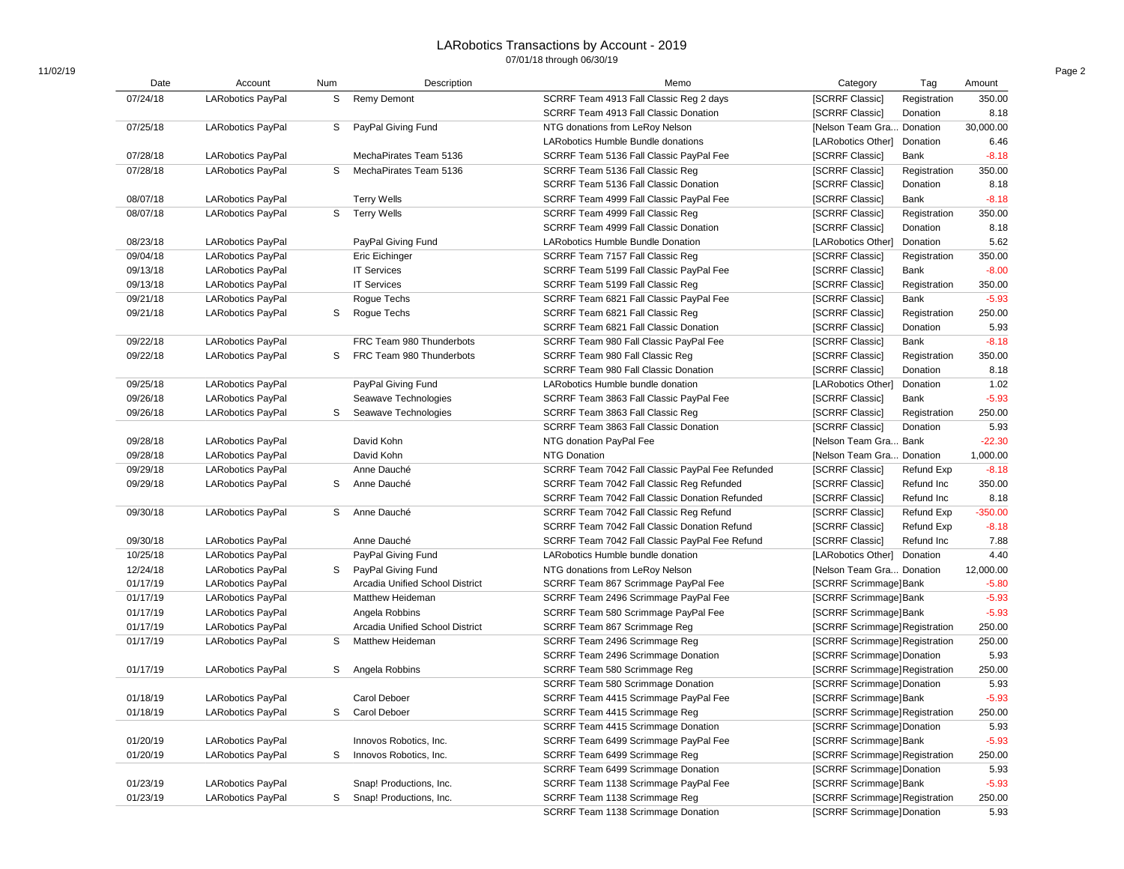| Date     | Account                  | Num | Description                     | Memo                                             | Category                       | Tag               | Amount    |
|----------|--------------------------|-----|---------------------------------|--------------------------------------------------|--------------------------------|-------------------|-----------|
| 07/24/18 | <b>LARobotics PayPal</b> | S   | <b>Remy Demont</b>              | SCRRF Team 4913 Fall Classic Reg 2 days          | [SCRRF Classic]                | Registration      | 350.00    |
|          |                          |     |                                 | SCRRF Team 4913 Fall Classic Donation            | [SCRRF Classic]                | Donation          | 8.18      |
| 07/25/18 | <b>LARobotics PayPal</b> |     | S PayPal Giving Fund            | NTG donations from LeRoy Nelson                  | [Nelson Team Gra Donation      |                   | 30,000.00 |
|          |                          |     |                                 | LARobotics Humble Bundle donations               | [LARobotics Other]             | Donation          | 6.46      |
| 07/28/18 | <b>LARobotics PayPal</b> |     | MechaPirates Team 5136          | SCRRF Team 5136 Fall Classic PayPal Fee          | [SCRRF Classic]                | Bank              | $-8.18$   |
| 07/28/18 | <b>LARobotics PayPal</b> | S   | MechaPirates Team 5136          | SCRRF Team 5136 Fall Classic Reg                 | [SCRRF Classic]                | Registration      | 350.00    |
|          |                          |     |                                 | SCRRF Team 5136 Fall Classic Donation            | [SCRRF Classic]                | Donation          | 8.18      |
| 08/07/18 | <b>LARobotics PayPal</b> |     | <b>Terry Wells</b>              | SCRRF Team 4999 Fall Classic PayPal Fee          | [SCRRF Classic]                | Bank              | $-8.18$   |
| 08/07/18 | <b>LARobotics PayPal</b> |     | S Terry Wells                   | SCRRF Team 4999 Fall Classic Reg                 | [SCRRF Classic]                | Registration      | 350.00    |
|          |                          |     |                                 | SCRRF Team 4999 Fall Classic Donation            | [SCRRF Classic]                | Donation          | 8.18      |
| 08/23/18 | <b>LARobotics PayPal</b> |     | PayPal Giving Fund              | <b>LARobotics Humble Bundle Donation</b>         | [LARobotics Other]             | Donation          | 5.62      |
| 09/04/18 | <b>LARobotics PayPal</b> |     | Eric Eichinger                  | SCRRF Team 7157 Fall Classic Reg                 | [SCRRF Classic]                | Registration      | 350.00    |
| 09/13/18 | <b>LARobotics PayPal</b> |     | <b>IT Services</b>              | SCRRF Team 5199 Fall Classic PayPal Fee          | [SCRRF Classic]                | Bank              | $-8.00$   |
| 09/13/18 | <b>LARobotics PayPal</b> |     | <b>IT Services</b>              | SCRRF Team 5199 Fall Classic Reg                 | [SCRRF Classic]                | Registration      | 350.00    |
| 09/21/18 | <b>LARobotics PayPal</b> |     | Rogue Techs                     | SCRRF Team 6821 Fall Classic PayPal Fee          | [SCRRF Classic]                | Bank              | $-5.93$   |
| 09/21/18 | <b>LARobotics PayPal</b> | S   | Rogue Techs                     | SCRRF Team 6821 Fall Classic Reg                 | [SCRRF Classic]                | Registration      | 250.00    |
|          |                          |     |                                 | SCRRF Team 6821 Fall Classic Donation            | [SCRRF Classic]                | Donation          | 5.93      |
| 09/22/18 | <b>LARobotics PayPal</b> |     | FRC Team 980 Thunderbots        | SCRRF Team 980 Fall Classic PayPal Fee           | [SCRRF Classic]                | Bank              | $-8.18$   |
| 09/22/18 | <b>LARobotics PayPal</b> | S   | FRC Team 980 Thunderbots        | SCRRF Team 980 Fall Classic Reg                  | [SCRRF Classic]                | Registration      | 350.00    |
|          |                          |     |                                 | SCRRF Team 980 Fall Classic Donation             | [SCRRF Classic]                | Donation          | 8.18      |
| 09/25/18 | <b>LARobotics PayPal</b> |     | PayPal Giving Fund              | LARobotics Humble bundle donation                | [LARobotics Other]             | Donation          | 1.02      |
| 09/26/18 | <b>LARobotics PayPal</b> |     | Seawave Technologies            | SCRRF Team 3863 Fall Classic PayPal Fee          | [SCRRF Classic]                | Bank              | $-5.93$   |
| 09/26/18 | <b>LARobotics PayPal</b> | S   | Seawave Technologies            | SCRRF Team 3863 Fall Classic Reg                 | [SCRRF Classic]                | Registration      | 250.00    |
|          |                          |     |                                 | SCRRF Team 3863 Fall Classic Donation            | [SCRRF Classic]                | Donation          | 5.93      |
| 09/28/18 | <b>LARobotics PayPal</b> |     | David Kohn                      | NTG donation PayPal Fee                          | [Nelson Team Gra Bank          |                   | $-22.30$  |
| 09/28/18 | <b>LARobotics PayPal</b> |     | David Kohn                      | <b>NTG Donation</b>                              | [Nelson Team Gra Donation      |                   | 1,000.00  |
| 09/29/18 | <b>LARobotics PayPal</b> |     | Anne Dauché                     | SCRRF Team 7042 Fall Classic PayPal Fee Refunded | [SCRRF Classic]                | <b>Refund Exp</b> | $-8.18$   |
| 09/29/18 | <b>LARobotics PayPal</b> | S   | Anne Dauché                     | SCRRF Team 7042 Fall Classic Reg Refunded        | [SCRRF Classic]                | Refund Inc        | 350.00    |
|          |                          |     |                                 | SCRRF Team 7042 Fall Classic Donation Refunded   | [SCRRF Classic]                | Refund Inc        | 8.18      |
| 09/30/18 | <b>LARobotics PayPal</b> |     | S Anne Dauché                   | SCRRF Team 7042 Fall Classic Reg Refund          | [SCRRF Classic]                | Refund Exp        | $-350.00$ |
|          |                          |     |                                 | SCRRF Team 7042 Fall Classic Donation Refund     | [SCRRF Classic]                | Refund Exp        | $-8.18$   |
| 09/30/18 | <b>LARobotics PayPal</b> |     | Anne Dauché                     | SCRRF Team 7042 Fall Classic PayPal Fee Refund   | [SCRRF Classic]                | Refund Inc        | 7.88      |
| 10/25/18 | <b>LARobotics PayPal</b> |     | PayPal Giving Fund              | LARobotics Humble bundle donation                | [LARobotics Other] Donation    |                   | 4.40      |
| 12/24/18 | <b>LARobotics PayPal</b> | S   | PayPal Giving Fund              | NTG donations from LeRoy Nelson                  | [Nelson Team Gra Donation      |                   | 12,000.00 |
| 01/17/19 |                          |     | Arcadia Unified School District |                                                  | [SCRRF Scrimmage]Bank          |                   | $-5.80$   |
| 01/17/19 | <b>LARobotics PayPal</b> |     | Matthew Heideman                | SCRRF Team 867 Scrimmage PayPal Fee              |                                |                   | $-5.93$   |
| 01/17/19 | <b>LARobotics PayPal</b> |     |                                 | SCRRF Team 2496 Scrimmage PayPal Fee             | [SCRRF Scrimmage]Bank          |                   | $-5.93$   |
| 01/17/19 | <b>LARobotics PayPal</b> |     | Angela Robbins                  | SCRRF Team 580 Scrimmage PayPal Fee              | [SCRRF Scrimmage]Bank          |                   |           |
|          | <b>LARobotics PayPal</b> |     | Arcadia Unified School District | SCRRF Team 867 Scrimmage Reg                     | [SCRRF Scrimmage] Registration |                   | 250.00    |
| 01/17/19 | <b>LARobotics PayPal</b> | S   | Matthew Heideman                | SCRRF Team 2496 Scrimmage Reg                    | [SCRRF Scrimmage]Registration  |                   | 250.00    |
|          |                          |     |                                 | SCRRF Team 2496 Scrimmage Donation               | [SCRRF Scrimmage] Donation     |                   | 5.93      |
| 01/17/19 | <b>LARobotics PayPal</b> | S   | Angela Robbins                  | SCRRF Team 580 Scrimmage Reg                     | [SCRRF Scrimmage] Registration |                   | 250.00    |
|          |                          |     |                                 | SCRRF Team 580 Scrimmage Donation                | [SCRRF Scrimmage] Donation     |                   | 5.93      |
| 01/18/19 | <b>LARobotics PayPal</b> |     | Carol Deboer                    | SCRRF Team 4415 Scrimmage PayPal Fee             | [SCRRF Scrimmage]Bank          |                   | $-5.93$   |
| 01/18/19 | <b>LARobotics PayPal</b> | S   | Carol Deboer                    | SCRRF Team 4415 Scrimmage Reg                    | [SCRRF Scrimmage]Registration  |                   | 250.00    |
|          |                          |     |                                 | SCRRF Team 4415 Scrimmage Donation               | [SCRRF Scrimmage] Donation     |                   | 5.93      |
| 01/20/19 | <b>LARobotics PayPal</b> |     | Innovos Robotics, Inc.          | SCRRF Team 6499 Scrimmage PayPal Fee             | [SCRRF Scrimmage]Bank          |                   | $-5.93$   |
| 01/20/19 | <b>LARobotics PayPal</b> | S   | Innovos Robotics, Inc.          | SCRRF Team 6499 Scrimmage Reg                    | [SCRRF Scrimmage]Registration  |                   | 250.00    |
|          |                          |     |                                 | SCRRF Team 6499 Scrimmage Donation               | [SCRRF Scrimmage] Donation     |                   | 5.93      |
| 01/23/19 | <b>LARobotics PayPal</b> |     | Snap! Productions, Inc.         | SCRRF Team 1138 Scrimmage PayPal Fee             | [SCRRF Scrimmage]Bank          |                   | $-5.93$   |
| 01/23/19 | <b>LARobotics PayPal</b> | S   | Snap! Productions, Inc.         | SCRRF Team 1138 Scrimmage Reg                    | [SCRRF Scrimmage] Registration |                   | 250.00    |
|          |                          |     |                                 | SCRRF Team 1138 Scrimmage Donation               | [SCRRF Scrimmage]Donation      |                   | 5.93      |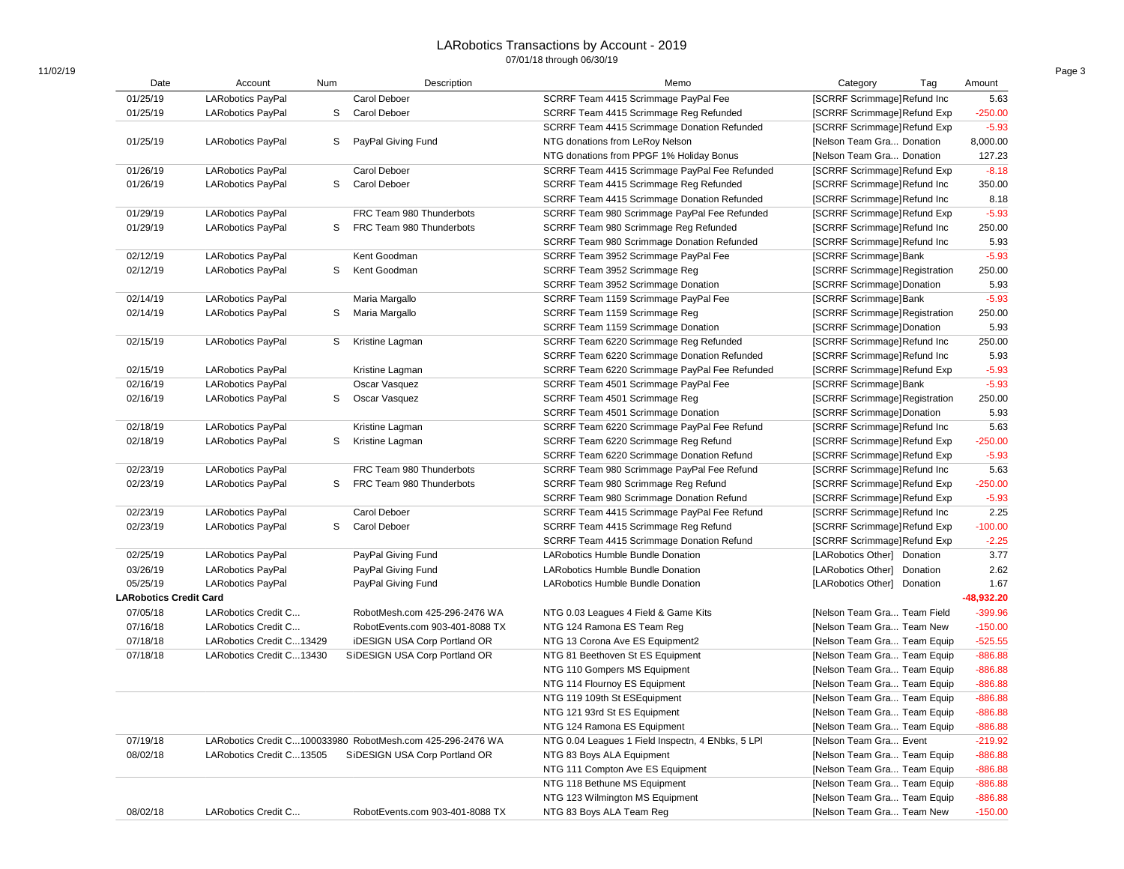| Date                          | Account                  | Num | Description                                                | Memo                                              | Category<br>Tag                    | Amount       |
|-------------------------------|--------------------------|-----|------------------------------------------------------------|---------------------------------------------------|------------------------------------|--------------|
| 01/25/19                      | <b>LARobotics PayPal</b> |     | Carol Deboer                                               | SCRRF Team 4415 Scrimmage PayPal Fee              | [SCRRF Scrimmage]Refund Inc        | 5.63         |
| 01/25/19                      | <b>LARobotics PayPal</b> | S   | Carol Deboer                                               | SCRRF Team 4415 Scrimmage Reg Refunded            | [SCRRF Scrimmage]Refund Exp        | $-250.00$    |
|                               |                          |     |                                                            | SCRRF Team 4415 Scrimmage Donation Refunded       | [SCRRF Scrimmage] Refund Exp       | $-5.93$      |
| 01/25/19                      | <b>LARobotics PayPal</b> | S   | PayPal Giving Fund                                         | NTG donations from LeRoy Nelson                   | [Nelson Team Gra Donation          | 8,000.00     |
|                               |                          |     |                                                            | NTG donations from PPGF 1% Holiday Bonus          | [Nelson Team Gra Donation          | 127.23       |
| 01/26/19                      | <b>LARobotics PayPal</b> |     | Carol Deboer                                               | SCRRF Team 4415 Scrimmage PayPal Fee Refunded     | <b>ISCRRF Scrimmage Refund Exp</b> | $-8.18$      |
| 01/26/19                      | <b>LARobotics PayPal</b> | S   | Carol Deboer                                               | SCRRF Team 4415 Scrimmage Reg Refunded            | [SCRRF Scrimmage] Refund Inc       | 350.00       |
|                               |                          |     |                                                            | SCRRF Team 4415 Scrimmage Donation Refunded       | [SCRRF Scrimmage]Refund Inc        | 8.18         |
| 01/29/19                      | <b>LARobotics PayPal</b> |     | FRC Team 980 Thunderbots                                   | SCRRF Team 980 Scrimmage PayPal Fee Refunded      | <b>ISCRRF Scrimmage Refund Exp</b> | $-5.93$      |
| 01/29/19                      | <b>LARobotics PayPal</b> | S   | FRC Team 980 Thunderbots                                   | SCRRF Team 980 Scrimmage Reg Refunded             | [SCRRF Scrimmage]Refund Inc        | 250.00       |
|                               |                          |     |                                                            | SCRRF Team 980 Scrimmage Donation Refunded        | [SCRRF Scrimmage] Refund Inc       | 5.93         |
| 02/12/19                      | <b>LARobotics PayPal</b> |     | Kent Goodman                                               | SCRRF Team 3952 Scrimmage PayPal Fee              | [SCRRF Scrimmage]Bank              | $-5.93$      |
| 02/12/19                      | <b>LARobotics PayPal</b> | S   | Kent Goodman                                               | SCRRF Team 3952 Scrimmage Reg                     | [SCRRF Scrimmage] Registration     | 250.00       |
|                               |                          |     |                                                            | SCRRF Team 3952 Scrimmage Donation                | [SCRRF Scrimmage] Donation         | 5.93         |
| 02/14/19                      | <b>LARobotics PayPal</b> |     | Maria Margallo                                             | SCRRF Team 1159 Scrimmage PayPal Fee              | [SCRRF Scrimmage]Bank              | $-5.93$      |
| 02/14/19                      | <b>LARobotics PayPal</b> | S   | Maria Margallo                                             | SCRRF Team 1159 Scrimmage Reg                     | [SCRRF Scrimmage] Registration     | 250.00       |
|                               |                          |     |                                                            | SCRRF Team 1159 Scrimmage Donation                | [SCRRF Scrimmage] Donation         | 5.93         |
| 02/15/19                      | <b>LARobotics PayPal</b> | S   | Kristine Lagman                                            | SCRRF Team 6220 Scrimmage Reg Refunded            | [SCRRF Scrimmage]Refund Inc        | 250.00       |
|                               |                          |     |                                                            | SCRRF Team 6220 Scrimmage Donation Refunded       | [SCRRF Scrimmage] Refund Inc       | 5.93         |
| 02/15/19                      | <b>LARobotics PayPal</b> |     | Kristine Lagman                                            | SCRRF Team 6220 Scrimmage PayPal Fee Refunded     | [SCRRF Scrimmage]Refund Exp        | $-5.93$      |
| 02/16/19                      |                          |     | Oscar Vasquez                                              |                                                   | <b>ISCRRF Scrimmage Bank</b>       | $-5.93$      |
|                               | <b>LARobotics PayPal</b> |     |                                                            | SCRRF Team 4501 Scrimmage PayPal Fee              |                                    |              |
| 02/16/19                      | <b>LARobotics PayPal</b> | S   | Oscar Vasquez                                              | SCRRF Team 4501 Scrimmage Reg                     | [SCRRF Scrimmage] Registration     | 250.00       |
|                               |                          |     |                                                            | SCRRF Team 4501 Scrimmage Donation                | [SCRRF Scrimmage] Donation         | 5.93         |
| 02/18/19                      | <b>LARobotics PayPal</b> |     | Kristine Lagman                                            | SCRRF Team 6220 Scrimmage PayPal Fee Refund       | [SCRRF Scrimmage]Refund Inc        | 5.63         |
| 02/18/19                      | <b>LARobotics PayPal</b> | S   | Kristine Lagman                                            | SCRRF Team 6220 Scrimmage Reg Refund              | [SCRRF Scrimmage] Refund Exp       | $-250.00$    |
|                               |                          |     |                                                            | SCRRF Team 6220 Scrimmage Donation Refund         | [SCRRF Scrimmage] Refund Exp       | $-5.93$      |
| 02/23/19                      | <b>LARobotics PayPal</b> |     | FRC Team 980 Thunderbots                                   | SCRRF Team 980 Scrimmage PayPal Fee Refund        | [SCRRF Scrimmage] Refund Inc       | 5.63         |
| 02/23/19                      | <b>LARobotics PayPal</b> | S   | FRC Team 980 Thunderbots                                   | SCRRF Team 980 Scrimmage Reg Refund               | [SCRRF Scrimmage]Refund Exp        | $-250.00$    |
|                               |                          |     |                                                            | SCRRF Team 980 Scrimmage Donation Refund          | [SCRRF Scrimmage] Refund Exp       | $-5.93$      |
| 02/23/19                      | <b>LARobotics PayPal</b> |     | Carol Deboer                                               | SCRRF Team 4415 Scrimmage PayPal Fee Refund       | [SCRRF Scrimmage] Refund Inc       | 2.25         |
| 02/23/19                      | <b>LARobotics PayPal</b> | S   | Carol Deboer                                               | SCRRF Team 4415 Scrimmage Reg Refund              | [SCRRF Scrimmage]Refund Exp        | $-100.00$    |
|                               |                          |     |                                                            | SCRRF Team 4415 Scrimmage Donation Refund         | [SCRRF Scrimmage] Refund Exp       | $-2.25$      |
| 02/25/19                      | <b>LARobotics PayPal</b> |     | PayPal Giving Fund                                         | LARobotics Humble Bundle Donation                 | [LARobotics Other] Donation        | 3.77         |
| 03/26/19                      | <b>LARobotics PayPal</b> |     | PayPal Giving Fund                                         | LARobotics Humble Bundle Donation                 | [LARobotics Other] Donation        | 2.62         |
| 05/25/19                      | <b>LARobotics PayPal</b> |     | PayPal Giving Fund                                         | <b>LARobotics Humble Bundle Donation</b>          | [LARobotics Other] Donation        | 1.67         |
| <b>LARobotics Credit Card</b> |                          |     |                                                            |                                                   |                                    | $-48,932.20$ |
| 07/05/18                      | LARobotics Credit C      |     | RobotMesh.com 425-296-2476 WA                              | NTG 0.03 Leagues 4 Field & Game Kits              | [Nelson Team Gra Team Field        | $-399.96$    |
| 07/16/18                      | LARobotics Credit C      |     | RobotEvents.com 903-401-8088 TX                            | NTG 124 Ramona ES Team Reg                        | [Nelson Team Gra Team New          | $-150.00$    |
| 07/18/18                      | LARobotics Credit C13429 |     | <b>iDESIGN USA Corp Portland OR</b>                        | NTG 13 Corona Ave ES Equipment2                   | [Nelson Team Gra Team Equip        | $-525.55$    |
| 07/18/18                      | LARobotics Credit C13430 |     | SiDESIGN USA Corp Portland OR                              | NTG 81 Beethoven St ES Equipment                  | [Nelson Team Gra Team Equip        | $-886.88$    |
|                               |                          |     |                                                            | NTG 110 Gompers MS Equipment                      | [Nelson Team Gra Team Equip        | $-886.88$    |
|                               |                          |     |                                                            | NTG 114 Flournoy ES Equipment                     | [Nelson Team Gra Team Equip        | $-886.88$    |
|                               |                          |     |                                                            | NTG 119 109th St ESEquipment                      | [Nelson Team Gra Team Equip        | $-886.88$    |
|                               |                          |     |                                                            | NTG 121 93rd St ES Equipment                      | [Nelson Team Gra Team Equip        | $-886.88$    |
|                               |                          |     |                                                            | NTG 124 Ramona ES Equipment                       | [Nelson Team Gra Team Equip        | $-886.88$    |
| 07/19/18                      |                          |     | LARobotics Credit C100033980 RobotMesh.com 425-296-2476 WA | NTG 0.04 Leagues 1 Field Inspectn, 4 ENbks, 5 LPI | [Nelson Team Gra Event             | $-219.92$    |
| 08/02/18                      |                          |     | SiDESIGN USA Corp Portland OR                              | NTG 83 Boys ALA Equipment                         |                                    |              |
|                               | LARobotics Credit C13505 |     |                                                            |                                                   | [Nelson Team Gra Team Equip        | $-886.88$    |
|                               |                          |     |                                                            | NTG 111 Compton Ave ES Equipment                  | [Nelson Team Gra Team Equip        | $-886.88$    |
|                               |                          |     |                                                            | NTG 118 Bethune MS Equipment                      | [Nelson Team Gra Team Equip        | $-886.88$    |
|                               |                          |     |                                                            | NTG 123 Wilmington MS Equipment                   | [Nelson Team Gra Team Equip        | $-886.88$    |
| 08/02/18                      | LARobotics Credit C      |     | RobotEvents.com 903-401-8088 TX                            | NTG 83 Boys ALA Team Reg                          | [Nelson Team Gra Team New          | $-150.00$    |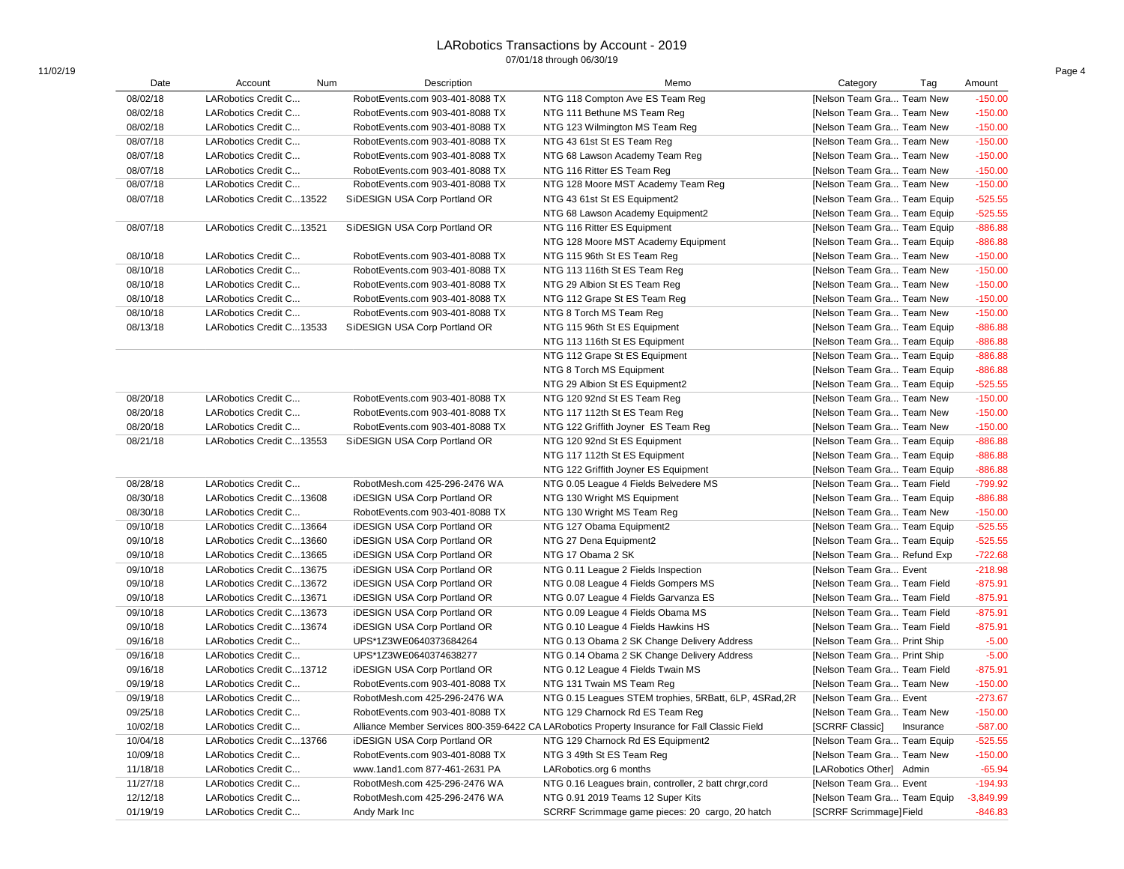| Date<br>Description<br>Memo<br>Account<br>Num<br>Tag<br>Amount<br>08/02/18<br>LARobotics Credit C<br>NTG 118 Compton Ave ES Team Reg<br>[Nelson Team Gra Team New<br>RobotEvents.com 903-401-8088 TX<br>08/02/18<br>LARobotics Credit C<br>NTG 111 Bethune MS Team Reg<br>[Nelson Team Gra Team New<br>RobotEvents.com 903-401-8088 TX<br>08/02/18<br>LARobotics Credit C<br>RobotEvents.com 903-401-8088 TX<br>NTG 123 Wilmington MS Team Reg<br>[Nelson Team Gra Team New<br>08/07/18<br>LARobotics Credit C<br>RobotEvents.com 903-401-8088 TX<br>NTG 43 61st St ES Team Reg<br>[Nelson Team Gra Team New<br>08/07/18<br>[Nelson Team Gra Team New<br>LARobotics Credit C<br>RobotEvents.com 903-401-8088 TX<br>NTG 68 Lawson Academy Team Reg<br>08/07/18<br>LARobotics Credit C<br>RobotEvents.com 903-401-8088 TX<br>NTG 116 Ritter ES Team Reg<br>[Nelson Team Gra Team New<br>08/07/18<br>LARobotics Credit C<br>RobotEvents.com 903-401-8088 TX<br>NTG 128 Moore MST Academy Team Reg<br>[Nelson Team Gra Team New<br>08/07/18<br>LARobotics Credit C13522<br>SiDESIGN USA Corp Portland OR<br>NTG 43 61st St ES Equipment2<br>[Nelson Team Gra Team Equip<br>NTG 68 Lawson Academy Equipment2<br>[Nelson Team Gra Team Equip<br>08/07/18<br>LARobotics Credit C13521<br>SiDESIGN USA Corp Portland OR<br>NTG 116 Ritter ES Equipment<br>[Nelson Team Gra Team Equip<br>NTG 128 Moore MST Academy Equipment<br>[Nelson Team Gra Team Equip<br>08/10/18<br>LARobotics Credit C<br>RobotEvents.com 903-401-8088 TX<br>NTG 115 96th St ES Team Reg<br>[Nelson Team Gra Team New<br>08/10/18<br>LARobotics Credit C<br>RobotEvents.com 903-401-8088 TX<br>NTG 113 116th St ES Team Reg<br>[Nelson Team Gra Team New<br>08/10/18<br>LARobotics Credit C<br>[Nelson Team Gra Team New<br>$-150.00$<br>RobotEvents.com 903-401-8088 TX<br>NTG 29 Albion St ES Team Reg<br>08/10/18<br>$-150.00$<br>LARobotics Credit C<br>RobotEvents.com 903-401-8088 TX<br>NTG 112 Grape St ES Team Reg<br>[Nelson Team Gra Team New<br>$-150.00$<br>08/10/18<br>LARobotics Credit C<br>RobotEvents.com 903-401-8088 TX<br>[Nelson Team Gra Team New<br>NTG 8 Torch MS Team Reg<br>08/13/18<br>$-886.88$<br>LARobotics Credit C13533<br>SiDESIGN USA Corp Portland OR<br>NTG 115 96th St ES Equipment<br>[Nelson Team Gra Team Equip<br>$-886.88$<br>NTG 113 116th St ES Equipment<br>[Nelson Team Gra Team Equip<br>$-886.88$<br>NTG 112 Grape St ES Equipment<br>[Nelson Team Gra Team Equip<br>$-886.88$<br>NTG 8 Torch MS Equipment<br>[Nelson Team Gra Team Equip<br>$-525.55$<br>NTG 29 Albion St ES Equipment2<br>[Nelson Team Gra Team Equip<br>$-150.00$<br>08/20/18<br>LARobotics Credit C<br>RobotEvents.com 903-401-8088 TX<br>[Nelson Team Gra Team New<br>NTG 120 92nd St ES Team Reg<br>08/20/18<br>LARobotics Credit C<br>$-150.00$<br>RobotEvents.com 903-401-8088 TX<br>NTG 117 112th St ES Team Req<br>[Nelson Team Gra Team New<br>08/20/18<br>$-150.00$<br>LARobotics Credit C<br>RobotEvents.com 903-401-8088 TX<br>NTG 122 Griffith Joyner ES Team Reg<br>[Nelson Team Gra Team New<br>$-886.88$<br>08/21/18<br>LARobotics Credit C13553<br>SiDESIGN USA Corp Portland OR<br>NTG 120 92nd St ES Equipment<br>[Nelson Team Gra Team Equip<br>$-886.88$<br>NTG 117 112th St ES Equipment<br>[Nelson Team Gra Team Equip<br>$-886.88$<br>NTG 122 Griffith Joyner ES Equipment<br>[Nelson Team Gra Team Equip<br>$-799.92$<br>08/28/18<br><b>LARobotics Credit C</b><br>RobotMesh.com 425-296-2476 WA<br>NTG 0.05 League 4 Fields Belvedere MS<br>[Nelson Team Gra Team Field<br>08/30/18<br>LARobotics Credit C13608<br>$-886.88$<br><b>iDESIGN USA Corp Portland OR</b><br>NTG 130 Wright MS Equipment<br>[Nelson Team Gra Team Equip<br>08/30/18<br>LARobotics Credit C<br>NTG 130 Wright MS Team Reg<br>$-150.00$<br>RobotEvents.com 903-401-8088 TX<br>[Nelson Team Gra Team New<br>$-525.55$<br>09/10/18<br>LARobotics Credit C13664<br><b>iDESIGN USA Corp Portland OR</b><br>NTG 127 Obama Equipment2<br>[Nelson Team Gra Team Equip<br>09/10/18<br>$-525.55$<br>LARobotics Credit C13660<br><b>iDESIGN USA Corp Portland OR</b><br>NTG 27 Dena Equipment2<br>[Nelson Team Gra Team Equip<br>09/10/18<br>$-722.68$<br>LARobotics Credit C13665<br><b>iDESIGN USA Corp Portland OR</b><br>NTG 17 Obama 2 SK<br>[Nelson Team Gra Refund Exp<br>$-218.98$<br>09/10/18<br>[Nelson Team Gra Event<br>LARobotics Credit C13675<br><b>iDESIGN USA Corp Portland OR</b><br>NTG 0.11 League 2 Fields Inspection<br>$-875.91$<br>09/10/18<br>LARobotics Credit C13672<br><b>iDESIGN USA Corp Portland OR</b><br>NTG 0.08 League 4 Fields Gompers MS<br>[Nelson Team Gra Team Field<br>09/10/18<br>LARobotics Credit C13671<br><b>iDESIGN USA Corp Portland OR</b><br>NTG 0.07 League 4 Fields Garvanza ES<br>[Nelson Team Gra Team Field<br>$-875.91$<br>$-875.91$<br>09/10/18<br>LARobotics Credit C13673<br><b>iDESIGN USA Corp Portland OR</b><br>NTG 0.09 League 4 Fields Obama MS<br>[Nelson Team Gra Team Field<br>09/10/18<br>$-875.91$<br>LARobotics Credit C13674<br><b>iDESIGN USA Corp Portland OR</b><br>NTG 0.10 League 4 Fields Hawkins HS<br>[Nelson Team Gra Team Field<br>09/16/18<br>LARobotics Credit C<br>UPS*1Z3WE0640373684264<br>$-5.00$<br>NTG 0.13 Obama 2 SK Change Delivery Address<br>[Nelson Team Gra Print Ship<br>$-5.00$<br>09/16/18<br>LARobotics Credit C<br>UPS*1Z3WE0640374638277<br>[Nelson Team Gra Print Ship<br>NTG 0.14 Obama 2 SK Change Delivery Address<br>09/16/18<br>$-875.91$<br>LARobotics Credit C13712<br><b>iDESIGN USA Corp Portland OR</b><br>NTG 0.12 League 4 Fields Twain MS<br>[Nelson Team Gra Team Field<br>09/19/18<br>LARobotics Credit C<br>RobotEvents.com 903-401-8088 TX<br>NTG 131 Twain MS Team Reg<br>[Nelson Team Gra Team New<br>09/19/18<br>LARobotics Credit C<br>RobotMesh.com 425-296-2476 WA<br>NTG 0.15 Leagues STEM trophies, 5RBatt, 6LP, 4SRad, 2R<br>[Nelson Team Gra Event<br>$-273.67$<br>09/25/18<br>LARobotics Credit C<br>RobotEvents.com 903-401-8088 TX<br>NTG 129 Charnock Rd ES Team Reg<br>[Nelson Team Gra Team New<br>10/02/18<br>[SCRRF Classic]<br>LARobotics Credit C<br>Alliance Member Services 800-359-6422 CA LARobotics Property Insurance for Fall Classic Field<br>Insurance<br>10/04/18<br>LARobotics Credit C13766<br>[Nelson Team Gra Team Equip<br><b>iDESIGN USA Corp Portland OR</b><br>NTG 129 Charnock Rd ES Equipment2<br>10/09/18<br>LARobotics Credit C<br>RobotEvents.com 903-401-8088 TX<br>NTG 3 49th St ES Team Reg<br>[Nelson Team Gra Team New<br>11/18/18<br>LARobotics Credit C<br>www.1and1.com 877-461-2631 PA<br>LARobotics.org 6 months<br>[LARobotics Other] Admin<br>11/27/18<br>LARobotics Credit C<br>RobotMesh.com 425-296-2476 WA<br>NTG 0.16 Leagues brain, controller, 2 batt chrgr, cord<br>[Nelson Team Gra Event<br>12/12/18<br>LARobotics Credit C<br>RobotMesh.com 425-296-2476 WA<br>NTG 0.91 2019 Teams 12 Super Kits<br>[Nelson Team Gra Team Equip<br>01/19/19<br>LARobotics Credit C<br>SCRRF Scrimmage game pieces: 20 cargo, 20 hatch<br>[SCRRF Scrimmage] Field<br>Andy Mark Inc |  |  |          |             |
|-----------------------------------------------------------------------------------------------------------------------------------------------------------------------------------------------------------------------------------------------------------------------------------------------------------------------------------------------------------------------------------------------------------------------------------------------------------------------------------------------------------------------------------------------------------------------------------------------------------------------------------------------------------------------------------------------------------------------------------------------------------------------------------------------------------------------------------------------------------------------------------------------------------------------------------------------------------------------------------------------------------------------------------------------------------------------------------------------------------------------------------------------------------------------------------------------------------------------------------------------------------------------------------------------------------------------------------------------------------------------------------------------------------------------------------------------------------------------------------------------------------------------------------------------------------------------------------------------------------------------------------------------------------------------------------------------------------------------------------------------------------------------------------------------------------------------------------------------------------------------------------------------------------------------------------------------------------------------------------------------------------------------------------------------------------------------------------------------------------------------------------------------------------------------------------------------------------------------------------------------------------------------------------------------------------------------------------------------------------------------------------------------------------------------------------------------------------------------------------------------------------------------------------------------------------------------------------------------------------------------------------------------------------------------------------------------------------------------------------------------------------------------------------------------------------------------------------------------------------------------------------------------------------------------------------------------------------------------------------------------------------------------------------------------------------------------------------------------------------------------------------------------------------------------------------------------------------------------------------------------------------------------------------------------------------------------------------------------------------------------------------------------------------------------------------------------------------------------------------------------------------------------------------------------------------------------------------------------------------------------------------------------------------------------------------------------------------------------------------------------------------------------------------------------------------------------------------------------------------------------------------------------------------------------------------------------------------------------------------------------------------------------------------------------------------------------------------------------------------------------------------------------------------------------------------------------------------------------------------------------------------------------------------------------------------------------------------------------------------------------------------------------------------------------------------------------------------------------------------------------------------------------------------------------------------------------------------------------------------------------------------------------------------------------------------------------------------------------------------------------------------------------------------------------------------------------------------------------------------------------------------------------------------------------------------------------------------------------------------------------------------------------------------------------------------------------------------------------------------------------------------------------------------------------------------------------------------------------------------------------------------------------------------------------------------------------------------------------------------------------------------------------------------------------------------------------------------------------------------------------------------------------------------------------------------------------------------------------------------------------------------------------------------------------------------------------------------------------------------------------------------------------------------------------------------------------------------------------------------------------------------------------------------------------------------------------------------------------------------------------------------------------------------------------------------------------------------------------------------------------------------------------------------------------------------------------------------------------------------------------------------------------------------------------------------------------------------------------------------------------------------------------------------------------------------------------------------------------------------------------------------------------------------------------------------------------------------------------------------------------------------------------------------------------------------------------------------------------------------------------------------------------------------------------------------------------------------------------------------------------------------------------------------------------------------------------------------------------------------------------------------------------------------------------------------------------------------------------------------------------------------------|--|--|----------|-------------|
|                                                                                                                                                                                                                                                                                                                                                                                                                                                                                                                                                                                                                                                                                                                                                                                                                                                                                                                                                                                                                                                                                                                                                                                                                                                                                                                                                                                                                                                                                                                                                                                                                                                                                                                                                                                                                                                                                                                                                                                                                                                                                                                                                                                                                                                                                                                                                                                                                                                                                                                                                                                                                                                                                                                                                                                                                                                                                                                                                                                                                                                                                                                                                                                                                                                                                                                                                                                                                                                                                                                                                                                                                                                                                                                                                                                                                                                                                                                                                                                                                                                                                                                                                                                                                                                                                                                                                                                                                                                                                                                                                                                                                                                                                                                                                                                                                                                                                                                                                                                                                                                                                                                                                                                                                                                                                                                                                                                                                                                                                                                                                                                                                                                                                                                                                                                                                                                                                                                                                                                                                                                                                                                                                                                                                                                                                                                                                                                                                                                                                                                                                                                                                                                                                                                                                                                                                                                                                                                                                                                                                                                                                                                                         |  |  | Category |             |
|                                                                                                                                                                                                                                                                                                                                                                                                                                                                                                                                                                                                                                                                                                                                                                                                                                                                                                                                                                                                                                                                                                                                                                                                                                                                                                                                                                                                                                                                                                                                                                                                                                                                                                                                                                                                                                                                                                                                                                                                                                                                                                                                                                                                                                                                                                                                                                                                                                                                                                                                                                                                                                                                                                                                                                                                                                                                                                                                                                                                                                                                                                                                                                                                                                                                                                                                                                                                                                                                                                                                                                                                                                                                                                                                                                                                                                                                                                                                                                                                                                                                                                                                                                                                                                                                                                                                                                                                                                                                                                                                                                                                                                                                                                                                                                                                                                                                                                                                                                                                                                                                                                                                                                                                                                                                                                                                                                                                                                                                                                                                                                                                                                                                                                                                                                                                                                                                                                                                                                                                                                                                                                                                                                                                                                                                                                                                                                                                                                                                                                                                                                                                                                                                                                                                                                                                                                                                                                                                                                                                                                                                                                                                         |  |  |          | $-150.00$   |
|                                                                                                                                                                                                                                                                                                                                                                                                                                                                                                                                                                                                                                                                                                                                                                                                                                                                                                                                                                                                                                                                                                                                                                                                                                                                                                                                                                                                                                                                                                                                                                                                                                                                                                                                                                                                                                                                                                                                                                                                                                                                                                                                                                                                                                                                                                                                                                                                                                                                                                                                                                                                                                                                                                                                                                                                                                                                                                                                                                                                                                                                                                                                                                                                                                                                                                                                                                                                                                                                                                                                                                                                                                                                                                                                                                                                                                                                                                                                                                                                                                                                                                                                                                                                                                                                                                                                                                                                                                                                                                                                                                                                                                                                                                                                                                                                                                                                                                                                                                                                                                                                                                                                                                                                                                                                                                                                                                                                                                                                                                                                                                                                                                                                                                                                                                                                                                                                                                                                                                                                                                                                                                                                                                                                                                                                                                                                                                                                                                                                                                                                                                                                                                                                                                                                                                                                                                                                                                                                                                                                                                                                                                                                         |  |  |          | $-150.00$   |
|                                                                                                                                                                                                                                                                                                                                                                                                                                                                                                                                                                                                                                                                                                                                                                                                                                                                                                                                                                                                                                                                                                                                                                                                                                                                                                                                                                                                                                                                                                                                                                                                                                                                                                                                                                                                                                                                                                                                                                                                                                                                                                                                                                                                                                                                                                                                                                                                                                                                                                                                                                                                                                                                                                                                                                                                                                                                                                                                                                                                                                                                                                                                                                                                                                                                                                                                                                                                                                                                                                                                                                                                                                                                                                                                                                                                                                                                                                                                                                                                                                                                                                                                                                                                                                                                                                                                                                                                                                                                                                                                                                                                                                                                                                                                                                                                                                                                                                                                                                                                                                                                                                                                                                                                                                                                                                                                                                                                                                                                                                                                                                                                                                                                                                                                                                                                                                                                                                                                                                                                                                                                                                                                                                                                                                                                                                                                                                                                                                                                                                                                                                                                                                                                                                                                                                                                                                                                                                                                                                                                                                                                                                                                         |  |  |          | $-150.00$   |
|                                                                                                                                                                                                                                                                                                                                                                                                                                                                                                                                                                                                                                                                                                                                                                                                                                                                                                                                                                                                                                                                                                                                                                                                                                                                                                                                                                                                                                                                                                                                                                                                                                                                                                                                                                                                                                                                                                                                                                                                                                                                                                                                                                                                                                                                                                                                                                                                                                                                                                                                                                                                                                                                                                                                                                                                                                                                                                                                                                                                                                                                                                                                                                                                                                                                                                                                                                                                                                                                                                                                                                                                                                                                                                                                                                                                                                                                                                                                                                                                                                                                                                                                                                                                                                                                                                                                                                                                                                                                                                                                                                                                                                                                                                                                                                                                                                                                                                                                                                                                                                                                                                                                                                                                                                                                                                                                                                                                                                                                                                                                                                                                                                                                                                                                                                                                                                                                                                                                                                                                                                                                                                                                                                                                                                                                                                                                                                                                                                                                                                                                                                                                                                                                                                                                                                                                                                                                                                                                                                                                                                                                                                                                         |  |  |          | $-150.00$   |
|                                                                                                                                                                                                                                                                                                                                                                                                                                                                                                                                                                                                                                                                                                                                                                                                                                                                                                                                                                                                                                                                                                                                                                                                                                                                                                                                                                                                                                                                                                                                                                                                                                                                                                                                                                                                                                                                                                                                                                                                                                                                                                                                                                                                                                                                                                                                                                                                                                                                                                                                                                                                                                                                                                                                                                                                                                                                                                                                                                                                                                                                                                                                                                                                                                                                                                                                                                                                                                                                                                                                                                                                                                                                                                                                                                                                                                                                                                                                                                                                                                                                                                                                                                                                                                                                                                                                                                                                                                                                                                                                                                                                                                                                                                                                                                                                                                                                                                                                                                                                                                                                                                                                                                                                                                                                                                                                                                                                                                                                                                                                                                                                                                                                                                                                                                                                                                                                                                                                                                                                                                                                                                                                                                                                                                                                                                                                                                                                                                                                                                                                                                                                                                                                                                                                                                                                                                                                                                                                                                                                                                                                                                                                         |  |  |          | $-150.00$   |
|                                                                                                                                                                                                                                                                                                                                                                                                                                                                                                                                                                                                                                                                                                                                                                                                                                                                                                                                                                                                                                                                                                                                                                                                                                                                                                                                                                                                                                                                                                                                                                                                                                                                                                                                                                                                                                                                                                                                                                                                                                                                                                                                                                                                                                                                                                                                                                                                                                                                                                                                                                                                                                                                                                                                                                                                                                                                                                                                                                                                                                                                                                                                                                                                                                                                                                                                                                                                                                                                                                                                                                                                                                                                                                                                                                                                                                                                                                                                                                                                                                                                                                                                                                                                                                                                                                                                                                                                                                                                                                                                                                                                                                                                                                                                                                                                                                                                                                                                                                                                                                                                                                                                                                                                                                                                                                                                                                                                                                                                                                                                                                                                                                                                                                                                                                                                                                                                                                                                                                                                                                                                                                                                                                                                                                                                                                                                                                                                                                                                                                                                                                                                                                                                                                                                                                                                                                                                                                                                                                                                                                                                                                                                         |  |  |          | $-150.00$   |
|                                                                                                                                                                                                                                                                                                                                                                                                                                                                                                                                                                                                                                                                                                                                                                                                                                                                                                                                                                                                                                                                                                                                                                                                                                                                                                                                                                                                                                                                                                                                                                                                                                                                                                                                                                                                                                                                                                                                                                                                                                                                                                                                                                                                                                                                                                                                                                                                                                                                                                                                                                                                                                                                                                                                                                                                                                                                                                                                                                                                                                                                                                                                                                                                                                                                                                                                                                                                                                                                                                                                                                                                                                                                                                                                                                                                                                                                                                                                                                                                                                                                                                                                                                                                                                                                                                                                                                                                                                                                                                                                                                                                                                                                                                                                                                                                                                                                                                                                                                                                                                                                                                                                                                                                                                                                                                                                                                                                                                                                                                                                                                                                                                                                                                                                                                                                                                                                                                                                                                                                                                                                                                                                                                                                                                                                                                                                                                                                                                                                                                                                                                                                                                                                                                                                                                                                                                                                                                                                                                                                                                                                                                                                         |  |  |          | $-150.00$   |
|                                                                                                                                                                                                                                                                                                                                                                                                                                                                                                                                                                                                                                                                                                                                                                                                                                                                                                                                                                                                                                                                                                                                                                                                                                                                                                                                                                                                                                                                                                                                                                                                                                                                                                                                                                                                                                                                                                                                                                                                                                                                                                                                                                                                                                                                                                                                                                                                                                                                                                                                                                                                                                                                                                                                                                                                                                                                                                                                                                                                                                                                                                                                                                                                                                                                                                                                                                                                                                                                                                                                                                                                                                                                                                                                                                                                                                                                                                                                                                                                                                                                                                                                                                                                                                                                                                                                                                                                                                                                                                                                                                                                                                                                                                                                                                                                                                                                                                                                                                                                                                                                                                                                                                                                                                                                                                                                                                                                                                                                                                                                                                                                                                                                                                                                                                                                                                                                                                                                                                                                                                                                                                                                                                                                                                                                                                                                                                                                                                                                                                                                                                                                                                                                                                                                                                                                                                                                                                                                                                                                                                                                                                                                         |  |  |          | $-525.55$   |
|                                                                                                                                                                                                                                                                                                                                                                                                                                                                                                                                                                                                                                                                                                                                                                                                                                                                                                                                                                                                                                                                                                                                                                                                                                                                                                                                                                                                                                                                                                                                                                                                                                                                                                                                                                                                                                                                                                                                                                                                                                                                                                                                                                                                                                                                                                                                                                                                                                                                                                                                                                                                                                                                                                                                                                                                                                                                                                                                                                                                                                                                                                                                                                                                                                                                                                                                                                                                                                                                                                                                                                                                                                                                                                                                                                                                                                                                                                                                                                                                                                                                                                                                                                                                                                                                                                                                                                                                                                                                                                                                                                                                                                                                                                                                                                                                                                                                                                                                                                                                                                                                                                                                                                                                                                                                                                                                                                                                                                                                                                                                                                                                                                                                                                                                                                                                                                                                                                                                                                                                                                                                                                                                                                                                                                                                                                                                                                                                                                                                                                                                                                                                                                                                                                                                                                                                                                                                                                                                                                                                                                                                                                                                         |  |  |          | $-525.55$   |
|                                                                                                                                                                                                                                                                                                                                                                                                                                                                                                                                                                                                                                                                                                                                                                                                                                                                                                                                                                                                                                                                                                                                                                                                                                                                                                                                                                                                                                                                                                                                                                                                                                                                                                                                                                                                                                                                                                                                                                                                                                                                                                                                                                                                                                                                                                                                                                                                                                                                                                                                                                                                                                                                                                                                                                                                                                                                                                                                                                                                                                                                                                                                                                                                                                                                                                                                                                                                                                                                                                                                                                                                                                                                                                                                                                                                                                                                                                                                                                                                                                                                                                                                                                                                                                                                                                                                                                                                                                                                                                                                                                                                                                                                                                                                                                                                                                                                                                                                                                                                                                                                                                                                                                                                                                                                                                                                                                                                                                                                                                                                                                                                                                                                                                                                                                                                                                                                                                                                                                                                                                                                                                                                                                                                                                                                                                                                                                                                                                                                                                                                                                                                                                                                                                                                                                                                                                                                                                                                                                                                                                                                                                                                         |  |  |          | $-886.88$   |
|                                                                                                                                                                                                                                                                                                                                                                                                                                                                                                                                                                                                                                                                                                                                                                                                                                                                                                                                                                                                                                                                                                                                                                                                                                                                                                                                                                                                                                                                                                                                                                                                                                                                                                                                                                                                                                                                                                                                                                                                                                                                                                                                                                                                                                                                                                                                                                                                                                                                                                                                                                                                                                                                                                                                                                                                                                                                                                                                                                                                                                                                                                                                                                                                                                                                                                                                                                                                                                                                                                                                                                                                                                                                                                                                                                                                                                                                                                                                                                                                                                                                                                                                                                                                                                                                                                                                                                                                                                                                                                                                                                                                                                                                                                                                                                                                                                                                                                                                                                                                                                                                                                                                                                                                                                                                                                                                                                                                                                                                                                                                                                                                                                                                                                                                                                                                                                                                                                                                                                                                                                                                                                                                                                                                                                                                                                                                                                                                                                                                                                                                                                                                                                                                                                                                                                                                                                                                                                                                                                                                                                                                                                                                         |  |  |          | $-886.88$   |
|                                                                                                                                                                                                                                                                                                                                                                                                                                                                                                                                                                                                                                                                                                                                                                                                                                                                                                                                                                                                                                                                                                                                                                                                                                                                                                                                                                                                                                                                                                                                                                                                                                                                                                                                                                                                                                                                                                                                                                                                                                                                                                                                                                                                                                                                                                                                                                                                                                                                                                                                                                                                                                                                                                                                                                                                                                                                                                                                                                                                                                                                                                                                                                                                                                                                                                                                                                                                                                                                                                                                                                                                                                                                                                                                                                                                                                                                                                                                                                                                                                                                                                                                                                                                                                                                                                                                                                                                                                                                                                                                                                                                                                                                                                                                                                                                                                                                                                                                                                                                                                                                                                                                                                                                                                                                                                                                                                                                                                                                                                                                                                                                                                                                                                                                                                                                                                                                                                                                                                                                                                                                                                                                                                                                                                                                                                                                                                                                                                                                                                                                                                                                                                                                                                                                                                                                                                                                                                                                                                                                                                                                                                                                         |  |  |          | $-150.00$   |
|                                                                                                                                                                                                                                                                                                                                                                                                                                                                                                                                                                                                                                                                                                                                                                                                                                                                                                                                                                                                                                                                                                                                                                                                                                                                                                                                                                                                                                                                                                                                                                                                                                                                                                                                                                                                                                                                                                                                                                                                                                                                                                                                                                                                                                                                                                                                                                                                                                                                                                                                                                                                                                                                                                                                                                                                                                                                                                                                                                                                                                                                                                                                                                                                                                                                                                                                                                                                                                                                                                                                                                                                                                                                                                                                                                                                                                                                                                                                                                                                                                                                                                                                                                                                                                                                                                                                                                                                                                                                                                                                                                                                                                                                                                                                                                                                                                                                                                                                                                                                                                                                                                                                                                                                                                                                                                                                                                                                                                                                                                                                                                                                                                                                                                                                                                                                                                                                                                                                                                                                                                                                                                                                                                                                                                                                                                                                                                                                                                                                                                                                                                                                                                                                                                                                                                                                                                                                                                                                                                                                                                                                                                                                         |  |  |          | $-150.00$   |
|                                                                                                                                                                                                                                                                                                                                                                                                                                                                                                                                                                                                                                                                                                                                                                                                                                                                                                                                                                                                                                                                                                                                                                                                                                                                                                                                                                                                                                                                                                                                                                                                                                                                                                                                                                                                                                                                                                                                                                                                                                                                                                                                                                                                                                                                                                                                                                                                                                                                                                                                                                                                                                                                                                                                                                                                                                                                                                                                                                                                                                                                                                                                                                                                                                                                                                                                                                                                                                                                                                                                                                                                                                                                                                                                                                                                                                                                                                                                                                                                                                                                                                                                                                                                                                                                                                                                                                                                                                                                                                                                                                                                                                                                                                                                                                                                                                                                                                                                                                                                                                                                                                                                                                                                                                                                                                                                                                                                                                                                                                                                                                                                                                                                                                                                                                                                                                                                                                                                                                                                                                                                                                                                                                                                                                                                                                                                                                                                                                                                                                                                                                                                                                                                                                                                                                                                                                                                                                                                                                                                                                                                                                                                         |  |  |          |             |
|                                                                                                                                                                                                                                                                                                                                                                                                                                                                                                                                                                                                                                                                                                                                                                                                                                                                                                                                                                                                                                                                                                                                                                                                                                                                                                                                                                                                                                                                                                                                                                                                                                                                                                                                                                                                                                                                                                                                                                                                                                                                                                                                                                                                                                                                                                                                                                                                                                                                                                                                                                                                                                                                                                                                                                                                                                                                                                                                                                                                                                                                                                                                                                                                                                                                                                                                                                                                                                                                                                                                                                                                                                                                                                                                                                                                                                                                                                                                                                                                                                                                                                                                                                                                                                                                                                                                                                                                                                                                                                                                                                                                                                                                                                                                                                                                                                                                                                                                                                                                                                                                                                                                                                                                                                                                                                                                                                                                                                                                                                                                                                                                                                                                                                                                                                                                                                                                                                                                                                                                                                                                                                                                                                                                                                                                                                                                                                                                                                                                                                                                                                                                                                                                                                                                                                                                                                                                                                                                                                                                                                                                                                                                         |  |  |          |             |
|                                                                                                                                                                                                                                                                                                                                                                                                                                                                                                                                                                                                                                                                                                                                                                                                                                                                                                                                                                                                                                                                                                                                                                                                                                                                                                                                                                                                                                                                                                                                                                                                                                                                                                                                                                                                                                                                                                                                                                                                                                                                                                                                                                                                                                                                                                                                                                                                                                                                                                                                                                                                                                                                                                                                                                                                                                                                                                                                                                                                                                                                                                                                                                                                                                                                                                                                                                                                                                                                                                                                                                                                                                                                                                                                                                                                                                                                                                                                                                                                                                                                                                                                                                                                                                                                                                                                                                                                                                                                                                                                                                                                                                                                                                                                                                                                                                                                                                                                                                                                                                                                                                                                                                                                                                                                                                                                                                                                                                                                                                                                                                                                                                                                                                                                                                                                                                                                                                                                                                                                                                                                                                                                                                                                                                                                                                                                                                                                                                                                                                                                                                                                                                                                                                                                                                                                                                                                                                                                                                                                                                                                                                                                         |  |  |          |             |
|                                                                                                                                                                                                                                                                                                                                                                                                                                                                                                                                                                                                                                                                                                                                                                                                                                                                                                                                                                                                                                                                                                                                                                                                                                                                                                                                                                                                                                                                                                                                                                                                                                                                                                                                                                                                                                                                                                                                                                                                                                                                                                                                                                                                                                                                                                                                                                                                                                                                                                                                                                                                                                                                                                                                                                                                                                                                                                                                                                                                                                                                                                                                                                                                                                                                                                                                                                                                                                                                                                                                                                                                                                                                                                                                                                                                                                                                                                                                                                                                                                                                                                                                                                                                                                                                                                                                                                                                                                                                                                                                                                                                                                                                                                                                                                                                                                                                                                                                                                                                                                                                                                                                                                                                                                                                                                                                                                                                                                                                                                                                                                                                                                                                                                                                                                                                                                                                                                                                                                                                                                                                                                                                                                                                                                                                                                                                                                                                                                                                                                                                                                                                                                                                                                                                                                                                                                                                                                                                                                                                                                                                                                                                         |  |  |          |             |
|                                                                                                                                                                                                                                                                                                                                                                                                                                                                                                                                                                                                                                                                                                                                                                                                                                                                                                                                                                                                                                                                                                                                                                                                                                                                                                                                                                                                                                                                                                                                                                                                                                                                                                                                                                                                                                                                                                                                                                                                                                                                                                                                                                                                                                                                                                                                                                                                                                                                                                                                                                                                                                                                                                                                                                                                                                                                                                                                                                                                                                                                                                                                                                                                                                                                                                                                                                                                                                                                                                                                                                                                                                                                                                                                                                                                                                                                                                                                                                                                                                                                                                                                                                                                                                                                                                                                                                                                                                                                                                                                                                                                                                                                                                                                                                                                                                                                                                                                                                                                                                                                                                                                                                                                                                                                                                                                                                                                                                                                                                                                                                                                                                                                                                                                                                                                                                                                                                                                                                                                                                                                                                                                                                                                                                                                                                                                                                                                                                                                                                                                                                                                                                                                                                                                                                                                                                                                                                                                                                                                                                                                                                                                         |  |  |          |             |
|                                                                                                                                                                                                                                                                                                                                                                                                                                                                                                                                                                                                                                                                                                                                                                                                                                                                                                                                                                                                                                                                                                                                                                                                                                                                                                                                                                                                                                                                                                                                                                                                                                                                                                                                                                                                                                                                                                                                                                                                                                                                                                                                                                                                                                                                                                                                                                                                                                                                                                                                                                                                                                                                                                                                                                                                                                                                                                                                                                                                                                                                                                                                                                                                                                                                                                                                                                                                                                                                                                                                                                                                                                                                                                                                                                                                                                                                                                                                                                                                                                                                                                                                                                                                                                                                                                                                                                                                                                                                                                                                                                                                                                                                                                                                                                                                                                                                                                                                                                                                                                                                                                                                                                                                                                                                                                                                                                                                                                                                                                                                                                                                                                                                                                                                                                                                                                                                                                                                                                                                                                                                                                                                                                                                                                                                                                                                                                                                                                                                                                                                                                                                                                                                                                                                                                                                                                                                                                                                                                                                                                                                                                                                         |  |  |          |             |
|                                                                                                                                                                                                                                                                                                                                                                                                                                                                                                                                                                                                                                                                                                                                                                                                                                                                                                                                                                                                                                                                                                                                                                                                                                                                                                                                                                                                                                                                                                                                                                                                                                                                                                                                                                                                                                                                                                                                                                                                                                                                                                                                                                                                                                                                                                                                                                                                                                                                                                                                                                                                                                                                                                                                                                                                                                                                                                                                                                                                                                                                                                                                                                                                                                                                                                                                                                                                                                                                                                                                                                                                                                                                                                                                                                                                                                                                                                                                                                                                                                                                                                                                                                                                                                                                                                                                                                                                                                                                                                                                                                                                                                                                                                                                                                                                                                                                                                                                                                                                                                                                                                                                                                                                                                                                                                                                                                                                                                                                                                                                                                                                                                                                                                                                                                                                                                                                                                                                                                                                                                                                                                                                                                                                                                                                                                                                                                                                                                                                                                                                                                                                                                                                                                                                                                                                                                                                                                                                                                                                                                                                                                                                         |  |  |          |             |
|                                                                                                                                                                                                                                                                                                                                                                                                                                                                                                                                                                                                                                                                                                                                                                                                                                                                                                                                                                                                                                                                                                                                                                                                                                                                                                                                                                                                                                                                                                                                                                                                                                                                                                                                                                                                                                                                                                                                                                                                                                                                                                                                                                                                                                                                                                                                                                                                                                                                                                                                                                                                                                                                                                                                                                                                                                                                                                                                                                                                                                                                                                                                                                                                                                                                                                                                                                                                                                                                                                                                                                                                                                                                                                                                                                                                                                                                                                                                                                                                                                                                                                                                                                                                                                                                                                                                                                                                                                                                                                                                                                                                                                                                                                                                                                                                                                                                                                                                                                                                                                                                                                                                                                                                                                                                                                                                                                                                                                                                                                                                                                                                                                                                                                                                                                                                                                                                                                                                                                                                                                                                                                                                                                                                                                                                                                                                                                                                                                                                                                                                                                                                                                                                                                                                                                                                                                                                                                                                                                                                                                                                                                                                         |  |  |          |             |
|                                                                                                                                                                                                                                                                                                                                                                                                                                                                                                                                                                                                                                                                                                                                                                                                                                                                                                                                                                                                                                                                                                                                                                                                                                                                                                                                                                                                                                                                                                                                                                                                                                                                                                                                                                                                                                                                                                                                                                                                                                                                                                                                                                                                                                                                                                                                                                                                                                                                                                                                                                                                                                                                                                                                                                                                                                                                                                                                                                                                                                                                                                                                                                                                                                                                                                                                                                                                                                                                                                                                                                                                                                                                                                                                                                                                                                                                                                                                                                                                                                                                                                                                                                                                                                                                                                                                                                                                                                                                                                                                                                                                                                                                                                                                                                                                                                                                                                                                                                                                                                                                                                                                                                                                                                                                                                                                                                                                                                                                                                                                                                                                                                                                                                                                                                                                                                                                                                                                                                                                                                                                                                                                                                                                                                                                                                                                                                                                                                                                                                                                                                                                                                                                                                                                                                                                                                                                                                                                                                                                                                                                                                                                         |  |  |          |             |
|                                                                                                                                                                                                                                                                                                                                                                                                                                                                                                                                                                                                                                                                                                                                                                                                                                                                                                                                                                                                                                                                                                                                                                                                                                                                                                                                                                                                                                                                                                                                                                                                                                                                                                                                                                                                                                                                                                                                                                                                                                                                                                                                                                                                                                                                                                                                                                                                                                                                                                                                                                                                                                                                                                                                                                                                                                                                                                                                                                                                                                                                                                                                                                                                                                                                                                                                                                                                                                                                                                                                                                                                                                                                                                                                                                                                                                                                                                                                                                                                                                                                                                                                                                                                                                                                                                                                                                                                                                                                                                                                                                                                                                                                                                                                                                                                                                                                                                                                                                                                                                                                                                                                                                                                                                                                                                                                                                                                                                                                                                                                                                                                                                                                                                                                                                                                                                                                                                                                                                                                                                                                                                                                                                                                                                                                                                                                                                                                                                                                                                                                                                                                                                                                                                                                                                                                                                                                                                                                                                                                                                                                                                                                         |  |  |          |             |
|                                                                                                                                                                                                                                                                                                                                                                                                                                                                                                                                                                                                                                                                                                                                                                                                                                                                                                                                                                                                                                                                                                                                                                                                                                                                                                                                                                                                                                                                                                                                                                                                                                                                                                                                                                                                                                                                                                                                                                                                                                                                                                                                                                                                                                                                                                                                                                                                                                                                                                                                                                                                                                                                                                                                                                                                                                                                                                                                                                                                                                                                                                                                                                                                                                                                                                                                                                                                                                                                                                                                                                                                                                                                                                                                                                                                                                                                                                                                                                                                                                                                                                                                                                                                                                                                                                                                                                                                                                                                                                                                                                                                                                                                                                                                                                                                                                                                                                                                                                                                                                                                                                                                                                                                                                                                                                                                                                                                                                                                                                                                                                                                                                                                                                                                                                                                                                                                                                                                                                                                                                                                                                                                                                                                                                                                                                                                                                                                                                                                                                                                                                                                                                                                                                                                                                                                                                                                                                                                                                                                                                                                                                                                         |  |  |          |             |
|                                                                                                                                                                                                                                                                                                                                                                                                                                                                                                                                                                                                                                                                                                                                                                                                                                                                                                                                                                                                                                                                                                                                                                                                                                                                                                                                                                                                                                                                                                                                                                                                                                                                                                                                                                                                                                                                                                                                                                                                                                                                                                                                                                                                                                                                                                                                                                                                                                                                                                                                                                                                                                                                                                                                                                                                                                                                                                                                                                                                                                                                                                                                                                                                                                                                                                                                                                                                                                                                                                                                                                                                                                                                                                                                                                                                                                                                                                                                                                                                                                                                                                                                                                                                                                                                                                                                                                                                                                                                                                                                                                                                                                                                                                                                                                                                                                                                                                                                                                                                                                                                                                                                                                                                                                                                                                                                                                                                                                                                                                                                                                                                                                                                                                                                                                                                                                                                                                                                                                                                                                                                                                                                                                                                                                                                                                                                                                                                                                                                                                                                                                                                                                                                                                                                                                                                                                                                                                                                                                                                                                                                                                                                         |  |  |          |             |
|                                                                                                                                                                                                                                                                                                                                                                                                                                                                                                                                                                                                                                                                                                                                                                                                                                                                                                                                                                                                                                                                                                                                                                                                                                                                                                                                                                                                                                                                                                                                                                                                                                                                                                                                                                                                                                                                                                                                                                                                                                                                                                                                                                                                                                                                                                                                                                                                                                                                                                                                                                                                                                                                                                                                                                                                                                                                                                                                                                                                                                                                                                                                                                                                                                                                                                                                                                                                                                                                                                                                                                                                                                                                                                                                                                                                                                                                                                                                                                                                                                                                                                                                                                                                                                                                                                                                                                                                                                                                                                                                                                                                                                                                                                                                                                                                                                                                                                                                                                                                                                                                                                                                                                                                                                                                                                                                                                                                                                                                                                                                                                                                                                                                                                                                                                                                                                                                                                                                                                                                                                                                                                                                                                                                                                                                                                                                                                                                                                                                                                                                                                                                                                                                                                                                                                                                                                                                                                                                                                                                                                                                                                                                         |  |  |          |             |
|                                                                                                                                                                                                                                                                                                                                                                                                                                                                                                                                                                                                                                                                                                                                                                                                                                                                                                                                                                                                                                                                                                                                                                                                                                                                                                                                                                                                                                                                                                                                                                                                                                                                                                                                                                                                                                                                                                                                                                                                                                                                                                                                                                                                                                                                                                                                                                                                                                                                                                                                                                                                                                                                                                                                                                                                                                                                                                                                                                                                                                                                                                                                                                                                                                                                                                                                                                                                                                                                                                                                                                                                                                                                                                                                                                                                                                                                                                                                                                                                                                                                                                                                                                                                                                                                                                                                                                                                                                                                                                                                                                                                                                                                                                                                                                                                                                                                                                                                                                                                                                                                                                                                                                                                                                                                                                                                                                                                                                                                                                                                                                                                                                                                                                                                                                                                                                                                                                                                                                                                                                                                                                                                                                                                                                                                                                                                                                                                                                                                                                                                                                                                                                                                                                                                                                                                                                                                                                                                                                                                                                                                                                                                         |  |  |          |             |
|                                                                                                                                                                                                                                                                                                                                                                                                                                                                                                                                                                                                                                                                                                                                                                                                                                                                                                                                                                                                                                                                                                                                                                                                                                                                                                                                                                                                                                                                                                                                                                                                                                                                                                                                                                                                                                                                                                                                                                                                                                                                                                                                                                                                                                                                                                                                                                                                                                                                                                                                                                                                                                                                                                                                                                                                                                                                                                                                                                                                                                                                                                                                                                                                                                                                                                                                                                                                                                                                                                                                                                                                                                                                                                                                                                                                                                                                                                                                                                                                                                                                                                                                                                                                                                                                                                                                                                                                                                                                                                                                                                                                                                                                                                                                                                                                                                                                                                                                                                                                                                                                                                                                                                                                                                                                                                                                                                                                                                                                                                                                                                                                                                                                                                                                                                                                                                                                                                                                                                                                                                                                                                                                                                                                                                                                                                                                                                                                                                                                                                                                                                                                                                                                                                                                                                                                                                                                                                                                                                                                                                                                                                                                         |  |  |          |             |
|                                                                                                                                                                                                                                                                                                                                                                                                                                                                                                                                                                                                                                                                                                                                                                                                                                                                                                                                                                                                                                                                                                                                                                                                                                                                                                                                                                                                                                                                                                                                                                                                                                                                                                                                                                                                                                                                                                                                                                                                                                                                                                                                                                                                                                                                                                                                                                                                                                                                                                                                                                                                                                                                                                                                                                                                                                                                                                                                                                                                                                                                                                                                                                                                                                                                                                                                                                                                                                                                                                                                                                                                                                                                                                                                                                                                                                                                                                                                                                                                                                                                                                                                                                                                                                                                                                                                                                                                                                                                                                                                                                                                                                                                                                                                                                                                                                                                                                                                                                                                                                                                                                                                                                                                                                                                                                                                                                                                                                                                                                                                                                                                                                                                                                                                                                                                                                                                                                                                                                                                                                                                                                                                                                                                                                                                                                                                                                                                                                                                                                                                                                                                                                                                                                                                                                                                                                                                                                                                                                                                                                                                                                                                         |  |  |          |             |
|                                                                                                                                                                                                                                                                                                                                                                                                                                                                                                                                                                                                                                                                                                                                                                                                                                                                                                                                                                                                                                                                                                                                                                                                                                                                                                                                                                                                                                                                                                                                                                                                                                                                                                                                                                                                                                                                                                                                                                                                                                                                                                                                                                                                                                                                                                                                                                                                                                                                                                                                                                                                                                                                                                                                                                                                                                                                                                                                                                                                                                                                                                                                                                                                                                                                                                                                                                                                                                                                                                                                                                                                                                                                                                                                                                                                                                                                                                                                                                                                                                                                                                                                                                                                                                                                                                                                                                                                                                                                                                                                                                                                                                                                                                                                                                                                                                                                                                                                                                                                                                                                                                                                                                                                                                                                                                                                                                                                                                                                                                                                                                                                                                                                                                                                                                                                                                                                                                                                                                                                                                                                                                                                                                                                                                                                                                                                                                                                                                                                                                                                                                                                                                                                                                                                                                                                                                                                                                                                                                                                                                                                                                                                         |  |  |          |             |
|                                                                                                                                                                                                                                                                                                                                                                                                                                                                                                                                                                                                                                                                                                                                                                                                                                                                                                                                                                                                                                                                                                                                                                                                                                                                                                                                                                                                                                                                                                                                                                                                                                                                                                                                                                                                                                                                                                                                                                                                                                                                                                                                                                                                                                                                                                                                                                                                                                                                                                                                                                                                                                                                                                                                                                                                                                                                                                                                                                                                                                                                                                                                                                                                                                                                                                                                                                                                                                                                                                                                                                                                                                                                                                                                                                                                                                                                                                                                                                                                                                                                                                                                                                                                                                                                                                                                                                                                                                                                                                                                                                                                                                                                                                                                                                                                                                                                                                                                                                                                                                                                                                                                                                                                                                                                                                                                                                                                                                                                                                                                                                                                                                                                                                                                                                                                                                                                                                                                                                                                                                                                                                                                                                                                                                                                                                                                                                                                                                                                                                                                                                                                                                                                                                                                                                                                                                                                                                                                                                                                                                                                                                                                         |  |  |          |             |
|                                                                                                                                                                                                                                                                                                                                                                                                                                                                                                                                                                                                                                                                                                                                                                                                                                                                                                                                                                                                                                                                                                                                                                                                                                                                                                                                                                                                                                                                                                                                                                                                                                                                                                                                                                                                                                                                                                                                                                                                                                                                                                                                                                                                                                                                                                                                                                                                                                                                                                                                                                                                                                                                                                                                                                                                                                                                                                                                                                                                                                                                                                                                                                                                                                                                                                                                                                                                                                                                                                                                                                                                                                                                                                                                                                                                                                                                                                                                                                                                                                                                                                                                                                                                                                                                                                                                                                                                                                                                                                                                                                                                                                                                                                                                                                                                                                                                                                                                                                                                                                                                                                                                                                                                                                                                                                                                                                                                                                                                                                                                                                                                                                                                                                                                                                                                                                                                                                                                                                                                                                                                                                                                                                                                                                                                                                                                                                                                                                                                                                                                                                                                                                                                                                                                                                                                                                                                                                                                                                                                                                                                                                                                         |  |  |          |             |
|                                                                                                                                                                                                                                                                                                                                                                                                                                                                                                                                                                                                                                                                                                                                                                                                                                                                                                                                                                                                                                                                                                                                                                                                                                                                                                                                                                                                                                                                                                                                                                                                                                                                                                                                                                                                                                                                                                                                                                                                                                                                                                                                                                                                                                                                                                                                                                                                                                                                                                                                                                                                                                                                                                                                                                                                                                                                                                                                                                                                                                                                                                                                                                                                                                                                                                                                                                                                                                                                                                                                                                                                                                                                                                                                                                                                                                                                                                                                                                                                                                                                                                                                                                                                                                                                                                                                                                                                                                                                                                                                                                                                                                                                                                                                                                                                                                                                                                                                                                                                                                                                                                                                                                                                                                                                                                                                                                                                                                                                                                                                                                                                                                                                                                                                                                                                                                                                                                                                                                                                                                                                                                                                                                                                                                                                                                                                                                                                                                                                                                                                                                                                                                                                                                                                                                                                                                                                                                                                                                                                                                                                                                                                         |  |  |          |             |
|                                                                                                                                                                                                                                                                                                                                                                                                                                                                                                                                                                                                                                                                                                                                                                                                                                                                                                                                                                                                                                                                                                                                                                                                                                                                                                                                                                                                                                                                                                                                                                                                                                                                                                                                                                                                                                                                                                                                                                                                                                                                                                                                                                                                                                                                                                                                                                                                                                                                                                                                                                                                                                                                                                                                                                                                                                                                                                                                                                                                                                                                                                                                                                                                                                                                                                                                                                                                                                                                                                                                                                                                                                                                                                                                                                                                                                                                                                                                                                                                                                                                                                                                                                                                                                                                                                                                                                                                                                                                                                                                                                                                                                                                                                                                                                                                                                                                                                                                                                                                                                                                                                                                                                                                                                                                                                                                                                                                                                                                                                                                                                                                                                                                                                                                                                                                                                                                                                                                                                                                                                                                                                                                                                                                                                                                                                                                                                                                                                                                                                                                                                                                                                                                                                                                                                                                                                                                                                                                                                                                                                                                                                                                         |  |  |          |             |
|                                                                                                                                                                                                                                                                                                                                                                                                                                                                                                                                                                                                                                                                                                                                                                                                                                                                                                                                                                                                                                                                                                                                                                                                                                                                                                                                                                                                                                                                                                                                                                                                                                                                                                                                                                                                                                                                                                                                                                                                                                                                                                                                                                                                                                                                                                                                                                                                                                                                                                                                                                                                                                                                                                                                                                                                                                                                                                                                                                                                                                                                                                                                                                                                                                                                                                                                                                                                                                                                                                                                                                                                                                                                                                                                                                                                                                                                                                                                                                                                                                                                                                                                                                                                                                                                                                                                                                                                                                                                                                                                                                                                                                                                                                                                                                                                                                                                                                                                                                                                                                                                                                                                                                                                                                                                                                                                                                                                                                                                                                                                                                                                                                                                                                                                                                                                                                                                                                                                                                                                                                                                                                                                                                                                                                                                                                                                                                                                                                                                                                                                                                                                                                                                                                                                                                                                                                                                                                                                                                                                                                                                                                                                         |  |  |          |             |
|                                                                                                                                                                                                                                                                                                                                                                                                                                                                                                                                                                                                                                                                                                                                                                                                                                                                                                                                                                                                                                                                                                                                                                                                                                                                                                                                                                                                                                                                                                                                                                                                                                                                                                                                                                                                                                                                                                                                                                                                                                                                                                                                                                                                                                                                                                                                                                                                                                                                                                                                                                                                                                                                                                                                                                                                                                                                                                                                                                                                                                                                                                                                                                                                                                                                                                                                                                                                                                                                                                                                                                                                                                                                                                                                                                                                                                                                                                                                                                                                                                                                                                                                                                                                                                                                                                                                                                                                                                                                                                                                                                                                                                                                                                                                                                                                                                                                                                                                                                                                                                                                                                                                                                                                                                                                                                                                                                                                                                                                                                                                                                                                                                                                                                                                                                                                                                                                                                                                                                                                                                                                                                                                                                                                                                                                                                                                                                                                                                                                                                                                                                                                                                                                                                                                                                                                                                                                                                                                                                                                                                                                                                                                         |  |  |          |             |
|                                                                                                                                                                                                                                                                                                                                                                                                                                                                                                                                                                                                                                                                                                                                                                                                                                                                                                                                                                                                                                                                                                                                                                                                                                                                                                                                                                                                                                                                                                                                                                                                                                                                                                                                                                                                                                                                                                                                                                                                                                                                                                                                                                                                                                                                                                                                                                                                                                                                                                                                                                                                                                                                                                                                                                                                                                                                                                                                                                                                                                                                                                                                                                                                                                                                                                                                                                                                                                                                                                                                                                                                                                                                                                                                                                                                                                                                                                                                                                                                                                                                                                                                                                                                                                                                                                                                                                                                                                                                                                                                                                                                                                                                                                                                                                                                                                                                                                                                                                                                                                                                                                                                                                                                                                                                                                                                                                                                                                                                                                                                                                                                                                                                                                                                                                                                                                                                                                                                                                                                                                                                                                                                                                                                                                                                                                                                                                                                                                                                                                                                                                                                                                                                                                                                                                                                                                                                                                                                                                                                                                                                                                                                         |  |  |          |             |
|                                                                                                                                                                                                                                                                                                                                                                                                                                                                                                                                                                                                                                                                                                                                                                                                                                                                                                                                                                                                                                                                                                                                                                                                                                                                                                                                                                                                                                                                                                                                                                                                                                                                                                                                                                                                                                                                                                                                                                                                                                                                                                                                                                                                                                                                                                                                                                                                                                                                                                                                                                                                                                                                                                                                                                                                                                                                                                                                                                                                                                                                                                                                                                                                                                                                                                                                                                                                                                                                                                                                                                                                                                                                                                                                                                                                                                                                                                                                                                                                                                                                                                                                                                                                                                                                                                                                                                                                                                                                                                                                                                                                                                                                                                                                                                                                                                                                                                                                                                                                                                                                                                                                                                                                                                                                                                                                                                                                                                                                                                                                                                                                                                                                                                                                                                                                                                                                                                                                                                                                                                                                                                                                                                                                                                                                                                                                                                                                                                                                                                                                                                                                                                                                                                                                                                                                                                                                                                                                                                                                                                                                                                                                         |  |  |          |             |
|                                                                                                                                                                                                                                                                                                                                                                                                                                                                                                                                                                                                                                                                                                                                                                                                                                                                                                                                                                                                                                                                                                                                                                                                                                                                                                                                                                                                                                                                                                                                                                                                                                                                                                                                                                                                                                                                                                                                                                                                                                                                                                                                                                                                                                                                                                                                                                                                                                                                                                                                                                                                                                                                                                                                                                                                                                                                                                                                                                                                                                                                                                                                                                                                                                                                                                                                                                                                                                                                                                                                                                                                                                                                                                                                                                                                                                                                                                                                                                                                                                                                                                                                                                                                                                                                                                                                                                                                                                                                                                                                                                                                                                                                                                                                                                                                                                                                                                                                                                                                                                                                                                                                                                                                                                                                                                                                                                                                                                                                                                                                                                                                                                                                                                                                                                                                                                                                                                                                                                                                                                                                                                                                                                                                                                                                                                                                                                                                                                                                                                                                                                                                                                                                                                                                                                                                                                                                                                                                                                                                                                                                                                                                         |  |  |          |             |
|                                                                                                                                                                                                                                                                                                                                                                                                                                                                                                                                                                                                                                                                                                                                                                                                                                                                                                                                                                                                                                                                                                                                                                                                                                                                                                                                                                                                                                                                                                                                                                                                                                                                                                                                                                                                                                                                                                                                                                                                                                                                                                                                                                                                                                                                                                                                                                                                                                                                                                                                                                                                                                                                                                                                                                                                                                                                                                                                                                                                                                                                                                                                                                                                                                                                                                                                                                                                                                                                                                                                                                                                                                                                                                                                                                                                                                                                                                                                                                                                                                                                                                                                                                                                                                                                                                                                                                                                                                                                                                                                                                                                                                                                                                                                                                                                                                                                                                                                                                                                                                                                                                                                                                                                                                                                                                                                                                                                                                                                                                                                                                                                                                                                                                                                                                                                                                                                                                                                                                                                                                                                                                                                                                                                                                                                                                                                                                                                                                                                                                                                                                                                                                                                                                                                                                                                                                                                                                                                                                                                                                                                                                                                         |  |  |          |             |
|                                                                                                                                                                                                                                                                                                                                                                                                                                                                                                                                                                                                                                                                                                                                                                                                                                                                                                                                                                                                                                                                                                                                                                                                                                                                                                                                                                                                                                                                                                                                                                                                                                                                                                                                                                                                                                                                                                                                                                                                                                                                                                                                                                                                                                                                                                                                                                                                                                                                                                                                                                                                                                                                                                                                                                                                                                                                                                                                                                                                                                                                                                                                                                                                                                                                                                                                                                                                                                                                                                                                                                                                                                                                                                                                                                                                                                                                                                                                                                                                                                                                                                                                                                                                                                                                                                                                                                                                                                                                                                                                                                                                                                                                                                                                                                                                                                                                                                                                                                                                                                                                                                                                                                                                                                                                                                                                                                                                                                                                                                                                                                                                                                                                                                                                                                                                                                                                                                                                                                                                                                                                                                                                                                                                                                                                                                                                                                                                                                                                                                                                                                                                                                                                                                                                                                                                                                                                                                                                                                                                                                                                                                                                         |  |  |          |             |
|                                                                                                                                                                                                                                                                                                                                                                                                                                                                                                                                                                                                                                                                                                                                                                                                                                                                                                                                                                                                                                                                                                                                                                                                                                                                                                                                                                                                                                                                                                                                                                                                                                                                                                                                                                                                                                                                                                                                                                                                                                                                                                                                                                                                                                                                                                                                                                                                                                                                                                                                                                                                                                                                                                                                                                                                                                                                                                                                                                                                                                                                                                                                                                                                                                                                                                                                                                                                                                                                                                                                                                                                                                                                                                                                                                                                                                                                                                                                                                                                                                                                                                                                                                                                                                                                                                                                                                                                                                                                                                                                                                                                                                                                                                                                                                                                                                                                                                                                                                                                                                                                                                                                                                                                                                                                                                                                                                                                                                                                                                                                                                                                                                                                                                                                                                                                                                                                                                                                                                                                                                                                                                                                                                                                                                                                                                                                                                                                                                                                                                                                                                                                                                                                                                                                                                                                                                                                                                                                                                                                                                                                                                                                         |  |  |          |             |
|                                                                                                                                                                                                                                                                                                                                                                                                                                                                                                                                                                                                                                                                                                                                                                                                                                                                                                                                                                                                                                                                                                                                                                                                                                                                                                                                                                                                                                                                                                                                                                                                                                                                                                                                                                                                                                                                                                                                                                                                                                                                                                                                                                                                                                                                                                                                                                                                                                                                                                                                                                                                                                                                                                                                                                                                                                                                                                                                                                                                                                                                                                                                                                                                                                                                                                                                                                                                                                                                                                                                                                                                                                                                                                                                                                                                                                                                                                                                                                                                                                                                                                                                                                                                                                                                                                                                                                                                                                                                                                                                                                                                                                                                                                                                                                                                                                                                                                                                                                                                                                                                                                                                                                                                                                                                                                                                                                                                                                                                                                                                                                                                                                                                                                                                                                                                                                                                                                                                                                                                                                                                                                                                                                                                                                                                                                                                                                                                                                                                                                                                                                                                                                                                                                                                                                                                                                                                                                                                                                                                                                                                                                                                         |  |  |          | $-150.00$   |
|                                                                                                                                                                                                                                                                                                                                                                                                                                                                                                                                                                                                                                                                                                                                                                                                                                                                                                                                                                                                                                                                                                                                                                                                                                                                                                                                                                                                                                                                                                                                                                                                                                                                                                                                                                                                                                                                                                                                                                                                                                                                                                                                                                                                                                                                                                                                                                                                                                                                                                                                                                                                                                                                                                                                                                                                                                                                                                                                                                                                                                                                                                                                                                                                                                                                                                                                                                                                                                                                                                                                                                                                                                                                                                                                                                                                                                                                                                                                                                                                                                                                                                                                                                                                                                                                                                                                                                                                                                                                                                                                                                                                                                                                                                                                                                                                                                                                                                                                                                                                                                                                                                                                                                                                                                                                                                                                                                                                                                                                                                                                                                                                                                                                                                                                                                                                                                                                                                                                                                                                                                                                                                                                                                                                                                                                                                                                                                                                                                                                                                                                                                                                                                                                                                                                                                                                                                                                                                                                                                                                                                                                                                                                         |  |  |          |             |
|                                                                                                                                                                                                                                                                                                                                                                                                                                                                                                                                                                                                                                                                                                                                                                                                                                                                                                                                                                                                                                                                                                                                                                                                                                                                                                                                                                                                                                                                                                                                                                                                                                                                                                                                                                                                                                                                                                                                                                                                                                                                                                                                                                                                                                                                                                                                                                                                                                                                                                                                                                                                                                                                                                                                                                                                                                                                                                                                                                                                                                                                                                                                                                                                                                                                                                                                                                                                                                                                                                                                                                                                                                                                                                                                                                                                                                                                                                                                                                                                                                                                                                                                                                                                                                                                                                                                                                                                                                                                                                                                                                                                                                                                                                                                                                                                                                                                                                                                                                                                                                                                                                                                                                                                                                                                                                                                                                                                                                                                                                                                                                                                                                                                                                                                                                                                                                                                                                                                                                                                                                                                                                                                                                                                                                                                                                                                                                                                                                                                                                                                                                                                                                                                                                                                                                                                                                                                                                                                                                                                                                                                                                                                         |  |  |          | $-150.00$   |
|                                                                                                                                                                                                                                                                                                                                                                                                                                                                                                                                                                                                                                                                                                                                                                                                                                                                                                                                                                                                                                                                                                                                                                                                                                                                                                                                                                                                                                                                                                                                                                                                                                                                                                                                                                                                                                                                                                                                                                                                                                                                                                                                                                                                                                                                                                                                                                                                                                                                                                                                                                                                                                                                                                                                                                                                                                                                                                                                                                                                                                                                                                                                                                                                                                                                                                                                                                                                                                                                                                                                                                                                                                                                                                                                                                                                                                                                                                                                                                                                                                                                                                                                                                                                                                                                                                                                                                                                                                                                                                                                                                                                                                                                                                                                                                                                                                                                                                                                                                                                                                                                                                                                                                                                                                                                                                                                                                                                                                                                                                                                                                                                                                                                                                                                                                                                                                                                                                                                                                                                                                                                                                                                                                                                                                                                                                                                                                                                                                                                                                                                                                                                                                                                                                                                                                                                                                                                                                                                                                                                                                                                                                                                         |  |  |          | $-587.00$   |
|                                                                                                                                                                                                                                                                                                                                                                                                                                                                                                                                                                                                                                                                                                                                                                                                                                                                                                                                                                                                                                                                                                                                                                                                                                                                                                                                                                                                                                                                                                                                                                                                                                                                                                                                                                                                                                                                                                                                                                                                                                                                                                                                                                                                                                                                                                                                                                                                                                                                                                                                                                                                                                                                                                                                                                                                                                                                                                                                                                                                                                                                                                                                                                                                                                                                                                                                                                                                                                                                                                                                                                                                                                                                                                                                                                                                                                                                                                                                                                                                                                                                                                                                                                                                                                                                                                                                                                                                                                                                                                                                                                                                                                                                                                                                                                                                                                                                                                                                                                                                                                                                                                                                                                                                                                                                                                                                                                                                                                                                                                                                                                                                                                                                                                                                                                                                                                                                                                                                                                                                                                                                                                                                                                                                                                                                                                                                                                                                                                                                                                                                                                                                                                                                                                                                                                                                                                                                                                                                                                                                                                                                                                                                         |  |  |          | $-525.55$   |
|                                                                                                                                                                                                                                                                                                                                                                                                                                                                                                                                                                                                                                                                                                                                                                                                                                                                                                                                                                                                                                                                                                                                                                                                                                                                                                                                                                                                                                                                                                                                                                                                                                                                                                                                                                                                                                                                                                                                                                                                                                                                                                                                                                                                                                                                                                                                                                                                                                                                                                                                                                                                                                                                                                                                                                                                                                                                                                                                                                                                                                                                                                                                                                                                                                                                                                                                                                                                                                                                                                                                                                                                                                                                                                                                                                                                                                                                                                                                                                                                                                                                                                                                                                                                                                                                                                                                                                                                                                                                                                                                                                                                                                                                                                                                                                                                                                                                                                                                                                                                                                                                                                                                                                                                                                                                                                                                                                                                                                                                                                                                                                                                                                                                                                                                                                                                                                                                                                                                                                                                                                                                                                                                                                                                                                                                                                                                                                                                                                                                                                                                                                                                                                                                                                                                                                                                                                                                                                                                                                                                                                                                                                                                         |  |  |          | $-150.00$   |
|                                                                                                                                                                                                                                                                                                                                                                                                                                                                                                                                                                                                                                                                                                                                                                                                                                                                                                                                                                                                                                                                                                                                                                                                                                                                                                                                                                                                                                                                                                                                                                                                                                                                                                                                                                                                                                                                                                                                                                                                                                                                                                                                                                                                                                                                                                                                                                                                                                                                                                                                                                                                                                                                                                                                                                                                                                                                                                                                                                                                                                                                                                                                                                                                                                                                                                                                                                                                                                                                                                                                                                                                                                                                                                                                                                                                                                                                                                                                                                                                                                                                                                                                                                                                                                                                                                                                                                                                                                                                                                                                                                                                                                                                                                                                                                                                                                                                                                                                                                                                                                                                                                                                                                                                                                                                                                                                                                                                                                                                                                                                                                                                                                                                                                                                                                                                                                                                                                                                                                                                                                                                                                                                                                                                                                                                                                                                                                                                                                                                                                                                                                                                                                                                                                                                                                                                                                                                                                                                                                                                                                                                                                                                         |  |  |          | $-65.94$    |
|                                                                                                                                                                                                                                                                                                                                                                                                                                                                                                                                                                                                                                                                                                                                                                                                                                                                                                                                                                                                                                                                                                                                                                                                                                                                                                                                                                                                                                                                                                                                                                                                                                                                                                                                                                                                                                                                                                                                                                                                                                                                                                                                                                                                                                                                                                                                                                                                                                                                                                                                                                                                                                                                                                                                                                                                                                                                                                                                                                                                                                                                                                                                                                                                                                                                                                                                                                                                                                                                                                                                                                                                                                                                                                                                                                                                                                                                                                                                                                                                                                                                                                                                                                                                                                                                                                                                                                                                                                                                                                                                                                                                                                                                                                                                                                                                                                                                                                                                                                                                                                                                                                                                                                                                                                                                                                                                                                                                                                                                                                                                                                                                                                                                                                                                                                                                                                                                                                                                                                                                                                                                                                                                                                                                                                                                                                                                                                                                                                                                                                                                                                                                                                                                                                                                                                                                                                                                                                                                                                                                                                                                                                                                         |  |  |          | $-194.93$   |
|                                                                                                                                                                                                                                                                                                                                                                                                                                                                                                                                                                                                                                                                                                                                                                                                                                                                                                                                                                                                                                                                                                                                                                                                                                                                                                                                                                                                                                                                                                                                                                                                                                                                                                                                                                                                                                                                                                                                                                                                                                                                                                                                                                                                                                                                                                                                                                                                                                                                                                                                                                                                                                                                                                                                                                                                                                                                                                                                                                                                                                                                                                                                                                                                                                                                                                                                                                                                                                                                                                                                                                                                                                                                                                                                                                                                                                                                                                                                                                                                                                                                                                                                                                                                                                                                                                                                                                                                                                                                                                                                                                                                                                                                                                                                                                                                                                                                                                                                                                                                                                                                                                                                                                                                                                                                                                                                                                                                                                                                                                                                                                                                                                                                                                                                                                                                                                                                                                                                                                                                                                                                                                                                                                                                                                                                                                                                                                                                                                                                                                                                                                                                                                                                                                                                                                                                                                                                                                                                                                                                                                                                                                                                         |  |  |          | $-3,849.99$ |
|                                                                                                                                                                                                                                                                                                                                                                                                                                                                                                                                                                                                                                                                                                                                                                                                                                                                                                                                                                                                                                                                                                                                                                                                                                                                                                                                                                                                                                                                                                                                                                                                                                                                                                                                                                                                                                                                                                                                                                                                                                                                                                                                                                                                                                                                                                                                                                                                                                                                                                                                                                                                                                                                                                                                                                                                                                                                                                                                                                                                                                                                                                                                                                                                                                                                                                                                                                                                                                                                                                                                                                                                                                                                                                                                                                                                                                                                                                                                                                                                                                                                                                                                                                                                                                                                                                                                                                                                                                                                                                                                                                                                                                                                                                                                                                                                                                                                                                                                                                                                                                                                                                                                                                                                                                                                                                                                                                                                                                                                                                                                                                                                                                                                                                                                                                                                                                                                                                                                                                                                                                                                                                                                                                                                                                                                                                                                                                                                                                                                                                                                                                                                                                                                                                                                                                                                                                                                                                                                                                                                                                                                                                                                         |  |  |          | $-846.83$   |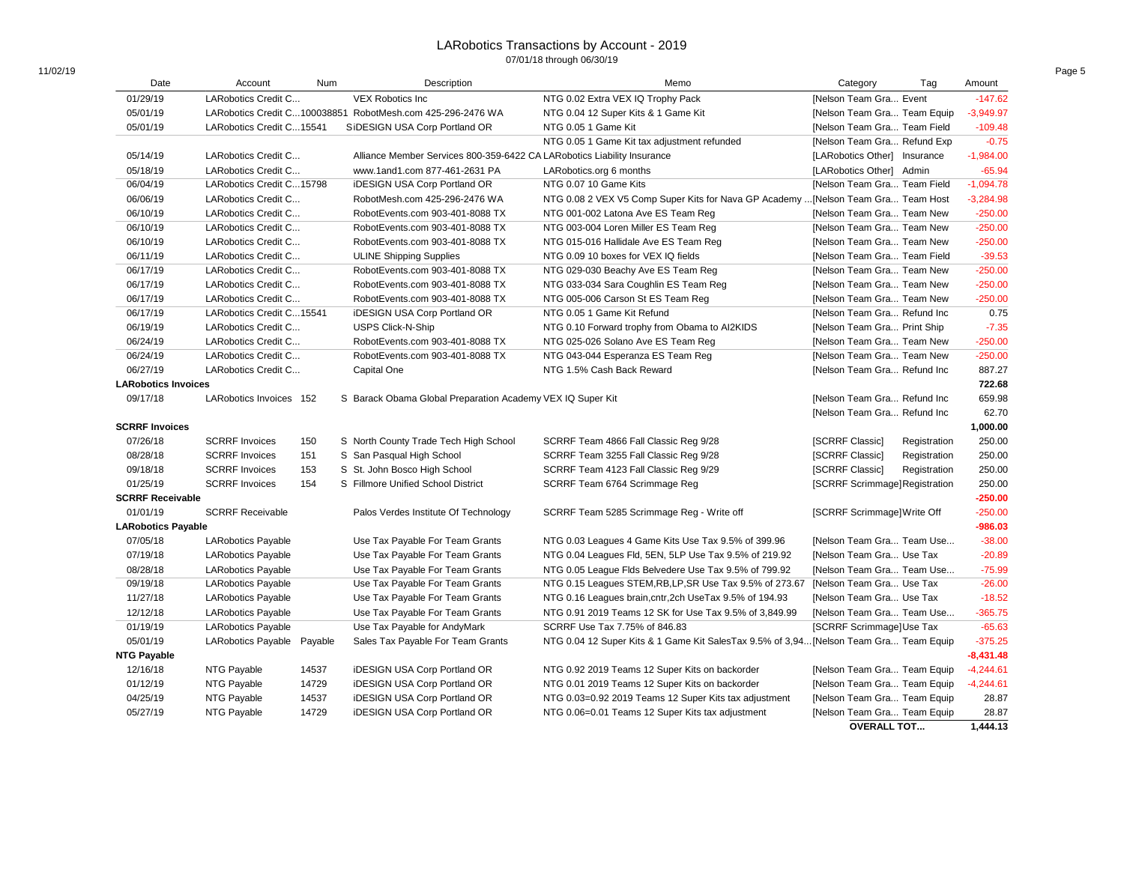### LARobotics Transactions by Account - 2019 07/01/18 through 06/30/19

| Date                       | Account                    | Num   | Description                                                             | Memo                                                                                  | Category                       | Tag          | Amount      |
|----------------------------|----------------------------|-------|-------------------------------------------------------------------------|---------------------------------------------------------------------------------------|--------------------------------|--------------|-------------|
| 01/29/19                   | LARobotics Credit C        |       | <b>VEX Robotics Inc</b>                                                 | NTG 0.02 Extra VEX IQ Trophy Pack                                                     | [Nelson Team Gra Event         |              | $-147.62$   |
| 05/01/19                   |                            |       | LARobotics Credit C100038851 RobotMesh.com 425-296-2476 WA              | NTG 0.04 12 Super Kits & 1 Game Kit                                                   | [Nelson Team Gra Team Equip    |              | $-3,949.97$ |
| 05/01/19                   | LARobotics Credit C15541   |       | SiDESIGN USA Corp Portland OR                                           | NTG 0.05 1 Game Kit                                                                   | [Nelson Team Gra Team Field    |              | $-109.48$   |
|                            |                            |       |                                                                         | NTG 0.05 1 Game Kit tax adjustment refunded                                           | [Nelson Team Gra Refund Exp    |              | $-0.75$     |
| 05/14/19                   | LARobotics Credit C        |       | Alliance Member Services 800-359-6422 CA LARobotics Liability Insurance |                                                                                       | [LARobotics Other] Insurance   |              | $-1,984.00$ |
| 05/18/19                   | LARobotics Credit C        |       | www.1and1.com 877-461-2631 PA                                           | LARobotics.org 6 months                                                               | [LARobotics Other] Admin       |              | $-65.94$    |
| 06/04/19                   | LARobotics Credit C15798   |       | <b>iDESIGN USA Corp Portland OR</b>                                     | NTG 0.07 10 Game Kits                                                                 | [Nelson Team Gra Team Field    |              | $-1,094.78$ |
| 06/06/19                   | LARobotics Credit C        |       | RobotMesh.com 425-296-2476 WA                                           | NTG 0.08 2 VEX V5 Comp Super Kits for Nava GP Academy  [Nelson Team Gra Team Host     |                                |              | $-3,284.98$ |
| 06/10/19                   | LARobotics Credit C        |       | RobotEvents.com 903-401-8088 TX                                         | NTG 001-002 Latona Ave ES Team Reg                                                    | [Nelson Team Gra Team New      |              | $-250.00$   |
| 06/10/19                   | LARobotics Credit C        |       | RobotEvents.com 903-401-8088 TX                                         | NTG 003-004 Loren Miller ES Team Reg                                                  | [Nelson Team Gra Team New      |              | $-250.00$   |
| 06/10/19                   | LARobotics Credit C        |       | RobotEvents.com 903-401-8088 TX                                         | NTG 015-016 Hallidale Ave ES Team Reg                                                 | [Nelson Team Gra Team New      |              | $-250.00$   |
| 06/11/19                   | LARobotics Credit C        |       | <b>ULINE Shipping Supplies</b>                                          | NTG 0.09 10 boxes for VEX IQ fields                                                   | [Nelson Team Gra Team Field    |              | $-39.53$    |
| 06/17/19                   | LARobotics Credit C        |       | RobotEvents.com 903-401-8088 TX                                         | NTG 029-030 Beachy Ave ES Team Reg                                                    | [Nelson Team Gra Team New      |              | $-250.00$   |
| 06/17/19                   | LARobotics Credit C        |       | RobotEvents.com 903-401-8088 TX                                         | NTG 033-034 Sara Coughlin ES Team Reg                                                 | [Nelson Team Gra Team New      |              | $-250.00$   |
| 06/17/19                   | LARobotics Credit C        |       | RobotEvents.com 903-401-8088 TX                                         | NTG 005-006 Carson St ES Team Reg                                                     | [Nelson Team Gra Team New      |              | $-250.00$   |
| 06/17/19                   | LARobotics Credit C15541   |       | iDESIGN USA Corp Portland OR                                            | NTG 0.05 1 Game Kit Refund                                                            | [Nelson Team Gra Refund Inc    |              | 0.75        |
| 06/19/19                   | LARobotics Credit C        |       | <b>USPS Click-N-Ship</b>                                                | NTG 0.10 Forward trophy from Obama to AI2KIDS                                         | [Nelson Team Gra Print Ship    |              | $-7.35$     |
| 06/24/19                   | LARobotics Credit C        |       | RobotEvents.com 903-401-8088 TX                                         | NTG 025-026 Solano Ave ES Team Reg                                                    | [Nelson Team Gra Team New      |              | $-250.00$   |
| 06/24/19                   | LARobotics Credit C        |       | RobotEvents.com 903-401-8088 TX                                         | NTG 043-044 Esperanza ES Team Reg                                                     | [Nelson Team Gra Team New      |              | $-250.00$   |
| 06/27/19                   | LARobotics Credit C        |       | Capital One                                                             | NTG 1.5% Cash Back Reward                                                             | [Nelson Team Gra Refund Inc    |              | 887.27      |
| <b>LARobotics Invoices</b> |                            |       |                                                                         |                                                                                       |                                |              | 722.68      |
| 09/17/18                   | LARobotics Invoices 152    |       | S Barack Obama Global Preparation Academy VEX IQ Super Kit              |                                                                                       | [Nelson Team Gra Refund Inc    |              | 659.98      |
|                            |                            |       |                                                                         |                                                                                       | [Nelson Team Gra Refund Inc    |              | 62.70       |
| <b>SCRRF Invoices</b>      |                            |       |                                                                         |                                                                                       |                                |              | 1,000.00    |
| 07/26/18                   | <b>SCRRF</b> Invoices      | 150   | S North County Trade Tech High School                                   | SCRRF Team 4866 Fall Classic Reg 9/28                                                 | [SCRRF Classic]                | Registration | 250.00      |
| 08/28/18                   | <b>SCRRF</b> Invoices      | 151   | S San Pasqual High School                                               | SCRRF Team 3255 Fall Classic Reg 9/28                                                 | [SCRRF Classic]                | Registration | 250.00      |
| 09/18/18                   | <b>SCRRF</b> Invoices      | 153   | S St. John Bosco High School                                            | SCRRF Team 4123 Fall Classic Reg 9/29                                                 | [SCRRF Classic]                | Registration | 250.00      |
| 01/25/19                   | <b>SCRRF</b> Invoices      | 154   | S Fillmore Unified School District                                      | SCRRF Team 6764 Scrimmage Reg                                                         | [SCRRF Scrimmage] Registration |              | 250.00      |
| <b>SCRRF Receivable</b>    |                            |       |                                                                         |                                                                                       |                                |              | $-250.00$   |
| 01/01/19                   | <b>SCRRF Receivable</b>    |       | Palos Verdes Institute Of Technology                                    | SCRRF Team 5285 Scrimmage Reg - Write off                                             | [SCRRF Scrimmage] Write Off    |              | $-250.00$   |
| <b>LARobotics Payable</b>  |                            |       |                                                                         |                                                                                       |                                |              | $-986.03$   |
| 07/05/18                   | <b>LARobotics Payable</b>  |       | Use Tax Payable For Team Grants                                         | NTG 0.03 Leagues 4 Game Kits Use Tax 9.5% of 399.96                                   | [Nelson Team Gra Team Use      |              | $-38.00$    |
| 07/19/18                   | <b>LARobotics Payable</b>  |       | Use Tax Payable For Team Grants                                         | NTG 0.04 Leagues Fld, 5EN, 5LP Use Tax 9.5% of 219.92                                 | [Nelson Team Gra Use Tax       |              | $-20.89$    |
| 08/28/18                   | <b>LARobotics Payable</b>  |       | Use Tax Payable For Team Grants                                         | NTG 0.05 League Flds Belvedere Use Tax 9.5% of 799.92                                 | [Nelson Team Gra Team Use      |              | $-75.99$    |
| 09/19/18                   | <b>LARobotics Payable</b>  |       | Use Tax Payable For Team Grants                                         | NTG 0.15 Leagues STEM, RB, LP, SR Use Tax 9.5% of 273.67                              | [Nelson Team Gra Use Tax       |              | $-26.00$    |
| 11/27/18                   | <b>LARobotics Payable</b>  |       | Use Tax Payable For Team Grants                                         | NTG 0.16 Leagues brain, cntr, 2ch UseTax 9.5% of 194.93                               | [Nelson Team Gra Use Tax       |              | $-18.52$    |
| 12/12/18                   | <b>LARobotics Payable</b>  |       | Use Tax Payable For Team Grants                                         | NTG 0.91 2019 Teams 12 SK for Use Tax 9.5% of 3,849.99                                | [Nelson Team Gra Team Use      |              | $-365.75$   |
| 01/19/19                   | <b>LARobotics Payable</b>  |       | Use Tax Payable for AndyMark                                            | SCRRF Use Tax 7.75% of 846.83                                                         | [SCRRF Scrimmage]Use Tax       |              | $-65.63$    |
| 05/01/19                   | LARobotics Payable Payable |       | Sales Tax Payable For Team Grants                                       | NTG 0.04 12 Super Kits & 1 Game Kit SalesTax 9.5% of 3,94 [Nelson Team Gra Team Equip |                                |              | $-375.25$   |
| <b>NTG Payable</b>         |                            |       |                                                                         |                                                                                       |                                |              | $-8,431.48$ |
| 12/16/18                   |                            | 14537 |                                                                         |                                                                                       |                                |              | $-4,244.61$ |
|                            | NTG Payable                |       | <b>iDESIGN USA Corp Portland OR</b>                                     | NTG 0.92 2019 Teams 12 Super Kits on backorder                                        | [Nelson Team Gra Team Equip    |              |             |
| 01/12/19<br>04/25/19       | NTG Payable                | 14729 | <b>iDESIGN USA Corp Portland OR</b>                                     | NTG 0.01 2019 Teams 12 Super Kits on backorder                                        | [Nelson Team Gra Team Equip    |              | $-4,244.61$ |
|                            | NTG Payable                | 14537 | <b>iDESIGN USA Corp Portland OR</b>                                     | NTG 0.03=0.92 2019 Teams 12 Super Kits tax adjustment                                 | [Nelson Team Gra Team Equip    |              | 28.87       |
| 05/27/19                   | NTG Payable                | 14729 | <b>iDESIGN USA Corp Portland OR</b>                                     | NTG 0.06=0.01 Teams 12 Super Kits tax adjustment                                      | [Nelson Team Gra Team Equip    |              | 28.87       |
|                            |                            |       |                                                                         |                                                                                       | <b>OVERALL TOT</b>             |              | 1,444.13    |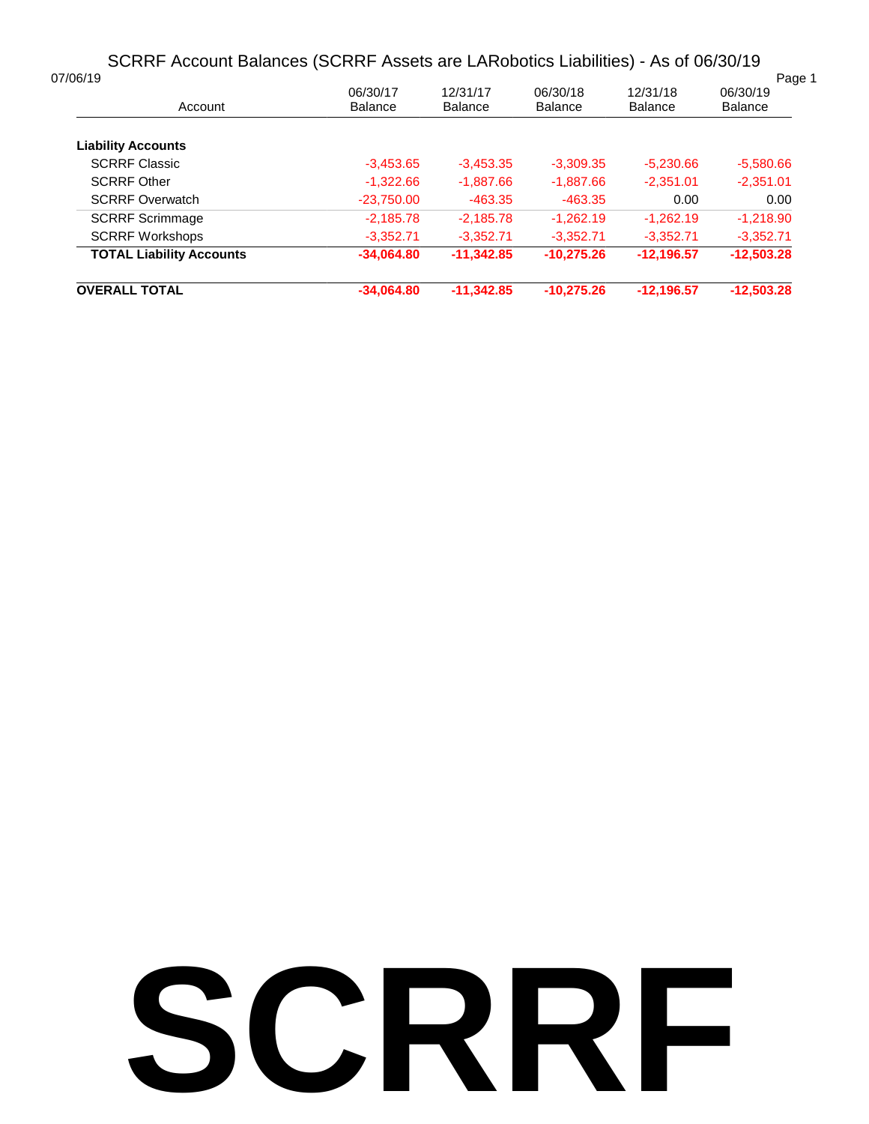# SCRRF Account Balances (SCRRF Assets are LARobotics Liabilities) - As of 06/30/19

| 07/06/19                        |                            |                            |                            |                            | Page 1                     |
|---------------------------------|----------------------------|----------------------------|----------------------------|----------------------------|----------------------------|
| Account                         | 06/30/17<br><b>Balance</b> | 12/31/17<br><b>Balance</b> | 06/30/18<br><b>Balance</b> | 12/31/18<br><b>Balance</b> | 06/30/19<br><b>Balance</b> |
| <b>Liability Accounts</b>       |                            |                            |                            |                            |                            |
| <b>SCRRF Classic</b>            | $-3,453.65$                | $-3,453.35$                | $-3,309.35$                | $-5.230.66$                | $-5,580.66$                |
| <b>SCRRF Other</b>              | $-1,322.66$                | $-1,887.66$                | $-1,887.66$                | $-2.351.01$                | $-2,351.01$                |
| <b>SCRRF Overwatch</b>          | $-23,750.00$               | $-463.35$                  | $-463.35$                  | 0.00                       | 0.00                       |
| <b>SCRRF Scrimmage</b>          | $-2,185.78$                | $-2.185.78$                | $-1.262.19$                | $-1.262.19$                | $-1.218.90$                |
| <b>SCRRF Workshops</b>          | $-3.352.71$                | $-3.352.71$                | $-3.352.71$                | $-3.352.71$                | $-3.352.71$                |
| <b>TOTAL Liability Accounts</b> | $-34.064.80$               | $-11.342.85$               | $-10.275.26$               | $-12.196.57$               | $-12.503.28$               |
| <b>OVERALL TOTAL</b>            | $-34.064.80$               | $-11.342.85$               | $-10.275.26$               | $-12.196.57$               | $-12.503.28$               |

# **SCRRF**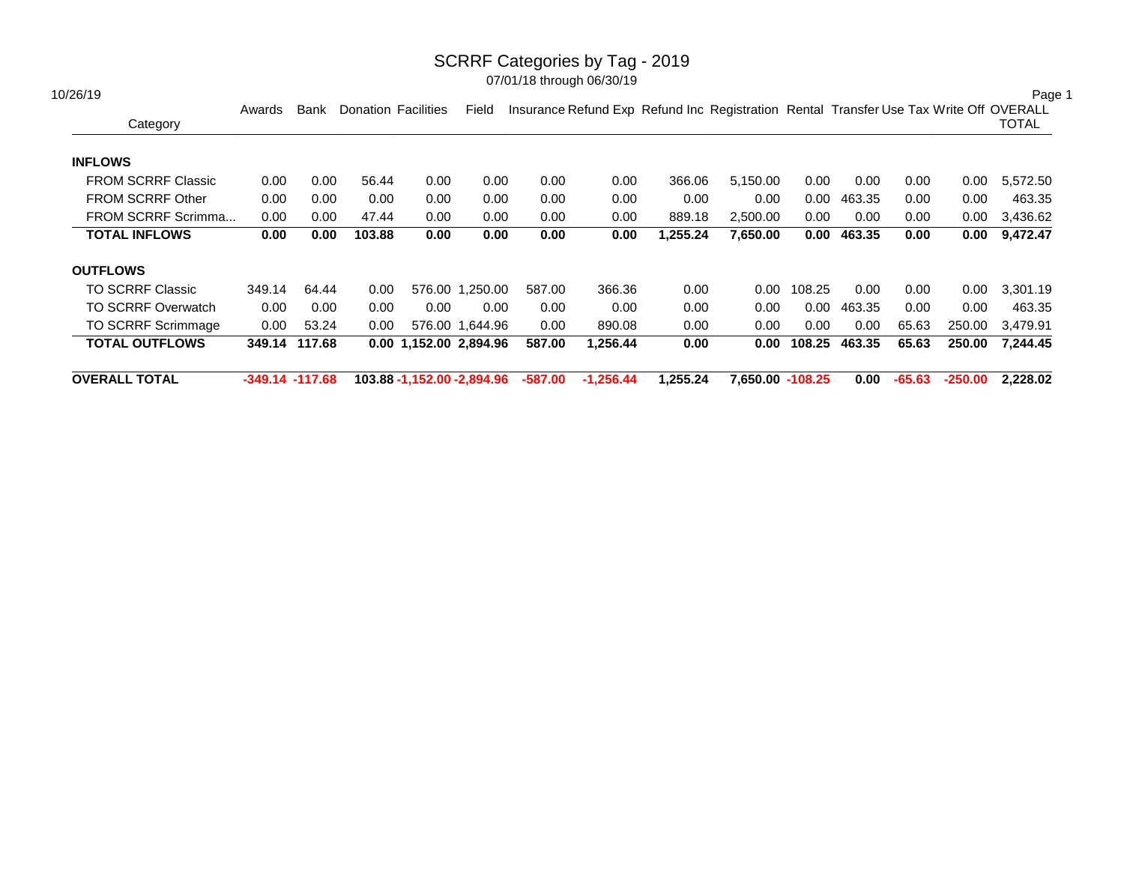### SCRRF Categories by Tag - 2019

| 10/26/19                  |                    |               |                            |                            |                 |         |             |                                                                                        |                  |        |        |          |           | Page 1   |
|---------------------------|--------------------|---------------|----------------------------|----------------------------|-----------------|---------|-------------|----------------------------------------------------------------------------------------|------------------|--------|--------|----------|-----------|----------|
| Category                  | Awards             | Bank          | <b>Donation Facilities</b> |                            | Field           |         |             | Insurance Refund Exp Refund Inc Registration Rental Transfer Use Tax Write Off OVERALL |                  |        |        |          |           | TOTAL    |
| <b>INFLOWS</b>            |                    |               |                            |                            |                 |         |             |                                                                                        |                  |        |        |          |           |          |
| <b>FROM SCRRF Classic</b> | 0.00               | 0.00          | 56.44                      | 0.00                       | 0.00            | 0.00    | 0.00        | 366.06                                                                                 | 5,150.00         | 0.00   | 0.00   | 0.00     | 0.00      | 5,572.50 |
| <b>FROM SCRRF Other</b>   | 0.00               | 0.00          | 0.00                       | 0.00                       | 0.00            | 0.00    | 0.00        | 0.00                                                                                   | 0.00             | 0.00   | 463.35 | 0.00     | 0.00      | 463.35   |
| FROM SCRRF Scrimma        | 0.00               | 0.00          | 47.44                      | 0.00                       | 0.00            | 0.00    | 0.00        | 889.18                                                                                 | 2,500.00         | 0.00   | 0.00   | 0.00     | $0.00\,$  | 3,436.62 |
| <b>TOTAL INFLOWS</b>      | 0.00 <sub>1</sub>  | 0.00          | 103.88                     | 0.00                       | 0.00            | 0.00    | 0.00        | 1,255.24                                                                               | 7,650.00         | 0.00   | 463.35 | 0.00     | 0.00      | 9,472.47 |
| <b>OUTFLOWS</b>           |                    |               |                            |                            |                 |         |             |                                                                                        |                  |        |        |          |           |          |
| <b>TO SCRRF Classic</b>   | 349.14             | 64.44         | 0.00                       |                            | 576.00 1,250.00 | 587.00  | 366.36      | 0.00                                                                                   | 0.00             | 108.25 | 0.00   | 0.00     | 0.00      | 3,301.19 |
| <b>TO SCRRF Overwatch</b> | 0.00               | 0.00          | 0.00                       | 0.00                       | 0.00            | 0.00    | 0.00        | 0.00                                                                                   | 0.00             | 0.00   | 463.35 | 0.00     | 0.00      | 463.35   |
| <b>TO SCRRF Scrimmage</b> | 0.00               | 53.24         | 0.00                       |                            | 576.00 1.644.96 | 0.00    | 890.08      | 0.00                                                                                   | 0.00             | 0.00   | 0.00   | 65.63    | 250.00    | 3,479.91 |
| <b>TOTAL OUTFLOWS</b>     |                    | 349.14 117.68 |                            | 0.00 1,152.00 2,894.96     |                 | 587.00  | 1,256.44    | 0.00                                                                                   | 0.00             | 108.25 | 463.35 | 65.63    | 250.00    | 7,244.45 |
| <b>OVERALL TOTAL</b>      | $-349.14 - 117.68$ |               |                            | 103.88 -1,152.00 -2,894.96 |                 | -587.00 | $-1,256.44$ | 1,255.24                                                                               | 7,650.00 -108.25 |        | 0.00   | $-65.63$ | $-250.00$ | 2,228.02 |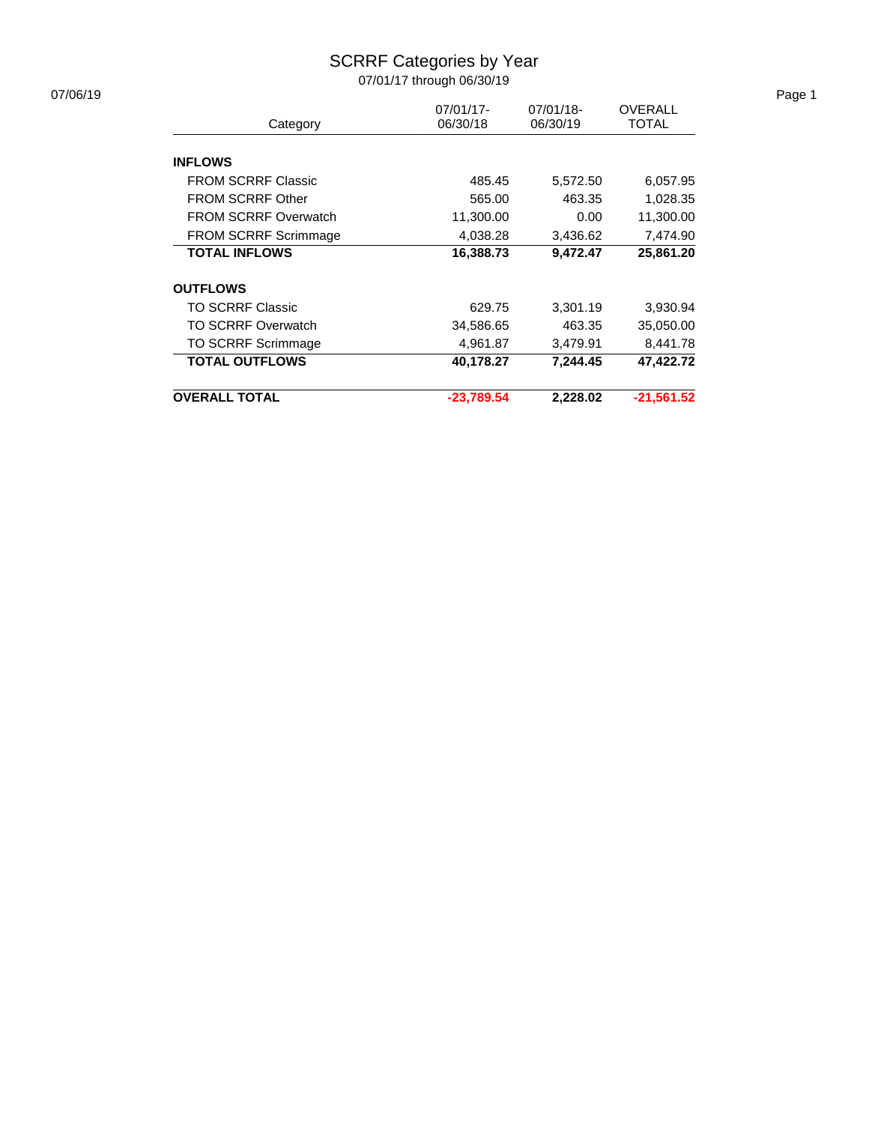# SCRRF Categories by Year

| 07/06/19 |                             |              |           |                |
|----------|-----------------------------|--------------|-----------|----------------|
|          |                             | 07/01/17-    | 07/01/18- | <b>OVERALL</b> |
|          | Category                    | 06/30/18     | 06/30/19  | <b>TOTAL</b>   |
|          | <b>INFLOWS</b>              |              |           |                |
|          | <b>FROM SCRRF Classic</b>   | 485.45       | 5,572.50  | 6,057.95       |
|          | <b>FROM SCRRF Other</b>     | 565.00       | 463.35    | 1,028.35       |
|          | <b>FROM SCRRF Overwatch</b> | 11,300.00    | 0.00      | 11,300.00      |
|          | FROM SCRRF Scrimmage        | 4,038.28     | 3,436.62  | 7,474.90       |
|          | <b>TOTAL INFLOWS</b>        | 16,388.73    | 9,472.47  | 25,861.20      |
|          | <b>OUTFLOWS</b>             |              |           |                |
|          | <b>TO SCRRF Classic</b>     | 629.75       | 3,301.19  | 3,930.94       |
|          | <b>TO SCRRF Overwatch</b>   | 34,586.65    | 463.35    | 35,050.00      |
|          | TO SCRRF Scrimmage          | 4,961.87     | 3,479.91  | 8,441.78       |
|          | <b>TOTAL OUTFLOWS</b>       | 40,178.27    | 7,244.45  | 47,422.72      |
|          | <b>OVERALL TOTAL</b>        | $-23,789.54$ | 2,228.02  | $-21,561.52$   |
|          |                             |              |           |                |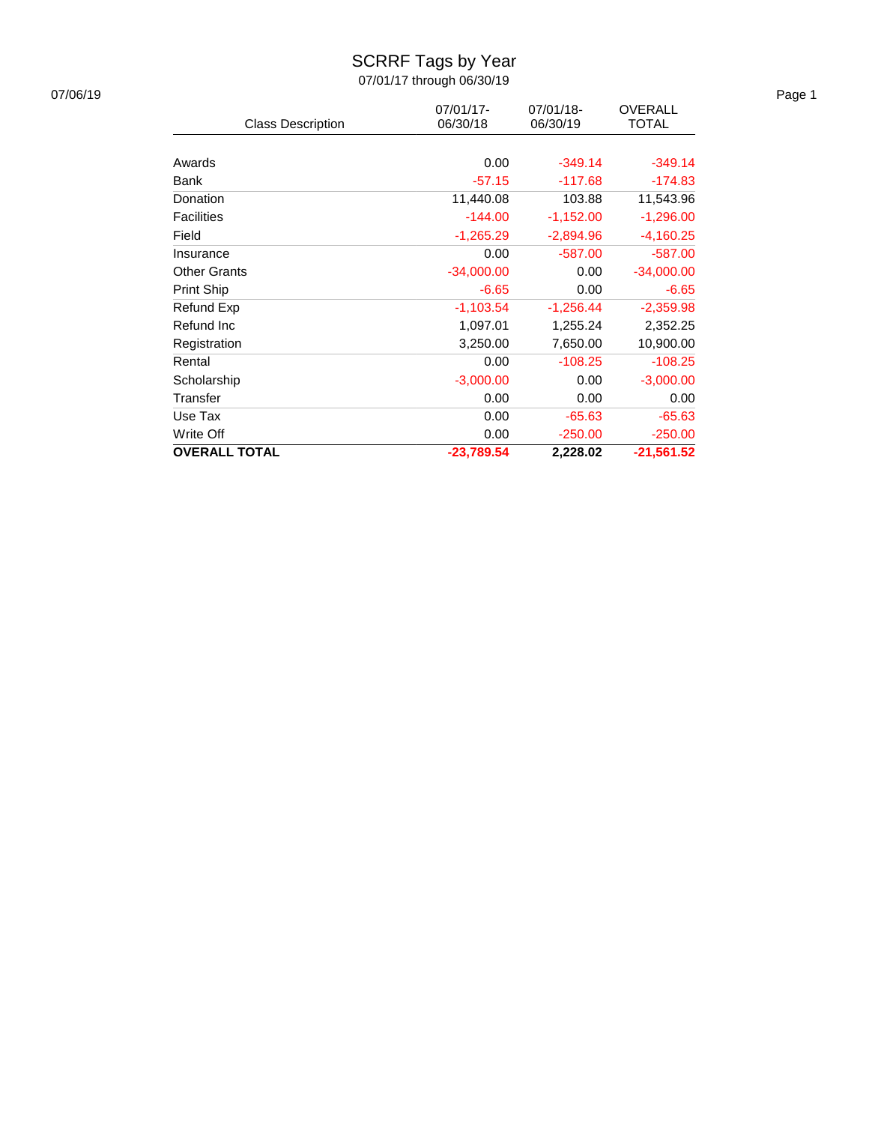# SCRRF Tags by Year

| 07/06/19 |                          |              |             |                | Page 1 |
|----------|--------------------------|--------------|-------------|----------------|--------|
|          |                          | 07/01/17-    | 07/01/18-   | <b>OVERALL</b> |        |
|          | <b>Class Description</b> | 06/30/18     | 06/30/19    | TOTAL          |        |
|          |                          |              |             |                |        |
|          | Awards                   | 0.00         | $-349.14$   | $-349.14$      |        |
|          | Bank                     | $-57.15$     | $-117.68$   | $-174.83$      |        |
|          | Donation                 | 11,440.08    | 103.88      | 11,543.96      |        |
|          | <b>Facilities</b>        | $-144.00$    | $-1,152.00$ | $-1,296.00$    |        |
|          | Field                    | $-1,265.29$  | $-2,894.96$ | $-4,160.25$    |        |
|          | Insurance                | 0.00         | $-587.00$   | $-587.00$      |        |
|          | <b>Other Grants</b>      | $-34,000.00$ | 0.00        | $-34,000.00$   |        |
|          | Print Ship               | $-6.65$      | 0.00        | $-6.65$        |        |
|          | Refund Exp               | $-1,103.54$  | $-1,256.44$ | $-2,359.98$    |        |
|          | Refund Inc               | 1,097.01     | 1,255.24    | 2,352.25       |        |
|          | Registration             | 3,250.00     | 7,650.00    | 10,900.00      |        |
|          | Rental                   | 0.00         | $-108.25$   | $-108.25$      |        |
|          | Scholarship              | $-3,000.00$  | 0.00        | $-3,000.00$    |        |
|          | Transfer                 | 0.00         | 0.00        | 0.00           |        |
|          | Use Tax                  | 0.00         | $-65.63$    | $-65.63$       |        |
|          | Write Off                | 0.00         | $-250.00$   | $-250.00$      |        |
|          | <b>OVERALL TOTAL</b>     | $-23,789.54$ | 2,228.02    | $-21,561.52$   |        |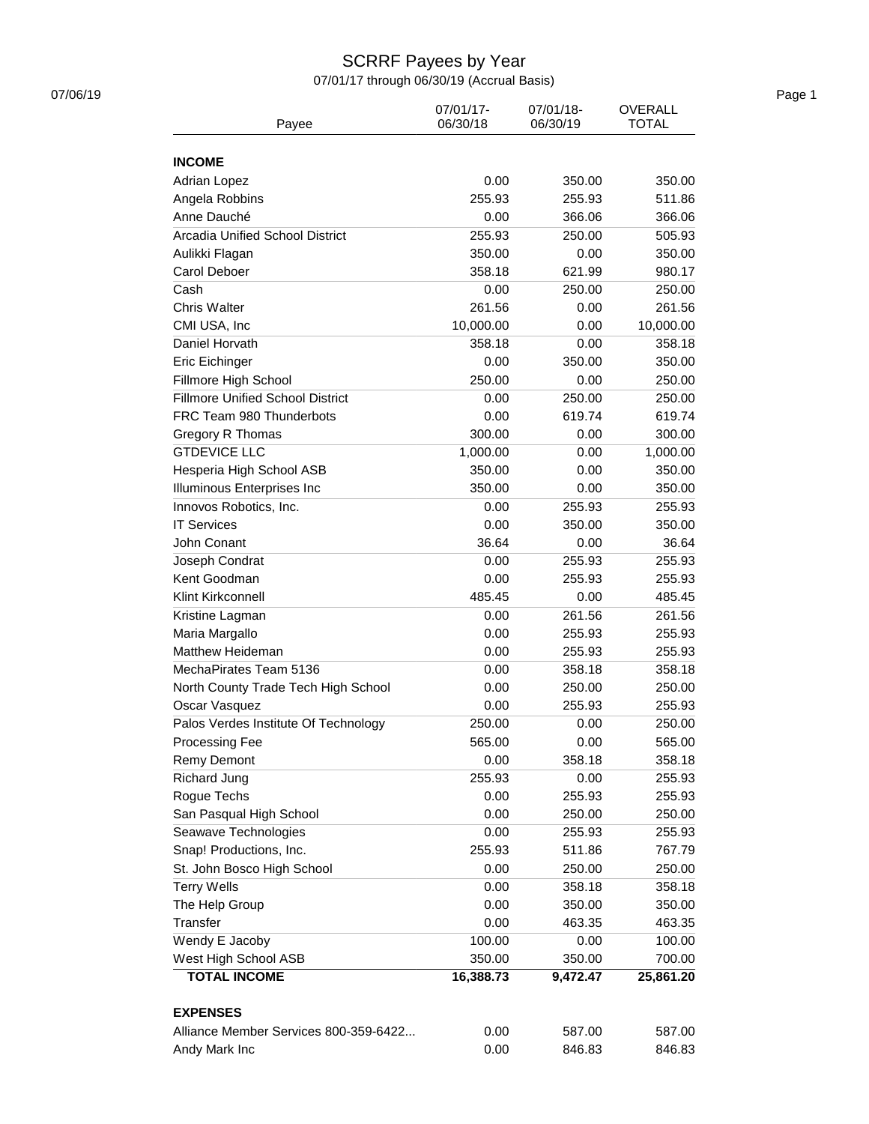# SCRRF Payees by Year

07/01/17 through 06/30/19 (Accrual Basis)

| Payee                                   | 07/01/17-<br>06/30/18 | 07/01/18-<br>06/30/19 | <b>OVERALL</b><br><b>TOTAL</b> |
|-----------------------------------------|-----------------------|-----------------------|--------------------------------|
| <b>INCOME</b>                           |                       |                       |                                |
| <b>Adrian Lopez</b>                     | 0.00                  | 350.00                | 350.00                         |
| Angela Robbins                          | 255.93                | 255.93                | 511.86                         |
| Anne Dauché                             | 0.00                  | 366.06                | 366.06                         |
| <b>Arcadia Unified School District</b>  | 255.93                | 250.00                | 505.93                         |
| Aulikki Flagan                          | 350.00                | 0.00                  | 350.00                         |
| Carol Deboer                            | 358.18                | 621.99                | 980.17                         |
| Cash                                    | 0.00                  | 250.00                | 250.00                         |
| Chris Walter                            | 261.56                | 0.00                  | 261.56                         |
| CMI USA, Inc                            | 10,000.00             | 0.00                  | 10,000.00                      |
| Daniel Horvath                          | 358.18                | 0.00                  | 358.18                         |
| Eric Eichinger                          | 0.00                  | 350.00                | 350.00                         |
| Fillmore High School                    | 250.00                | 0.00                  | 250.00                         |
| <b>Fillmore Unified School District</b> | 0.00                  | 250.00                | 250.00                         |
| FRC Team 980 Thunderbots                | 0.00                  | 619.74                | 619.74                         |
| Gregory R Thomas                        | 300.00                | 0.00                  | 300.00                         |
| <b>GTDEVICE LLC</b>                     | 1,000.00              | 0.00                  | 1,000.00                       |
| Hesperia High School ASB                | 350.00                | 0.00                  | 350.00                         |
| Illuminous Enterprises Inc              | 350.00                | 0.00                  | 350.00                         |
| Innovos Robotics, Inc.                  | 0.00                  | 255.93                | 255.93                         |
| <b>IT Services</b>                      |                       |                       |                                |
| John Conant                             | 0.00<br>36.64         | 350.00<br>0.00        | 350.00<br>36.64                |
|                                         |                       |                       |                                |
| Joseph Condrat                          | 0.00                  | 255.93                | 255.93                         |
| Kent Goodman                            | 0.00                  | 255.93                | 255.93                         |
| Klint Kirkconnell                       | 485.45                | 0.00                  | 485.45                         |
| Kristine Lagman                         | 0.00                  | 261.56                | 261.56                         |
| Maria Margallo                          | 0.00                  | 255.93                | 255.93                         |
| <b>Matthew Heideman</b>                 | 0.00                  | 255.93                | 255.93                         |
| MechaPirates Team 5136                  | 0.00                  | 358.18                | 358.18                         |
| North County Trade Tech High School     | 0.00                  | 250.00                | 250.00                         |
| Oscar Vasquez                           | 0.00                  | 255.93                | 255.93                         |
| Palos Verdes Institute Of Technology    | 250.00                | 0.00                  | 250.00                         |
| Processing Fee                          | 565.00                | 0.00                  | 565.00                         |
| Remy Demont                             | 0.00                  | 358.18                | 358.18                         |
| Richard Jung                            | 255.93                | 0.00                  | 255.93                         |
| Rogue Techs                             | 0.00                  | 255.93                | 255.93                         |
| San Pasqual High School                 | 0.00                  | 250.00                | 250.00                         |
| Seawave Technologies                    | 0.00                  | 255.93                | 255.93                         |
| Snap! Productions, Inc.                 | 255.93                | 511.86                | 767.79                         |
| St. John Bosco High School              | 0.00                  | 250.00                | 250.00                         |
| <b>Terry Wells</b>                      | 0.00                  | 358.18                | 358.18                         |
| The Help Group                          | 0.00                  | 350.00                | 350.00                         |
| <b>Transfer</b>                         | 0.00                  | 463.35                | 463.35                         |
| Wendy E Jacoby                          | 100.00                | 0.00                  | 100.00                         |
| West High School ASB                    | 350.00                | 350.00                | 700.00                         |
| <b>TOTAL INCOME</b>                     | 16,388.73             | 9,472.47              | 25,861.20                      |
| <b>EXPENSES</b>                         |                       |                       |                                |
| Alliance Member Services 800-359-6422   | 0.00                  | 587.00                | 587.00                         |
| Andy Mark Inc                           | 0.00                  | 846.83                | 846.83                         |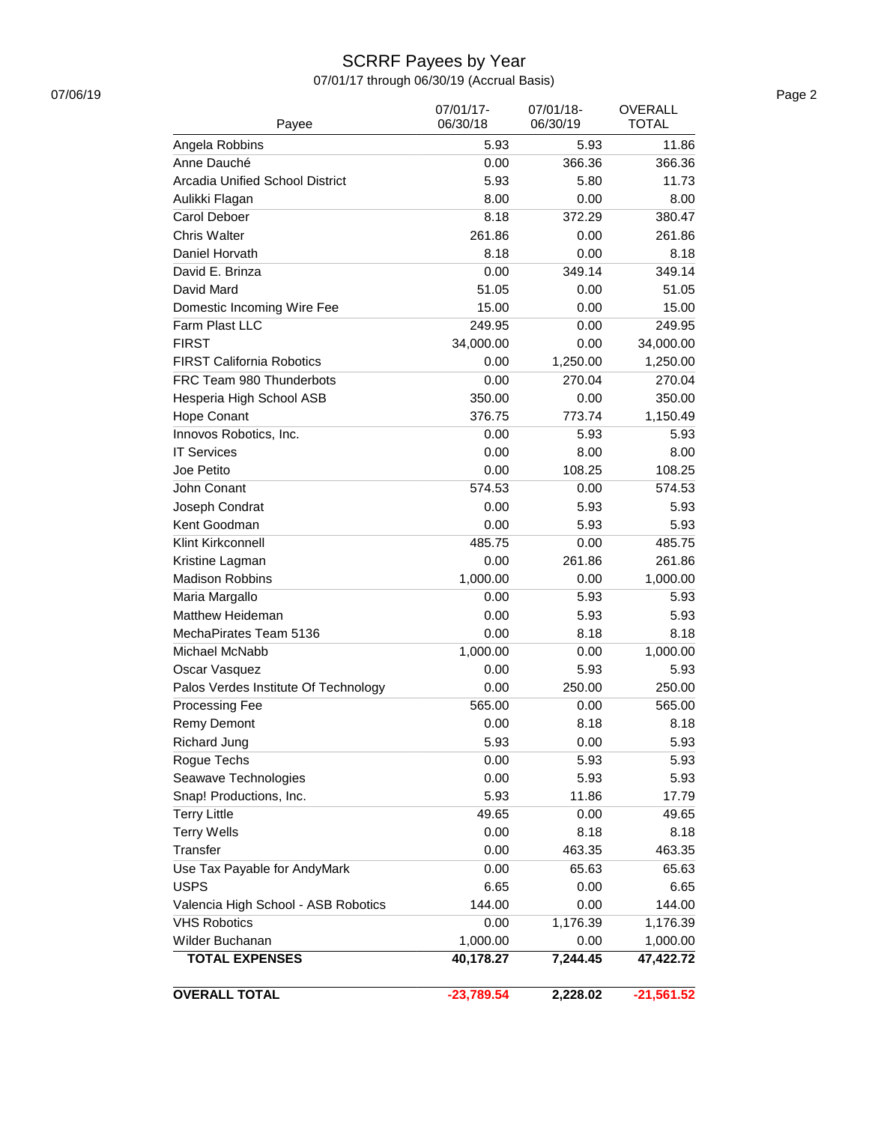# SCRRF Payees by Year

07/01/17 through 06/30/19 (Accrual Basis)

| <b>OVERALL TOTAL</b>                 | $-23,789.54$          | 2,228.02              | $-21,561.52$                   |
|--------------------------------------|-----------------------|-----------------------|--------------------------------|
|                                      |                       |                       |                                |
| <b>TOTAL EXPENSES</b>                | 40,178.27             | 7,244.45              | 47,422.72                      |
| Wilder Buchanan                      | 1,000.00              | 0.00                  | 1,000.00                       |
| <b>VHS Robotics</b>                  | 0.00                  | 1,176.39              | 1,176.39                       |
| Valencia High School - ASB Robotics  | 144.00                | 0.00                  | 144.00                         |
| <b>USPS</b>                          | 6.65                  | 0.00                  | 6.65                           |
| Use Tax Payable for AndyMark         | 0.00                  | 65.63                 | 65.63                          |
| Transfer                             | 0.00                  | 463.35                | 463.35                         |
| <b>Terry Wells</b>                   | 0.00                  | 8.18                  | 8.18                           |
| <b>Terry Little</b>                  | 49.65                 | 0.00                  | 49.65                          |
| Snap! Productions, Inc.              | 5.93                  | 11.86                 | 17.79                          |
| Seawave Technologies                 | 0.00<br>0.00          | 5.93                  | 5.93                           |
| Rogue Techs                          |                       | 5.93                  | 5.93                           |
| <b>Richard Jung</b>                  | 5.93                  | 0.00                  | 5.93                           |
| <b>Remy Demont</b>                   | 0.00                  | 8.18                  | 8.18                           |
| Processing Fee                       | 565.00                | 0.00                  | 565.00                         |
| Palos Verdes Institute Of Technology | 0.00                  | 250.00                | 250.00                         |
| Oscar Vasquez                        | 0.00                  | 5.93                  | 5.93                           |
| Michael McNabb                       | 1,000.00              | 0.00                  | 1,000.00                       |
| MechaPirates Team 5136               | 0.00                  | 8.18                  | 8.18                           |
| <b>Matthew Heideman</b>              | 0.00                  | 5.93                  | 5.93                           |
| Maria Margallo                       | 0.00                  | 5.93                  | 5.93                           |
| <b>Madison Robbins</b>               | 1,000.00              | 0.00                  | 1,000.00                       |
| Kristine Lagman                      | 0.00                  | 261.86                | 261.86                         |
| Klint Kirkconnell                    | 485.75                | 0.00                  | 485.75                         |
| Kent Goodman                         | 0.00                  | 5.93                  | 5.93                           |
| Joseph Condrat                       | 0.00                  | 5.93                  | 5.93                           |
| John Conant                          | 574.53                | 0.00                  | 574.53                         |
| Joe Petito                           | 0.00                  | 108.25                | 108.25                         |
| <b>IT Services</b>                   | 0.00                  | 8.00                  | 8.00                           |
| Innovos Robotics, Inc.               | 0.00                  | 5.93                  | 5.93                           |
| Hope Conant                          | 376.75                | 773.74                | 1,150.49                       |
| Hesperia High School ASB             | 350.00                | 0.00                  | 350.00                         |
| FRC Team 980 Thunderbots             | 0.00                  | 270.04                | 270.04                         |
| <b>FIRST California Robotics</b>     | 0.00                  | 1,250.00              | 1,250.00                       |
| <b>FIRST</b>                         | 34,000.00             | 0.00                  | 34,000.00                      |
| Farm Plast LLC                       | 249.95                | 0.00                  | 249.95                         |
| Domestic Incoming Wire Fee           | 15.00                 | 0.00                  | 15.00                          |
| David Mard                           | 51.05                 | 0.00                  | 51.05                          |
| David E. Brinza                      | 0.00                  | 349.14                | 349.14                         |
| Daniel Horvath                       | 8.18                  | 0.00                  | 8.18                           |
| <b>Chris Walter</b>                  | 261.86                | 0.00                  | 261.86                         |
| Carol Deboer                         | 8.18                  | 372.29                | 380.47                         |
| Aulikki Flagan                       | 8.00                  | 0.00                  | 8.00                           |
| Arcadia Unified School District      | 5.93                  | 5.80                  | 11.73                          |
| Anne Dauché                          | 0.00                  | 366.36                | 366.36                         |
| Angela Robbins                       | 5.93                  | 5.93                  | 11.86                          |
| Payee                                | 07/01/17-<br>06/30/18 | 07/01/18-<br>06/30/19 | <b>OVERALL</b><br><b>TOTAL</b> |

07/06/19 Page 2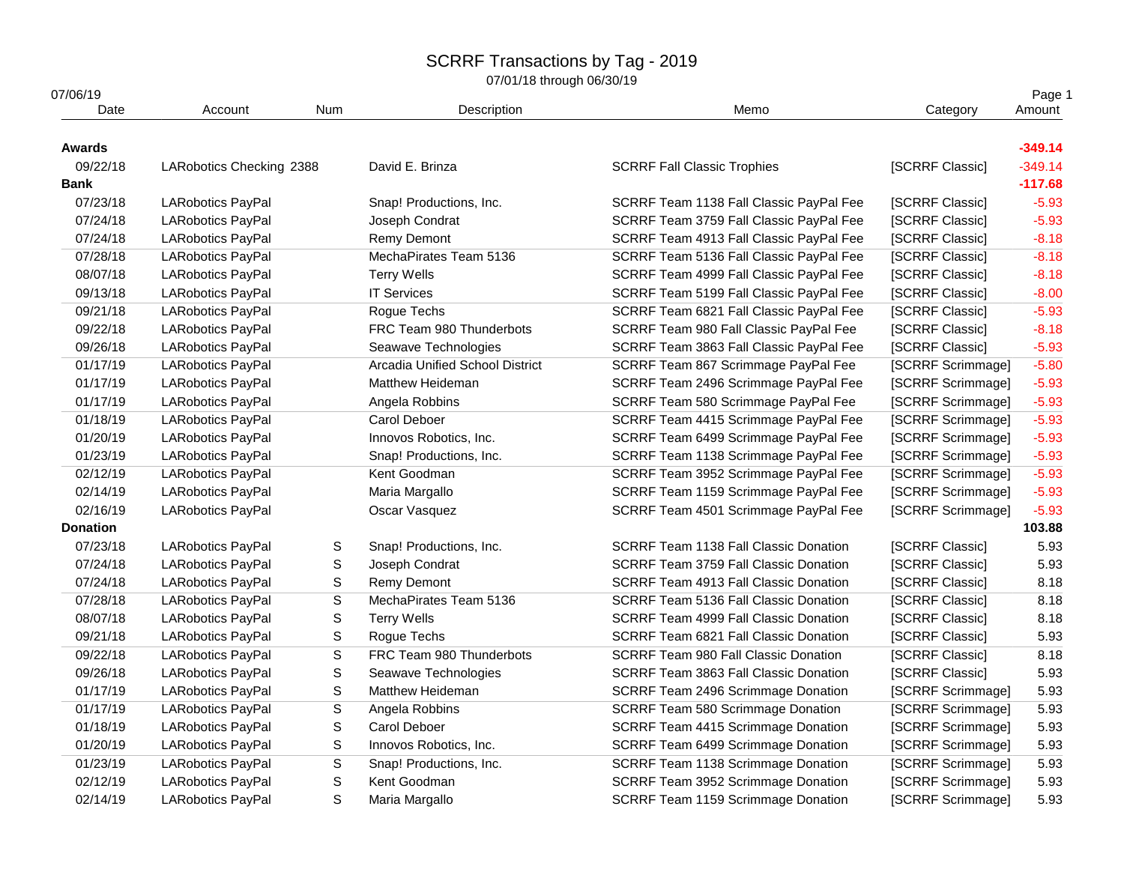07/01/18 through 06/30/19

| Category<br>[SCRRF Classic]                                | Amount<br>$-349.14$<br>$-349.14$                                                                                                                                                                                                                                                                                                                                                                                                                                                                                                                                                                                                                                                                                                                                                                                                                                                                                            |
|------------------------------------------------------------|-----------------------------------------------------------------------------------------------------------------------------------------------------------------------------------------------------------------------------------------------------------------------------------------------------------------------------------------------------------------------------------------------------------------------------------------------------------------------------------------------------------------------------------------------------------------------------------------------------------------------------------------------------------------------------------------------------------------------------------------------------------------------------------------------------------------------------------------------------------------------------------------------------------------------------|
|                                                            |                                                                                                                                                                                                                                                                                                                                                                                                                                                                                                                                                                                                                                                                                                                                                                                                                                                                                                                             |
|                                                            |                                                                                                                                                                                                                                                                                                                                                                                                                                                                                                                                                                                                                                                                                                                                                                                                                                                                                                                             |
|                                                            |                                                                                                                                                                                                                                                                                                                                                                                                                                                                                                                                                                                                                                                                                                                                                                                                                                                                                                                             |
|                                                            | $-117.68$                                                                                                                                                                                                                                                                                                                                                                                                                                                                                                                                                                                                                                                                                                                                                                                                                                                                                                                   |
| SCRRF Team 1138 Fall Classic PayPal Fee<br>[SCRRF Classic] | $-5.93$                                                                                                                                                                                                                                                                                                                                                                                                                                                                                                                                                                                                                                                                                                                                                                                                                                                                                                                     |
| SCRRF Team 3759 Fall Classic PayPal Fee<br>[SCRRF Classic] | $-5.93$                                                                                                                                                                                                                                                                                                                                                                                                                                                                                                                                                                                                                                                                                                                                                                                                                                                                                                                     |
| SCRRF Team 4913 Fall Classic PayPal Fee<br>[SCRRF Classic] | $-8.18$                                                                                                                                                                                                                                                                                                                                                                                                                                                                                                                                                                                                                                                                                                                                                                                                                                                                                                                     |
| SCRRF Team 5136 Fall Classic PayPal Fee<br>[SCRRF Classic] | $-8.18$                                                                                                                                                                                                                                                                                                                                                                                                                                                                                                                                                                                                                                                                                                                                                                                                                                                                                                                     |
| [SCRRF Classic]<br>SCRRF Team 4999 Fall Classic PayPal Fee | $-8.18$                                                                                                                                                                                                                                                                                                                                                                                                                                                                                                                                                                                                                                                                                                                                                                                                                                                                                                                     |
| SCRRF Team 5199 Fall Classic PayPal Fee<br>[SCRRF Classic] | $-8.00$                                                                                                                                                                                                                                                                                                                                                                                                                                                                                                                                                                                                                                                                                                                                                                                                                                                                                                                     |
| SCRRF Team 6821 Fall Classic PayPal Fee<br>[SCRRF Classic] | $-5.93$                                                                                                                                                                                                                                                                                                                                                                                                                                                                                                                                                                                                                                                                                                                                                                                                                                                                                                                     |
| SCRRF Team 980 Fall Classic PayPal Fee<br>[SCRRF Classic]  | $-8.18$                                                                                                                                                                                                                                                                                                                                                                                                                                                                                                                                                                                                                                                                                                                                                                                                                                                                                                                     |
| [SCRRF Classic]<br>SCRRF Team 3863 Fall Classic PayPal Fee | $-5.93$                                                                                                                                                                                                                                                                                                                                                                                                                                                                                                                                                                                                                                                                                                                                                                                                                                                                                                                     |
| SCRRF Team 867 Scrimmage PayPal Fee<br>[SCRRF Scrimmage]   | $-5.80$                                                                                                                                                                                                                                                                                                                                                                                                                                                                                                                                                                                                                                                                                                                                                                                                                                                                                                                     |
| SCRRF Team 2496 Scrimmage PayPal Fee<br>[SCRRF Scrimmage]  | $-5.93$                                                                                                                                                                                                                                                                                                                                                                                                                                                                                                                                                                                                                                                                                                                                                                                                                                                                                                                     |
| SCRRF Team 580 Scrimmage PayPal Fee<br>[SCRRF Scrimmage]   | $-5.93$                                                                                                                                                                                                                                                                                                                                                                                                                                                                                                                                                                                                                                                                                                                                                                                                                                                                                                                     |
| SCRRF Team 4415 Scrimmage PayPal Fee<br>[SCRRF Scrimmage]  | $-5.93$                                                                                                                                                                                                                                                                                                                                                                                                                                                                                                                                                                                                                                                                                                                                                                                                                                                                                                                     |
|                                                            | $-5.93$                                                                                                                                                                                                                                                                                                                                                                                                                                                                                                                                                                                                                                                                                                                                                                                                                                                                                                                     |
|                                                            | $-5.93$                                                                                                                                                                                                                                                                                                                                                                                                                                                                                                                                                                                                                                                                                                                                                                                                                                                                                                                     |
|                                                            | $-5.93$                                                                                                                                                                                                                                                                                                                                                                                                                                                                                                                                                                                                                                                                                                                                                                                                                                                                                                                     |
|                                                            | $-5.93$                                                                                                                                                                                                                                                                                                                                                                                                                                                                                                                                                                                                                                                                                                                                                                                                                                                                                                                     |
|                                                            | $-5.93$                                                                                                                                                                                                                                                                                                                                                                                                                                                                                                                                                                                                                                                                                                                                                                                                                                                                                                                     |
|                                                            | 103.88                                                                                                                                                                                                                                                                                                                                                                                                                                                                                                                                                                                                                                                                                                                                                                                                                                                                                                                      |
| [SCRRF Classic]                                            | 5.93                                                                                                                                                                                                                                                                                                                                                                                                                                                                                                                                                                                                                                                                                                                                                                                                                                                                                                                        |
| [SCRRF Classic]                                            | 5.93                                                                                                                                                                                                                                                                                                                                                                                                                                                                                                                                                                                                                                                                                                                                                                                                                                                                                                                        |
| [SCRRF Classic]                                            | 8.18                                                                                                                                                                                                                                                                                                                                                                                                                                                                                                                                                                                                                                                                                                                                                                                                                                                                                                                        |
| [SCRRF Classic]                                            | 8.18                                                                                                                                                                                                                                                                                                                                                                                                                                                                                                                                                                                                                                                                                                                                                                                                                                                                                                                        |
| [SCRRF Classic]                                            | 8.18                                                                                                                                                                                                                                                                                                                                                                                                                                                                                                                                                                                                                                                                                                                                                                                                                                                                                                                        |
| [SCRRF Classic]                                            | 5.93                                                                                                                                                                                                                                                                                                                                                                                                                                                                                                                                                                                                                                                                                                                                                                                                                                                                                                                        |
| [SCRRF Classic]                                            | 8.18                                                                                                                                                                                                                                                                                                                                                                                                                                                                                                                                                                                                                                                                                                                                                                                                                                                                                                                        |
| [SCRRF Classic]                                            | 5.93                                                                                                                                                                                                                                                                                                                                                                                                                                                                                                                                                                                                                                                                                                                                                                                                                                                                                                                        |
|                                                            | 5.93                                                                                                                                                                                                                                                                                                                                                                                                                                                                                                                                                                                                                                                                                                                                                                                                                                                                                                                        |
|                                                            | 5.93                                                                                                                                                                                                                                                                                                                                                                                                                                                                                                                                                                                                                                                                                                                                                                                                                                                                                                                        |
|                                                            | 5.93                                                                                                                                                                                                                                                                                                                                                                                                                                                                                                                                                                                                                                                                                                                                                                                                                                                                                                                        |
|                                                            | 5.93                                                                                                                                                                                                                                                                                                                                                                                                                                                                                                                                                                                                                                                                                                                                                                                                                                                                                                                        |
|                                                            |                                                                                                                                                                                                                                                                                                                                                                                                                                                                                                                                                                                                                                                                                                                                                                                                                                                                                                                             |
| SCRRF Team 1138 Scrimmage Donation<br>[SCRRF Scrimmage]    | 5.93                                                                                                                                                                                                                                                                                                                                                                                                                                                                                                                                                                                                                                                                                                                                                                                                                                                                                                                        |
| SCRRF Team 3952 Scrimmage Donation<br>[SCRRF Scrimmage]    | 5.93<br>5.93                                                                                                                                                                                                                                                                                                                                                                                                                                                                                                                                                                                                                                                                                                                                                                                                                                                                                                                |
|                                                            | SCRRF Team 6499 Scrimmage PayPal Fee<br>[SCRRF Scrimmage]<br>SCRRF Team 1138 Scrimmage PayPal Fee<br>[SCRRF Scrimmage]<br>SCRRF Team 3952 Scrimmage PayPal Fee<br>[SCRRF Scrimmage]<br>SCRRF Team 1159 Scrimmage PayPal Fee<br>[SCRRF Scrimmage]<br>SCRRF Team 4501 Scrimmage PayPal Fee<br>[SCRRF Scrimmage]<br><b>SCRRF Team 1138 Fall Classic Donation</b><br>SCRRF Team 3759 Fall Classic Donation<br>SCRRF Team 4913 Fall Classic Donation<br><b>SCRRF Team 5136 Fall Classic Donation</b><br><b>SCRRF Team 4999 Fall Classic Donation</b><br>SCRRF Team 6821 Fall Classic Donation<br><b>SCRRF Team 980 Fall Classic Donation</b><br>SCRRF Team 3863 Fall Classic Donation<br>SCRRF Team 2496 Scrimmage Donation<br>[SCRRF Scrimmage]<br>SCRRF Team 580 Scrimmage Donation<br>[SCRRF Scrimmage]<br>SCRRF Team 4415 Scrimmage Donation<br>[SCRRF Scrimmage]<br>SCRRF Team 6499 Scrimmage Donation<br>[SCRRF Scrimmage] |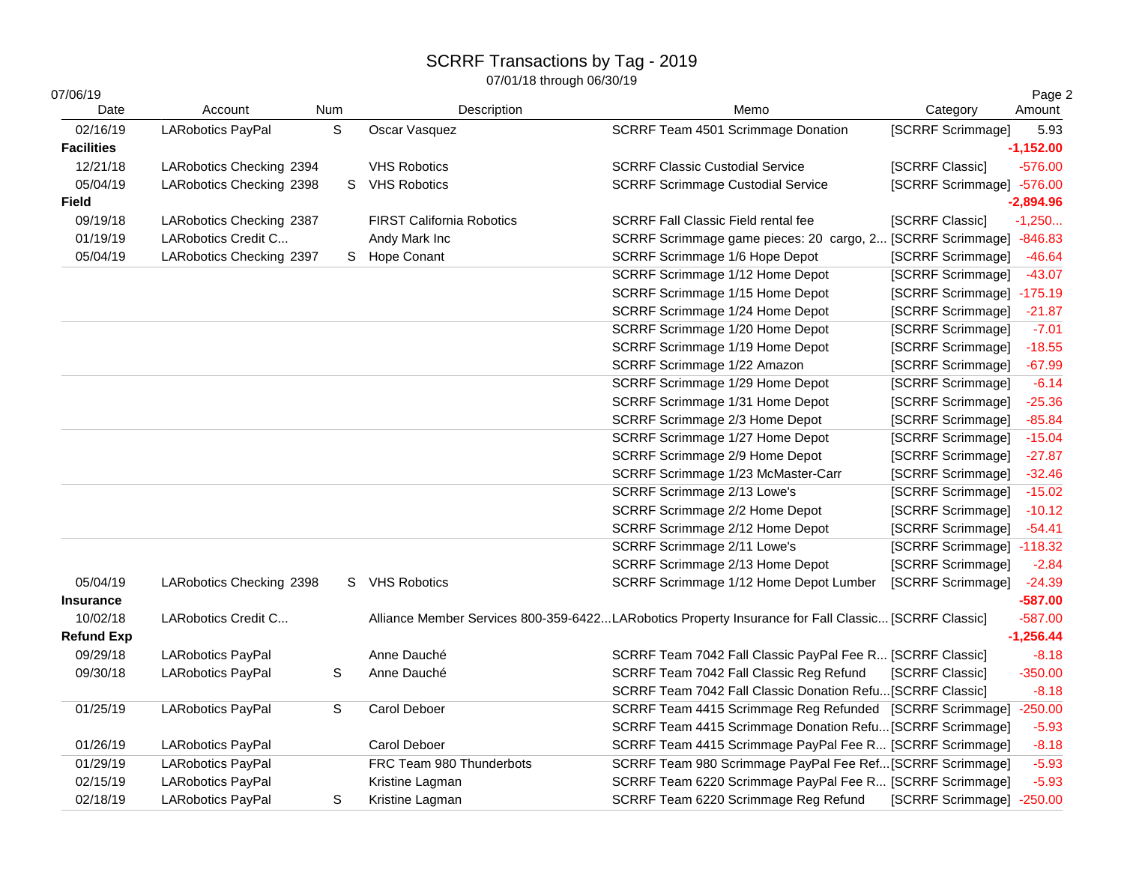| 07/06/19          |                          |     |                                  |                                                                                                     |                           | Page 2      |
|-------------------|--------------------------|-----|----------------------------------|-----------------------------------------------------------------------------------------------------|---------------------------|-------------|
| Date              | Account                  | Num | Description                      | Memo                                                                                                | Category                  | Amount      |
| 02/16/19          | <b>LARobotics PayPal</b> | S   | Oscar Vasquez                    | SCRRF Team 4501 Scrimmage Donation                                                                  | [SCRRF Scrimmage]         | 5.93        |
| <b>Facilities</b> |                          |     |                                  |                                                                                                     |                           | $-1,152.00$ |
| 12/21/18          | LARobotics Checking 2394 |     | <b>VHS Robotics</b>              | <b>SCRRF Classic Custodial Service</b>                                                              | [SCRRF Classic]           | $-576.00$   |
| 05/04/19          | LARobotics Checking 2398 | S.  | <b>VHS Robotics</b>              | <b>SCRRF Scrimmage Custodial Service</b>                                                            | [SCRRF Scrimmage] -576.00 |             |
| Field             |                          |     |                                  |                                                                                                     |                           | $-2,894.96$ |
| 09/19/18          | LARobotics Checking 2387 |     | <b>FIRST California Robotics</b> | <b>SCRRF Fall Classic Field rental fee</b>                                                          | [SCRRF Classic]           | $-1,250$    |
| 01/19/19          | LARobotics Credit C      |     | Andy Mark Inc                    | SCRRF Scrimmage game pieces: 20 cargo, 2 [SCRRF Scrimmage] -846.83                                  |                           |             |
| 05/04/19          | LARobotics Checking 2397 | S.  | <b>Hope Conant</b>               | SCRRF Scrimmage 1/6 Hope Depot                                                                      | [SCRRF Scrimmage]         | $-46.64$    |
|                   |                          |     |                                  | SCRRF Scrimmage 1/12 Home Depot                                                                     | [SCRRF Scrimmage]         | $-43.07$    |
|                   |                          |     |                                  | SCRRF Scrimmage 1/15 Home Depot                                                                     | [SCRRF Scrimmage] -175.19 |             |
|                   |                          |     |                                  | SCRRF Scrimmage 1/24 Home Depot                                                                     | [SCRRF Scrimmage]         | $-21.87$    |
|                   |                          |     |                                  | SCRRF Scrimmage 1/20 Home Depot                                                                     | [SCRRF Scrimmage]         | $-7.01$     |
|                   |                          |     |                                  | SCRRF Scrimmage 1/19 Home Depot                                                                     | [SCRRF Scrimmage]         | $-18.55$    |
|                   |                          |     |                                  | SCRRF Scrimmage 1/22 Amazon                                                                         | [SCRRF Scrimmage]         | $-67.99$    |
|                   |                          |     |                                  | SCRRF Scrimmage 1/29 Home Depot                                                                     | [SCRRF Scrimmage]         | $-6.14$     |
|                   |                          |     |                                  | SCRRF Scrimmage 1/31 Home Depot                                                                     | [SCRRF Scrimmage]         | $-25.36$    |
|                   |                          |     |                                  | SCRRF Scrimmage 2/3 Home Depot                                                                      | [SCRRF Scrimmage]         | $-85.84$    |
|                   |                          |     |                                  | SCRRF Scrimmage 1/27 Home Depot                                                                     | [SCRRF Scrimmage]         | $-15.04$    |
|                   |                          |     |                                  | SCRRF Scrimmage 2/9 Home Depot                                                                      | [SCRRF Scrimmage]         | $-27.87$    |
|                   |                          |     |                                  | SCRRF Scrimmage 1/23 McMaster-Carr                                                                  | [SCRRF Scrimmage]         | $-32.46$    |
|                   |                          |     |                                  | SCRRF Scrimmage 2/13 Lowe's                                                                         | [SCRRF Scrimmage]         | $-15.02$    |
|                   |                          |     |                                  | SCRRF Scrimmage 2/2 Home Depot                                                                      | [SCRRF Scrimmage]         | $-10.12$    |
|                   |                          |     |                                  | SCRRF Scrimmage 2/12 Home Depot                                                                     | [SCRRF Scrimmage]         | $-54.41$    |
|                   |                          |     |                                  | SCRRF Scrimmage 2/11 Lowe's                                                                         | [SCRRF Scrimmage] -118.32 |             |
|                   |                          |     |                                  | SCRRF Scrimmage 2/13 Home Depot                                                                     | [SCRRF Scrimmage]         | $-2.84$     |
| 05/04/19          | LARobotics Checking 2398 |     | S VHS Robotics                   | SCRRF Scrimmage 1/12 Home Depot Lumber                                                              | [SCRRF Scrimmage]         | $-24.39$    |
| <b>Insurance</b>  |                          |     |                                  |                                                                                                     |                           | $-587.00$   |
| 10/02/18          | LARobotics Credit C      |     |                                  | Alliance Member Services 800-359-6422LARobotics Property Insurance for Fall Classic [SCRRF Classic] |                           | $-587.00$   |
| <b>Refund Exp</b> |                          |     |                                  |                                                                                                     |                           | $-1,256.44$ |
| 09/29/18          | <b>LARobotics PayPal</b> |     | Anne Dauché                      | SCRRF Team 7042 Fall Classic PayPal Fee R [SCRRF Classic]                                           |                           | $-8.18$     |
| 09/30/18          | <b>LARobotics PayPal</b> | S   | Anne Dauché                      | SCRRF Team 7042 Fall Classic Reg Refund                                                             | [SCRRF Classic]           | $-350.00$   |
|                   |                          |     |                                  | SCRRF Team 7042 Fall Classic Donation Refu [SCRRF Classic]                                          |                           | $-8.18$     |
| 01/25/19          | <b>LARobotics PayPal</b> | S   | Carol Deboer                     | SCRRF Team 4415 Scrimmage Reg Refunded [SCRRF Scrimmage] -250.00                                    |                           |             |
|                   |                          |     |                                  | SCRRF Team 4415 Scrimmage Donation Refu [SCRRF Scrimmage]                                           |                           | $-5.93$     |
| 01/26/19          | <b>LARobotics PayPal</b> |     | Carol Deboer                     | SCRRF Team 4415 Scrimmage PayPal Fee R [SCRRF Scrimmage]                                            |                           | $-8.18$     |
| 01/29/19          | <b>LARobotics PayPal</b> |     | FRC Team 980 Thunderbots         | SCRRF Team 980 Scrimmage PayPal Fee Ref[SCRRF Scrimmage]                                            |                           | $-5.93$     |
| 02/15/19          | <b>LARobotics PayPal</b> |     | Kristine Lagman                  | SCRRF Team 6220 Scrimmage PayPal Fee R [SCRRF Scrimmage]                                            |                           | $-5.93$     |
| 02/18/19          | <b>LARobotics PayPal</b> | S   | Kristine Lagman                  | SCRRF Team 6220 Scrimmage Reg Refund                                                                | [SCRRF Scrimmage] -250.00 |             |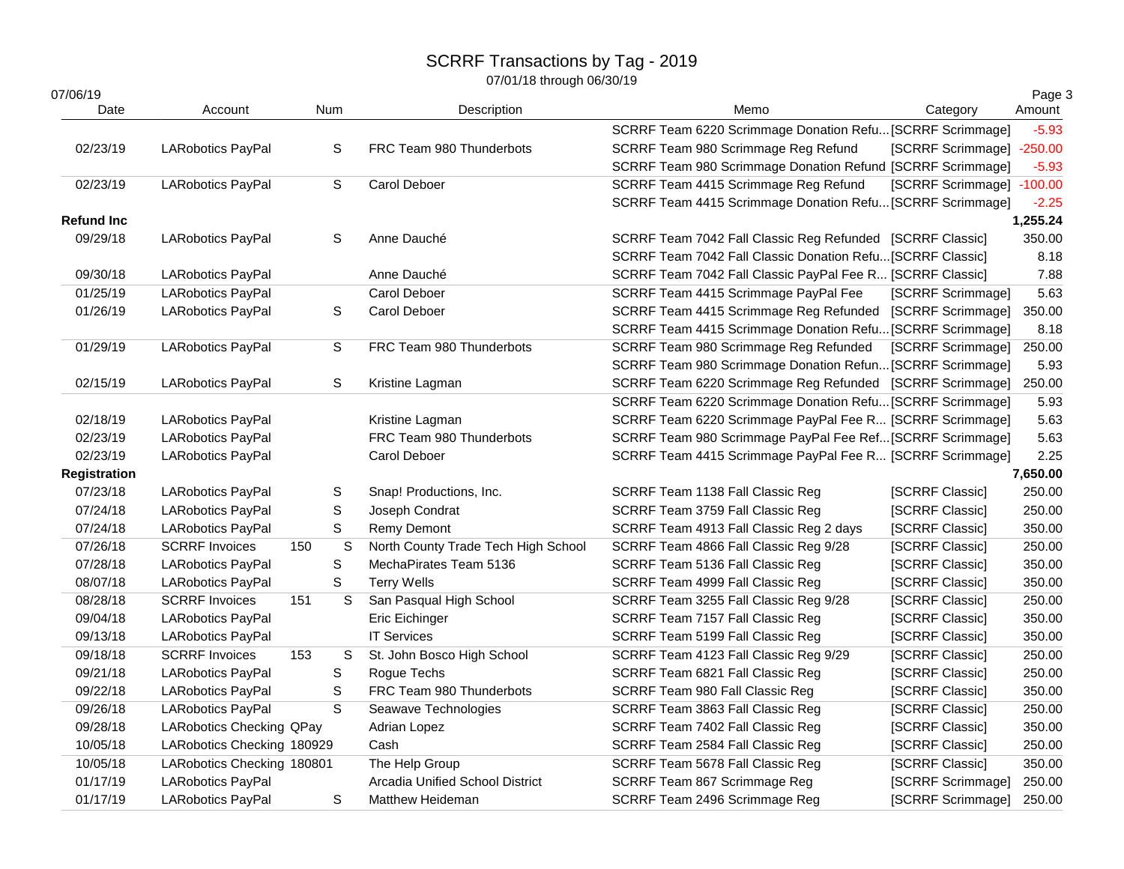| 07/06/19<br>Date  | Account                         |     | Num         | Description                         | Memo                                                       | Category                  | Page 3<br>Amount |
|-------------------|---------------------------------|-----|-------------|-------------------------------------|------------------------------------------------------------|---------------------------|------------------|
|                   |                                 |     |             |                                     | SCRRF Team 6220 Scrimmage Donation Refu [SCRRF Scrimmage]  |                           | $-5.93$          |
| 02/23/19          | <b>LARobotics PayPal</b>        |     | S           | FRC Team 980 Thunderbots            | SCRRF Team 980 Scrimmage Reg Refund                        | [SCRRF Scrimmage] -250.00 |                  |
|                   |                                 |     |             |                                     | SCRRF Team 980 Scrimmage Donation Refund [SCRRF Scrimmage] |                           | $-5.93$          |
| 02/23/19          | <b>LARobotics PayPal</b>        |     | S           | Carol Deboer                        | SCRRF Team 4415 Scrimmage Reg Refund                       | [SCRRF Scrimmage] -100.00 |                  |
|                   |                                 |     |             |                                     | SCRRF Team 4415 Scrimmage Donation Refu [SCRRF Scrimmage]  |                           | $-2.25$          |
| <b>Refund Inc</b> |                                 |     |             |                                     |                                                            |                           | 1,255.24         |
| 09/29/18          | LARobotics PayPal               |     | S           | Anne Dauché                         | SCRRF Team 7042 Fall Classic Reg Refunded [SCRRF Classic]  |                           | 350.00           |
|                   |                                 |     |             |                                     | SCRRF Team 7042 Fall Classic Donation Refu [SCRRF Classic] |                           | 8.18             |
| 09/30/18          | <b>LARobotics PayPal</b>        |     |             | Anne Dauché                         | SCRRF Team 7042 Fall Classic PayPal Fee R [SCRRF Classic]  |                           | 7.88             |
| 01/25/19          | <b>LARobotics PayPal</b>        |     |             | Carol Deboer                        | SCRRF Team 4415 Scrimmage PayPal Fee                       | [SCRRF Scrimmage]         | 5.63             |
| 01/26/19          | LARobotics PayPal               |     | $\mathbb S$ | Carol Deboer                        | SCRRF Team 4415 Scrimmage Reg Refunded [SCRRF Scrimmage]   |                           | 350.00           |
|                   |                                 |     |             |                                     | SCRRF Team 4415 Scrimmage Donation Refu [SCRRF Scrimmage]  |                           | 8.18             |
| 01/29/19          | <b>LARobotics PayPal</b>        |     | S           | FRC Team 980 Thunderbots            | SCRRF Team 980 Scrimmage Reg Refunded                      | [SCRRF Scrimmage]         | 250.00           |
|                   |                                 |     |             |                                     | SCRRF Team 980 Scrimmage Donation Refun [SCRRF Scrimmage]  |                           | 5.93             |
| 02/15/19          | LARobotics PayPal               |     | $\mathbb S$ | Kristine Lagman                     | SCRRF Team 6220 Scrimmage Reg Refunded [SCRRF Scrimmage]   |                           | 250.00           |
|                   |                                 |     |             |                                     | SCRRF Team 6220 Scrimmage Donation Refu [SCRRF Scrimmage]  |                           | 5.93             |
| 02/18/19          | <b>LARobotics PayPal</b>        |     |             | Kristine Lagman                     | SCRRF Team 6220 Scrimmage PayPal Fee R [SCRRF Scrimmage]   |                           | 5.63             |
| 02/23/19          | <b>LARobotics PayPal</b>        |     |             | FRC Team 980 Thunderbots            | SCRRF Team 980 Scrimmage PayPal Fee Ref[SCRRF Scrimmage]   |                           | 5.63             |
| 02/23/19          | LARobotics PayPal               |     |             | Carol Deboer                        | SCRRF Team 4415 Scrimmage PayPal Fee R [SCRRF Scrimmage]   |                           | 2.25             |
| Registration      |                                 |     |             |                                     |                                                            |                           | 7,650.00         |
| 07/23/18          | <b>LARobotics PayPal</b>        |     | S           | Snap! Productions, Inc.             | SCRRF Team 1138 Fall Classic Reg                           | [SCRRF Classic]           | 250.00           |
| 07/24/18          | <b>LARobotics PayPal</b>        |     | $\mathbb S$ | Joseph Condrat                      | SCRRF Team 3759 Fall Classic Reg                           | [SCRRF Classic]           | 250.00           |
| 07/24/18          | <b>LARobotics PayPal</b>        |     | $\mathbf S$ | <b>Remy Demont</b>                  | SCRRF Team 4913 Fall Classic Reg 2 days                    | [SCRRF Classic]           | 350.00           |
| 07/26/18          | <b>SCRRF Invoices</b>           | 150 | S           | North County Trade Tech High School | SCRRF Team 4866 Fall Classic Reg 9/28                      | [SCRRF Classic]           | 250.00           |
| 07/28/18          | <b>LARobotics PayPal</b>        |     | S           | MechaPirates Team 5136              | SCRRF Team 5136 Fall Classic Reg                           | [SCRRF Classic]           | 350.00           |
| 08/07/18          | <b>LARobotics PayPal</b>        |     | $\mathbb S$ | <b>Terry Wells</b>                  | SCRRF Team 4999 Fall Classic Reg                           | [SCRRF Classic]           | 350.00           |
| 08/28/18          | <b>SCRRF Invoices</b>           | 151 | S           | San Pasqual High School             | SCRRF Team 3255 Fall Classic Reg 9/28                      | [SCRRF Classic]           | 250.00           |
| 09/04/18          | LARobotics PayPal               |     |             | Eric Eichinger                      | SCRRF Team 7157 Fall Classic Reg                           | [SCRRF Classic]           | 350.00           |
| 09/13/18          | <b>LARobotics PayPal</b>        |     |             | <b>IT Services</b>                  | SCRRF Team 5199 Fall Classic Reg                           | [SCRRF Classic]           | 350.00           |
| 09/18/18          | <b>SCRRF Invoices</b>           | 153 | S           | St. John Bosco High School          | SCRRF Team 4123 Fall Classic Reg 9/29                      | [SCRRF Classic]           | 250.00           |
| 09/21/18          | <b>LARobotics PayPal</b>        |     | S           | Rogue Techs                         | SCRRF Team 6821 Fall Classic Reg                           | [SCRRF Classic]           | 250.00           |
| 09/22/18          | LARobotics PayPal               |     | S           | FRC Team 980 Thunderbots            | SCRRF Team 980 Fall Classic Reg                            | [SCRRF Classic]           | 350.00           |
| 09/26/18          | LARobotics PayPal               |     | S           | Seawave Technologies                | SCRRF Team 3863 Fall Classic Reg                           | [SCRRF Classic]           | 250.00           |
| 09/28/18          | <b>LARobotics Checking QPay</b> |     |             | <b>Adrian Lopez</b>                 | SCRRF Team 7402 Fall Classic Reg                           | [SCRRF Classic]           | 350.00           |
| 10/05/18          | LARobotics Checking 180929      |     |             | Cash                                | SCRRF Team 2584 Fall Classic Reg                           | [SCRRF Classic]           | 250.00           |
| 10/05/18          | LARobotics Checking 180801      |     |             | The Help Group                      | SCRRF Team 5678 Fall Classic Reg                           | [SCRRF Classic]           | 350.00           |
| 01/17/19          | LARobotics PayPal               |     |             | Arcadia Unified School District     | SCRRF Team 867 Scrimmage Reg                               | [SCRRF Scrimmage]         | 250.00           |
| 01/17/19          | <b>LARobotics PayPal</b>        |     | S           | <b>Matthew Heideman</b>             | SCRRF Team 2496 Scrimmage Reg                              | [SCRRF Scrimmage]         | 250.00           |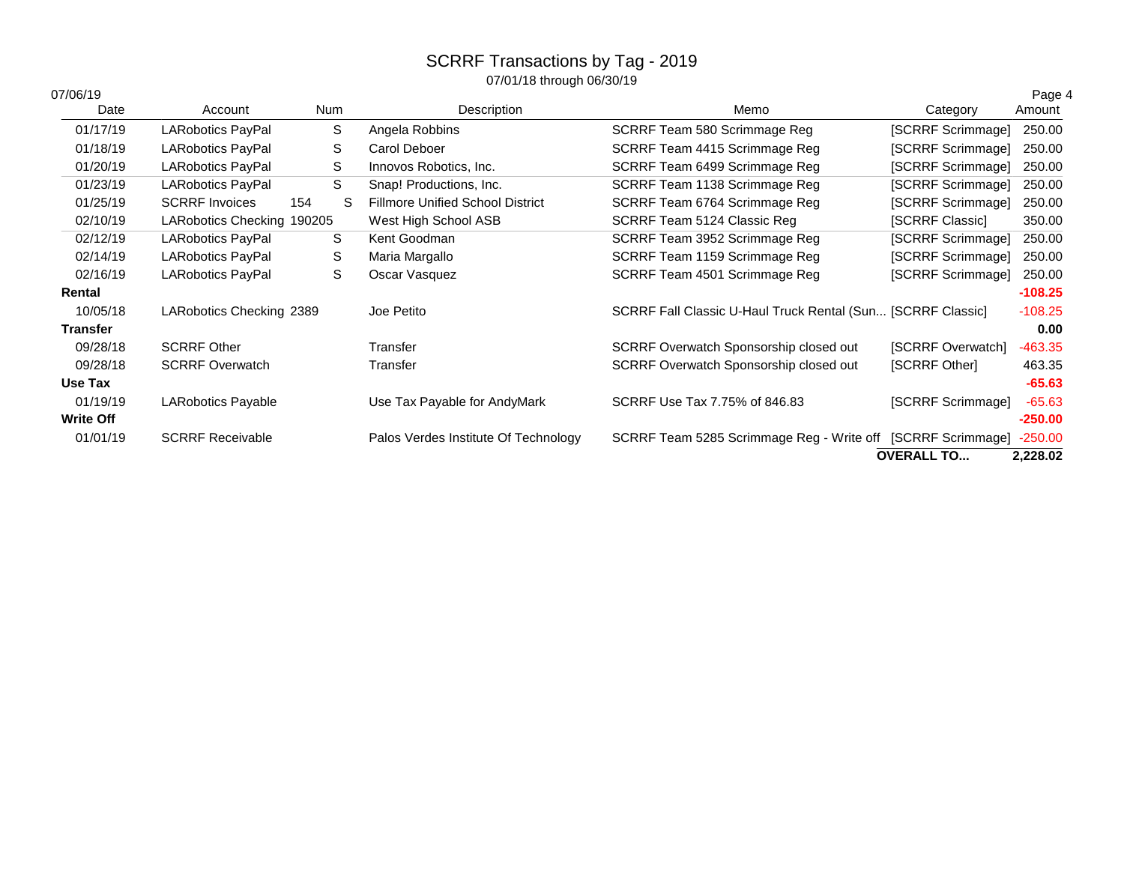| 07/06/19<br>Date | Account                    | Num      | Description                             | Memo                                                        | Category          | Page 4<br>Amount |
|------------------|----------------------------|----------|-----------------------------------------|-------------------------------------------------------------|-------------------|------------------|
| 01/17/19         | LARobotics PayPal          | S        | Angela Robbins                          | SCRRF Team 580 Scrimmage Reg                                | [SCRRF Scrimmage] | 250.00           |
| 01/18/19         | <b>LARobotics PayPal</b>   | S        | Carol Deboer                            | SCRRF Team 4415 Scrimmage Reg                               | [SCRRF Scrimmage] | 250.00           |
| 01/20/19         | <b>LARobotics PayPal</b>   | S        | Innovos Robotics, Inc.                  | SCRRF Team 6499 Scrimmage Reg                               | [SCRRF Scrimmage] | 250.00           |
| 01/23/19         | <b>LARobotics PayPal</b>   | S        | Snap! Productions, Inc.                 | SCRRF Team 1138 Scrimmage Reg                               | [SCRRF Scrimmage] | 250.00           |
| 01/25/19         | <b>SCRRF Invoices</b>      | S<br>154 | <b>Fillmore Unified School District</b> | SCRRF Team 6764 Scrimmage Reg                               | [SCRRF Scrimmage] | 250.00           |
| 02/10/19         | LARobotics Checking 190205 |          | West High School ASB                    | SCRRF Team 5124 Classic Reg                                 | [SCRRF Classic]   | 350.00           |
| 02/12/19         | <b>LARobotics PayPal</b>   | S        | Kent Goodman                            | SCRRF Team 3952 Scrimmage Reg                               | [SCRRF Scrimmage] | 250.00           |
| 02/14/19         | <b>LARobotics PayPal</b>   | S        | Maria Margallo                          | SCRRF Team 1159 Scrimmage Reg                               | [SCRRF Scrimmage] | 250.00           |
| 02/16/19         | <b>LARobotics PayPal</b>   | S        | Oscar Vasquez                           | SCRRF Team 4501 Scrimmage Reg                               | [SCRRF Scrimmage] | 250.00           |
| Rental           |                            |          |                                         |                                                             |                   | $-108.25$        |
| 10/05/18         | LARobotics Checking 2389   |          | Joe Petito                              | SCRRF Fall Classic U-Haul Truck Rental (Sun [SCRRF Classic] |                   | $-108.25$        |
| <b>Transfer</b>  |                            |          |                                         |                                                             |                   | 0.00             |
| 09/28/18         | <b>SCRRF Other</b>         |          | Transfer                                | SCRRF Overwatch Sponsorship closed out                      | [SCRRF Overwatch] | $-463.35$        |
| 09/28/18         | <b>SCRRF Overwatch</b>     |          | Transfer                                | SCRRF Overwatch Sponsorship closed out                      | [SCRRF Other]     | 463.35           |
| Use Tax          |                            |          |                                         |                                                             |                   | $-65.63$         |
| 01/19/19         | <b>LARobotics Payable</b>  |          | Use Tax Payable for AndyMark            | SCRRF Use Tax 7.75% of 846.83                               | [SCRRF Scrimmage] | $-65.63$         |
| <b>Write Off</b> |                            |          |                                         |                                                             |                   | $-250.00$        |
| 01/01/19         | <b>SCRRF Receivable</b>    |          | Palos Verdes Institute Of Technology    | SCRRF Team 5285 Scrimmage Reg - Write off [SCRRF Scrimmage] |                   | $-250.00$        |
|                  |                            |          |                                         |                                                             | <b>OVERALL TO</b> | 2,228.02         |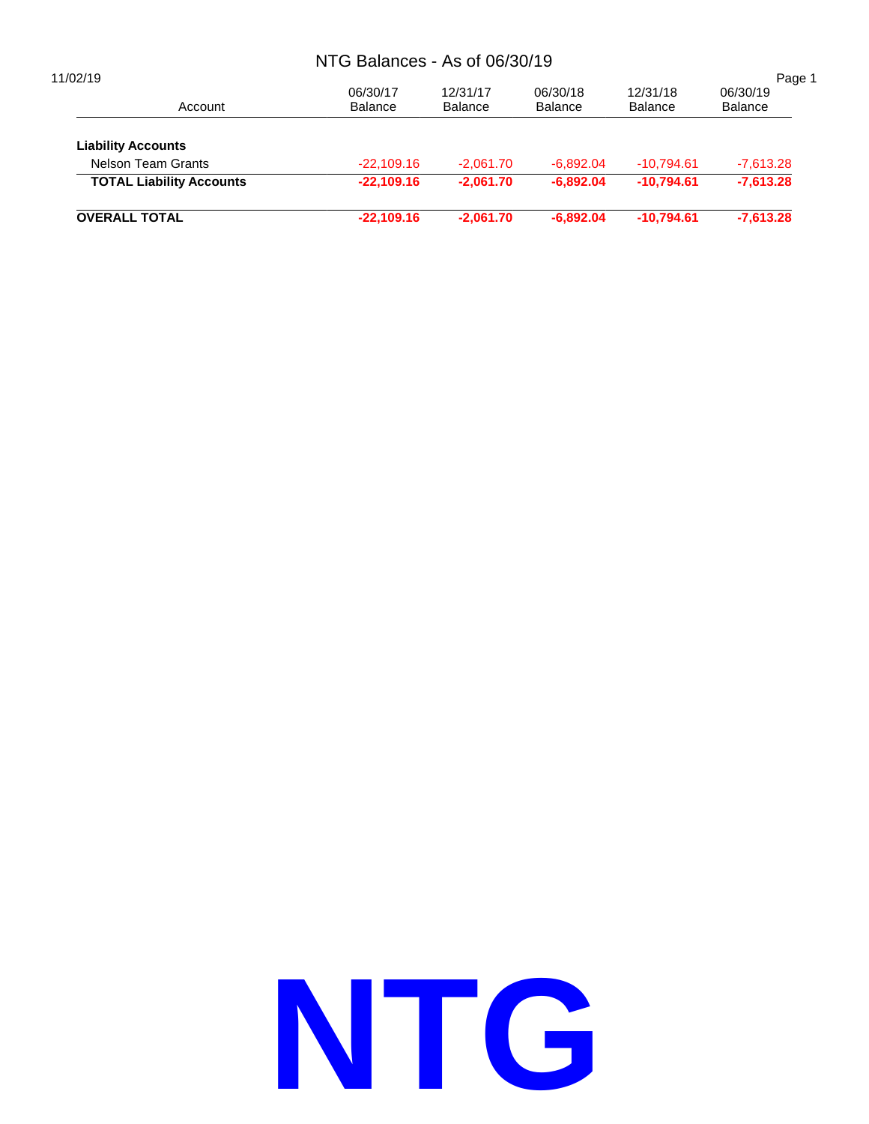# NTG Balances - As of 06/30/19

|                            |                            |                            |                            | Page 1                     |
|----------------------------|----------------------------|----------------------------|----------------------------|----------------------------|
| 06/30/17<br><b>Balance</b> | 12/31/17<br><b>Balance</b> | 06/30/18<br><b>Balance</b> | 12/31/18<br><b>Balance</b> | 06/30/19<br><b>Balance</b> |
|                            |                            |                            |                            |                            |
| $-22.109.16$               | $-2.061.70$                | $-6.892.04$                | $-10.794.61$               | $-7.613.28$                |
| $-22,109.16$               | $-2.061.70$                | $-6.892.04$                | $-10.794.61$               | $-7,613.28$                |
| $-22,109.16$               | $-2.061.70$                | $-6.892.04$                | $-10.794.61$               | $-7,613.28$                |
|                            |                            |                            |                            |                            |

# **NTG**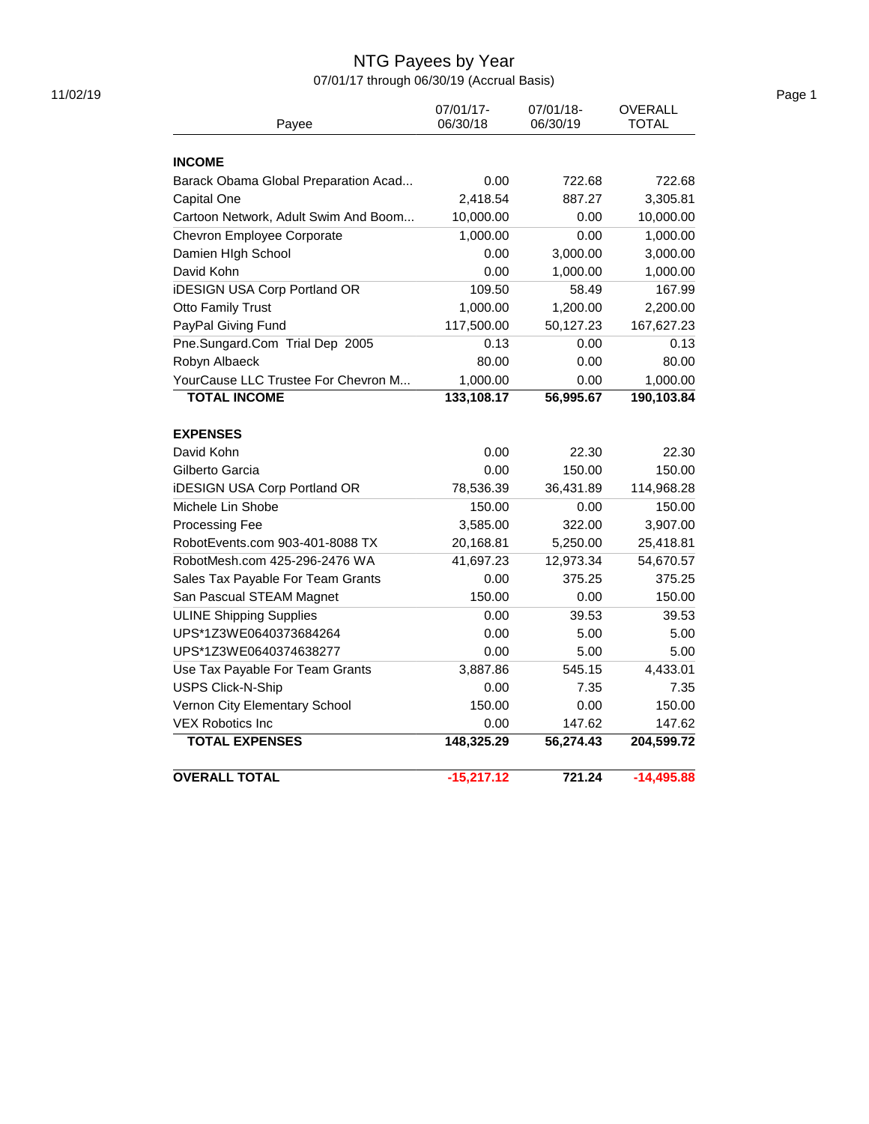# NTG Payees by Year

07/01/17 through 06/30/19 (Accrual Basis)

| Payee                                | 07/01/17-<br>06/30/18 | 07/01/18-<br>06/30/19 | <b>OVERALL</b><br><b>TOTAL</b> |
|--------------------------------------|-----------------------|-----------------------|--------------------------------|
|                                      |                       |                       |                                |
| <b>INCOME</b>                        |                       |                       |                                |
| Barack Obama Global Preparation Acad | 0.00                  | 722.68                | 722.68                         |
| Capital One                          | 2,418.54              | 887.27                | 3,305.81                       |
| Cartoon Network, Adult Swim And Boom | 10,000.00             | 0.00                  | 10,000.00                      |
| Chevron Employee Corporate           | 1,000.00              | 0.00                  | 1,000.00                       |
| Damien High School                   | 0.00                  | 3,000.00              | 3,000.00                       |
| David Kohn                           | 0.00                  | 1,000.00              | 1,000.00                       |
| <b>iDESIGN USA Corp Portland OR</b>  | 109.50                | 58.49                 | 167.99                         |
| <b>Otto Family Trust</b>             | 1,000.00              | 1,200.00              | 2,200.00                       |
| PayPal Giving Fund                   | 117,500.00            | 50,127.23             | 167,627.23                     |
| Pne.Sungard.Com Trial Dep 2005       | 0.13                  | 0.00                  | 0.13                           |
| Robyn Albaeck                        | 80.00                 | 0.00                  | 80.00                          |
| YourCause LLC Trustee For Chevron M  | 1,000.00              | 0.00                  | 1,000.00                       |
| <b>TOTAL INCOME</b>                  | 133,108.17            | 56,995.67             | 190,103.84                     |
| <b>EXPENSES</b>                      |                       |                       |                                |
| David Kohn                           | 0.00                  | 22.30                 | 22.30                          |
| Gilberto Garcia                      | 0.00                  | 150.00                | 150.00                         |
| <b>iDESIGN USA Corp Portland OR</b>  | 78,536.39             | 36,431.89             | 114,968.28                     |
| Michele Lin Shobe                    | 150.00                | 0.00                  | 150.00                         |
| <b>Processing Fee</b>                | 3,585.00              | 322.00                | 3,907.00                       |
| RobotEvents.com 903-401-8088 TX      | 20,168.81             | 5,250.00              | 25,418.81                      |
| RobotMesh.com 425-296-2476 WA        | 41,697.23             | 12,973.34             | 54,670.57                      |
| Sales Tax Payable For Team Grants    | 0.00                  | 375.25                | 375.25                         |
| San Pascual STEAM Magnet             | 150.00                | 0.00                  | 150.00                         |
| <b>ULINE Shipping Supplies</b>       | 0.00                  | 39.53                 | 39.53                          |
| UPS*1Z3WE0640373684264               | 0.00                  | 5.00                  | 5.00                           |
| UPS*1Z3WE0640374638277               | 0.00                  | 5.00                  | 5.00                           |
| Use Tax Payable For Team Grants      | 3,887.86              | 545.15                | 4,433.01                       |
| <b>USPS Click-N-Ship</b>             | 0.00                  | 7.35                  | 7.35                           |
| Vernon City Elementary School        | 150.00                | 0.00                  | 150.00                         |
| <b>VEX Robotics Inc</b>              | 0.00                  | 147.62                | 147.62                         |
| <b>TOTAL EXPENSES</b>                | 148,325.29            | 56,274.43             | 204,599.72                     |
| <b>OVERALL TOTAL</b>                 | $-15,217.12$          | 721.24                | $-14,495.88$                   |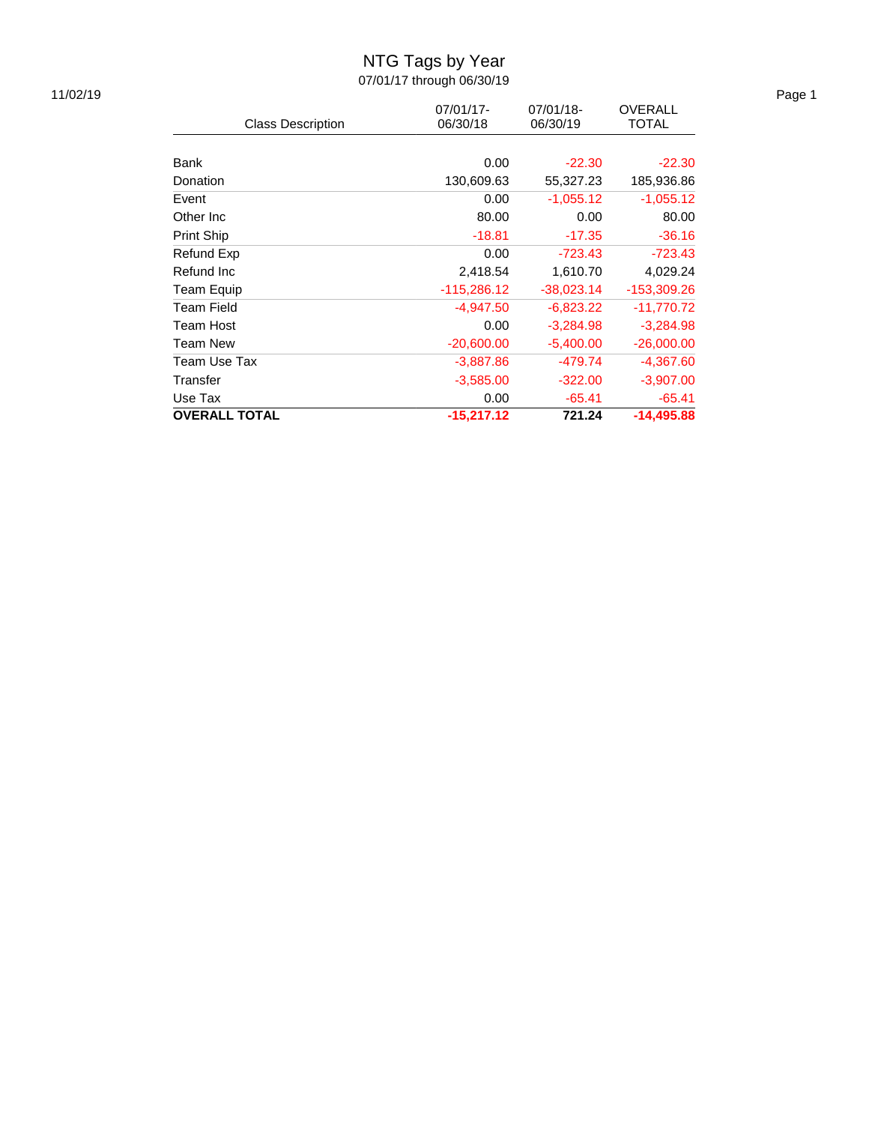# NTG Tags by Year

07/01/17 through 06/30/19

|                          | 07/01/17-     | 07/01/18-    | <b>OVERALL</b> |
|--------------------------|---------------|--------------|----------------|
| <b>Class Description</b> | 06/30/18      | 06/30/19     | <b>TOTAL</b>   |
|                          |               |              |                |
| Bank                     | 0.00          | $-22.30$     | $-22.30$       |
| Donation                 | 130,609.63    | 55,327.23    | 185,936.86     |
| Event                    | 0.00          | $-1,055.12$  | $-1,055.12$    |
| Other Inc                | 80.00         | 0.00         | 80.00          |
| <b>Print Ship</b>        | $-18.81$      | $-17.35$     | $-36.16$       |
| Refund Exp               | 0.00          | $-723.43$    | $-723.43$      |
| Refund Inc               | 2,418.54      | 1,610.70     | 4,029.24       |
| Team Equip               | $-115,286.12$ | $-38,023.14$ | -153,309.26    |
| <b>Team Field</b>        | $-4.947.50$   | $-6,823.22$  | -11,770.72     |
| Team Host                | 0.00          | $-3,284.98$  | $-3,284.98$    |
| <b>Team New</b>          | $-20,600.00$  | $-5,400.00$  | $-26,000.00$   |
| Team Use Tax             | $-3,887.86$   | $-479.74$    | $-4,367.60$    |
| Transfer                 | $-3,585.00$   | $-322.00$    | $-3,907.00$    |
| Use Tax                  | 0.00          | $-65.41$     | $-65.41$       |
| <b>OVERALL TOTAL</b>     | $-15,217.12$  | 721.24       | $-14,495.88$   |

11/02/19 Page 1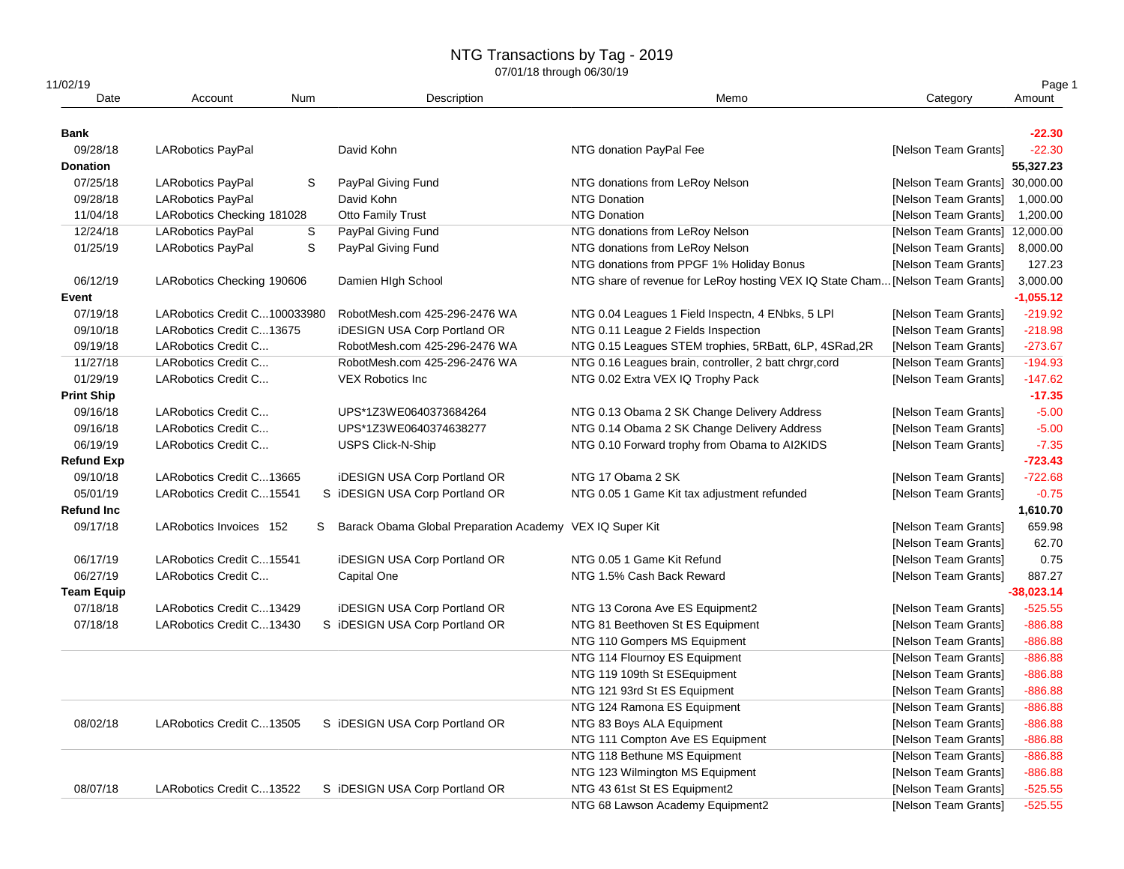# NTG Transactions by Tag - 2019

| 11/02/19          |                              |            |                                                          |                                                                               |                                | Page 1       |
|-------------------|------------------------------|------------|----------------------------------------------------------|-------------------------------------------------------------------------------|--------------------------------|--------------|
| Date              | Account                      | <b>Num</b> | Description                                              | Memo                                                                          | Category                       | Amount       |
| <b>Bank</b>       |                              |            |                                                          |                                                                               |                                | $-22.30$     |
| 09/28/18          | <b>LARobotics PayPal</b>     |            | David Kohn                                               | NTG donation PayPal Fee                                                       | [Nelson Team Grants]           | $-22.30$     |
| <b>Donation</b>   |                              |            |                                                          |                                                                               |                                | 55,327.23    |
| 07/25/18          | <b>LARobotics PayPal</b>     | S          | PayPal Giving Fund                                       | NTG donations from LeRoy Nelson                                               | [Nelson Team Grants] 30,000.00 |              |
| 09/28/18          | <b>LARobotics PayPal</b>     |            | David Kohn                                               | <b>NTG Donation</b>                                                           | [Nelson Team Grants]           | 1,000.00     |
| 11/04/18          | LARobotics Checking 181028   |            | Otto Family Trust                                        | <b>NTG Donation</b>                                                           | [Nelson Team Grants]           | 1,200.00     |
| 12/24/18          | LARobotics PayPal            | S          | PayPal Giving Fund                                       | NTG donations from LeRoy Nelson                                               | [Nelson Team Grants] 12,000.00 |              |
| 01/25/19          | LARobotics PayPal            | S          | PayPal Giving Fund                                       | NTG donations from LeRoy Nelson                                               | [Nelson Team Grants]           | 8,000.00     |
|                   |                              |            |                                                          | NTG donations from PPGF 1% Holiday Bonus                                      | [Nelson Team Grants]           | 127.23       |
| 06/12/19          | LARobotics Checking 190606   |            | Damien High School                                       | NTG share of revenue for LeRoy hosting VEX IQ State Cham [Nelson Team Grants] |                                | 3,000.00     |
| Event             |                              |            |                                                          |                                                                               |                                | $-1,055.12$  |
| 07/19/18          | LARobotics Credit C100033980 |            | RobotMesh.com 425-296-2476 WA                            | NTG 0.04 Leagues 1 Field Inspectn, 4 ENbks, 5 LPI                             | [Nelson Team Grants]           | $-219.92$    |
| 09/10/18          | LARobotics Credit C13675     |            | <b>iDESIGN USA Corp Portland OR</b>                      | NTG 0.11 League 2 Fields Inspection                                           | [Nelson Team Grants]           | $-218.98$    |
| 09/19/18          | LARobotics Credit C          |            | RobotMesh.com 425-296-2476 WA                            | NTG 0.15 Leagues STEM trophies, 5RBatt, 6LP, 4SRad, 2R                        | [Nelson Team Grants]           | $-273.67$    |
| 11/27/18          | LARobotics Credit C          |            | RobotMesh.com 425-296-2476 WA                            | NTG 0.16 Leagues brain, controller, 2 batt chrgr, cord                        | [Nelson Team Grants]           | $-194.93$    |
| 01/29/19          | <b>LARobotics Credit C</b>   |            | <b>VEX Robotics Inc.</b>                                 | NTG 0.02 Extra VEX IQ Trophy Pack                                             | [Nelson Team Grants]           | $-147.62$    |
| <b>Print Ship</b> |                              |            |                                                          |                                                                               |                                | $-17.35$     |
| 09/16/18          | LARobotics Credit C          |            | UPS*1Z3WE0640373684264                                   | NTG 0.13 Obama 2 SK Change Delivery Address                                   | [Nelson Team Grants]           | $-5.00$      |
| 09/16/18          | <b>LARobotics Credit C</b>   |            | UPS*1Z3WE0640374638277                                   | NTG 0.14 Obama 2 SK Change Delivery Address                                   | [Nelson Team Grants]           | $-5.00$      |
| 06/19/19          | LARobotics Credit C          |            | <b>USPS Click-N-Ship</b>                                 | NTG 0.10 Forward trophy from Obama to AI2KIDS                                 | [Nelson Team Grants]           | $-7.35$      |
| <b>Refund Exp</b> |                              |            |                                                          |                                                                               |                                | $-723.43$    |
| 09/10/18          | LARobotics Credit C13665     |            | <b>iDESIGN USA Corp Portland OR</b>                      | NTG 17 Obama 2 SK                                                             | [Nelson Team Grants]           | $-722.68$    |
| 05/01/19          | LARobotics Credit C15541     |            | S iDESIGN USA Corp Portland OR                           | NTG 0.05 1 Game Kit tax adjustment refunded                                   | [Nelson Team Grants]           | $-0.75$      |
| <b>Refund Inc</b> |                              |            |                                                          |                                                                               |                                | 1,610.70     |
| 09/17/18          | LARobotics Invoices 152      | S          | Barack Obama Global Preparation Academy VEX IQ Super Kit |                                                                               | [Nelson Team Grants]           | 659.98       |
|                   |                              |            |                                                          |                                                                               | [Nelson Team Grants]           | 62.70        |
| 06/17/19          | LARobotics Credit C15541     |            | <b>iDESIGN USA Corp Portland OR</b>                      | NTG 0.05 1 Game Kit Refund                                                    | [Nelson Team Grants]           | 0.75         |
| 06/27/19          | LARobotics Credit C          |            | Capital One                                              | NTG 1.5% Cash Back Reward                                                     | [Nelson Team Grants]           | 887.27       |
| <b>Team Equip</b> |                              |            |                                                          |                                                                               |                                | $-38,023.14$ |
| 07/18/18          | LARobotics Credit C13429     |            | <b>iDESIGN USA Corp Portland OR</b>                      | NTG 13 Corona Ave ES Equipment2                                               | [Nelson Team Grants]           | $-525.55$    |
| 07/18/18          | LARobotics Credit C13430     |            | S iDESIGN USA Corp Portland OR                           | NTG 81 Beethoven St ES Equipment                                              | [Nelson Team Grants]           | $-886.88$    |
|                   |                              |            |                                                          | NTG 110 Gompers MS Equipment                                                  | [Nelson Team Grants]           | $-886.88$    |
|                   |                              |            |                                                          | NTG 114 Flournoy ES Equipment                                                 | [Nelson Team Grants]           | $-886.88$    |
|                   |                              |            |                                                          | NTG 119 109th St ESEquipment                                                  | [Nelson Team Grants]           | $-886.88$    |
|                   |                              |            |                                                          | NTG 121 93rd St ES Equipment                                                  | [Nelson Team Grants]           | $-886.88$    |
|                   |                              |            |                                                          | NTG 124 Ramona ES Equipment                                                   | [Nelson Team Grants]           | $-886.88$    |
| 08/02/18          | LARobotics Credit C13505     |            | S iDESIGN USA Corp Portland OR                           | NTG 83 Boys ALA Equipment                                                     | [Nelson Team Grants]           | $-886.88$    |
|                   |                              |            |                                                          | NTG 111 Compton Ave ES Equipment                                              | [Nelson Team Grants]           | $-886.88$    |
|                   |                              |            |                                                          | NTG 118 Bethune MS Equipment                                                  | [Nelson Team Grants]           | $-886.88$    |
|                   |                              |            |                                                          | NTG 123 Wilmington MS Equipment                                               | [Nelson Team Grants]           | $-886.88$    |
| 08/07/18          | LARobotics Credit C13522     |            | S iDESIGN USA Corp Portland OR                           | NTG 43 61st St ES Equipment2                                                  | [Nelson Team Grants]           | $-525.55$    |
|                   |                              |            |                                                          | NTG 68 Lawson Academy Equipment2                                              | [Nelson Team Grants]           | $-525.55$    |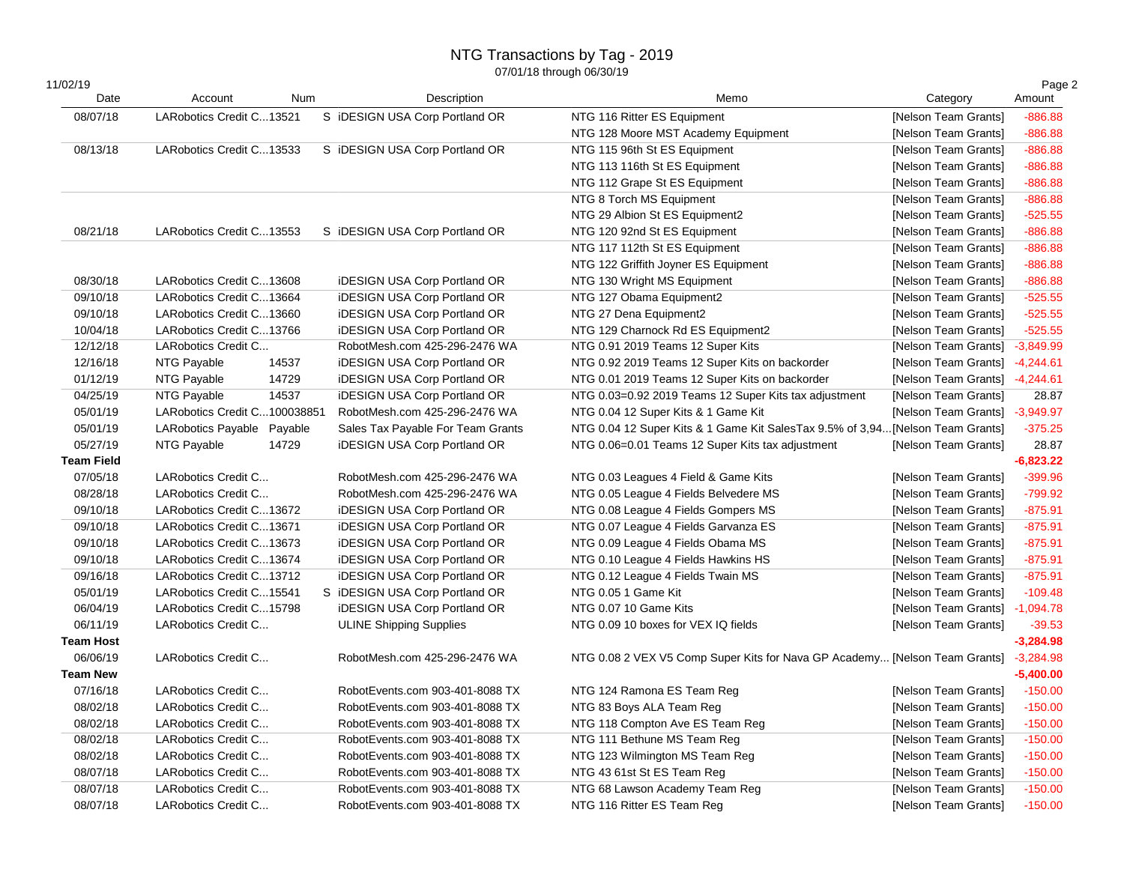# NTG Transactions by Tag - 2019

|             |         |                                                                                                                                                                                                                                                                                                                                                                                                                                                                                                                                                                                                                                                                                                                                                                                      |                                                                                                                                                                                                                                                                                                                                                                                                                                                     |                                                                                                                                                                                                                                                                                                                                                                                                                                                                                                                                                                                                                                                      | Page 2                                                                                                                                                                                                                                                                                                                                                                                                                                                                                                                                                                                                                                                                                                                            |
|-------------|---------|--------------------------------------------------------------------------------------------------------------------------------------------------------------------------------------------------------------------------------------------------------------------------------------------------------------------------------------------------------------------------------------------------------------------------------------------------------------------------------------------------------------------------------------------------------------------------------------------------------------------------------------------------------------------------------------------------------------------------------------------------------------------------------------|-----------------------------------------------------------------------------------------------------------------------------------------------------------------------------------------------------------------------------------------------------------------------------------------------------------------------------------------------------------------------------------------------------------------------------------------------------|------------------------------------------------------------------------------------------------------------------------------------------------------------------------------------------------------------------------------------------------------------------------------------------------------------------------------------------------------------------------------------------------------------------------------------------------------------------------------------------------------------------------------------------------------------------------------------------------------------------------------------------------------|-----------------------------------------------------------------------------------------------------------------------------------------------------------------------------------------------------------------------------------------------------------------------------------------------------------------------------------------------------------------------------------------------------------------------------------------------------------------------------------------------------------------------------------------------------------------------------------------------------------------------------------------------------------------------------------------------------------------------------------|
|             |         |                                                                                                                                                                                                                                                                                                                                                                                                                                                                                                                                                                                                                                                                                                                                                                                      |                                                                                                                                                                                                                                                                                                                                                                                                                                                     |                                                                                                                                                                                                                                                                                                                                                                                                                                                                                                                                                                                                                                                      | Amount                                                                                                                                                                                                                                                                                                                                                                                                                                                                                                                                                                                                                                                                                                                            |
|             |         |                                                                                                                                                                                                                                                                                                                                                                                                                                                                                                                                                                                                                                                                                                                                                                                      |                                                                                                                                                                                                                                                                                                                                                                                                                                                     |                                                                                                                                                                                                                                                                                                                                                                                                                                                                                                                                                                                                                                                      | $-886.88$                                                                                                                                                                                                                                                                                                                                                                                                                                                                                                                                                                                                                                                                                                                         |
|             |         |                                                                                                                                                                                                                                                                                                                                                                                                                                                                                                                                                                                                                                                                                                                                                                                      |                                                                                                                                                                                                                                                                                                                                                                                                                                                     |                                                                                                                                                                                                                                                                                                                                                                                                                                                                                                                                                                                                                                                      | $-886.88$                                                                                                                                                                                                                                                                                                                                                                                                                                                                                                                                                                                                                                                                                                                         |
|             |         |                                                                                                                                                                                                                                                                                                                                                                                                                                                                                                                                                                                                                                                                                                                                                                                      |                                                                                                                                                                                                                                                                                                                                                                                                                                                     |                                                                                                                                                                                                                                                                                                                                                                                                                                                                                                                                                                                                                                                      | $-886.88$                                                                                                                                                                                                                                                                                                                                                                                                                                                                                                                                                                                                                                                                                                                         |
|             |         |                                                                                                                                                                                                                                                                                                                                                                                                                                                                                                                                                                                                                                                                                                                                                                                      |                                                                                                                                                                                                                                                                                                                                                                                                                                                     |                                                                                                                                                                                                                                                                                                                                                                                                                                                                                                                                                                                                                                                      | $-886.88$                                                                                                                                                                                                                                                                                                                                                                                                                                                                                                                                                                                                                                                                                                                         |
|             |         |                                                                                                                                                                                                                                                                                                                                                                                                                                                                                                                                                                                                                                                                                                                                                                                      |                                                                                                                                                                                                                                                                                                                                                                                                                                                     |                                                                                                                                                                                                                                                                                                                                                                                                                                                                                                                                                                                                                                                      | $-886.88$                                                                                                                                                                                                                                                                                                                                                                                                                                                                                                                                                                                                                                                                                                                         |
|             |         |                                                                                                                                                                                                                                                                                                                                                                                                                                                                                                                                                                                                                                                                                                                                                                                      |                                                                                                                                                                                                                                                                                                                                                                                                                                                     |                                                                                                                                                                                                                                                                                                                                                                                                                                                                                                                                                                                                                                                      | $-886.88$                                                                                                                                                                                                                                                                                                                                                                                                                                                                                                                                                                                                                                                                                                                         |
|             |         |                                                                                                                                                                                                                                                                                                                                                                                                                                                                                                                                                                                                                                                                                                                                                                                      |                                                                                                                                                                                                                                                                                                                                                                                                                                                     |                                                                                                                                                                                                                                                                                                                                                                                                                                                                                                                                                                                                                                                      | $-525.55$                                                                                                                                                                                                                                                                                                                                                                                                                                                                                                                                                                                                                                                                                                                         |
|             |         |                                                                                                                                                                                                                                                                                                                                                                                                                                                                                                                                                                                                                                                                                                                                                                                      |                                                                                                                                                                                                                                                                                                                                                                                                                                                     |                                                                                                                                                                                                                                                                                                                                                                                                                                                                                                                                                                                                                                                      | $-886.88$                                                                                                                                                                                                                                                                                                                                                                                                                                                                                                                                                                                                                                                                                                                         |
|             |         |                                                                                                                                                                                                                                                                                                                                                                                                                                                                                                                                                                                                                                                                                                                                                                                      |                                                                                                                                                                                                                                                                                                                                                                                                                                                     |                                                                                                                                                                                                                                                                                                                                                                                                                                                                                                                                                                                                                                                      | $-886.88$                                                                                                                                                                                                                                                                                                                                                                                                                                                                                                                                                                                                                                                                                                                         |
|             |         |                                                                                                                                                                                                                                                                                                                                                                                                                                                                                                                                                                                                                                                                                                                                                                                      |                                                                                                                                                                                                                                                                                                                                                                                                                                                     |                                                                                                                                                                                                                                                                                                                                                                                                                                                                                                                                                                                                                                                      | $-886.88$                                                                                                                                                                                                                                                                                                                                                                                                                                                                                                                                                                                                                                                                                                                         |
|             |         | <b>iDESIGN USA Corp Portland OR</b>                                                                                                                                                                                                                                                                                                                                                                                                                                                                                                                                                                                                                                                                                                                                                  | NTG 130 Wright MS Equipment                                                                                                                                                                                                                                                                                                                                                                                                                         |                                                                                                                                                                                                                                                                                                                                                                                                                                                                                                                                                                                                                                                      | $-886.88$                                                                                                                                                                                                                                                                                                                                                                                                                                                                                                                                                                                                                                                                                                                         |
|             |         | <b>iDESIGN USA Corp Portland OR</b>                                                                                                                                                                                                                                                                                                                                                                                                                                                                                                                                                                                                                                                                                                                                                  | NTG 127 Obama Equipment2                                                                                                                                                                                                                                                                                                                                                                                                                            | [Nelson Team Grants]                                                                                                                                                                                                                                                                                                                                                                                                                                                                                                                                                                                                                                 | $-525.55$                                                                                                                                                                                                                                                                                                                                                                                                                                                                                                                                                                                                                                                                                                                         |
|             |         | <b>iDESIGN USA Corp Portland OR</b>                                                                                                                                                                                                                                                                                                                                                                                                                                                                                                                                                                                                                                                                                                                                                  | NTG 27 Dena Equipment2                                                                                                                                                                                                                                                                                                                                                                                                                              | [Nelson Team Grants]                                                                                                                                                                                                                                                                                                                                                                                                                                                                                                                                                                                                                                 | $-525.55$                                                                                                                                                                                                                                                                                                                                                                                                                                                                                                                                                                                                                                                                                                                         |
|             |         | <b>iDESIGN USA Corp Portland OR</b>                                                                                                                                                                                                                                                                                                                                                                                                                                                                                                                                                                                                                                                                                                                                                  | NTG 129 Charnock Rd ES Equipment2                                                                                                                                                                                                                                                                                                                                                                                                                   | [Nelson Team Grants]                                                                                                                                                                                                                                                                                                                                                                                                                                                                                                                                                                                                                                 | $-525.55$                                                                                                                                                                                                                                                                                                                                                                                                                                                                                                                                                                                                                                                                                                                         |
|             |         | RobotMesh.com 425-296-2476 WA                                                                                                                                                                                                                                                                                                                                                                                                                                                                                                                                                                                                                                                                                                                                                        | NTG 0.91 2019 Teams 12 Super Kits                                                                                                                                                                                                                                                                                                                                                                                                                   | [Nelson Team Grants]                                                                                                                                                                                                                                                                                                                                                                                                                                                                                                                                                                                                                                 | $-3,849.99$                                                                                                                                                                                                                                                                                                                                                                                                                                                                                                                                                                                                                                                                                                                       |
| NTG Payable | 14537   | <b>iDESIGN USA Corp Portland OR</b>                                                                                                                                                                                                                                                                                                                                                                                                                                                                                                                                                                                                                                                                                                                                                  | NTG 0.92 2019 Teams 12 Super Kits on backorder                                                                                                                                                                                                                                                                                                                                                                                                      | [Nelson Team Grants]                                                                                                                                                                                                                                                                                                                                                                                                                                                                                                                                                                                                                                 | $-4,244.61$                                                                                                                                                                                                                                                                                                                                                                                                                                                                                                                                                                                                                                                                                                                       |
| NTG Payable | 14729   | <b>iDESIGN USA Corp Portland OR</b>                                                                                                                                                                                                                                                                                                                                                                                                                                                                                                                                                                                                                                                                                                                                                  | NTG 0.01 2019 Teams 12 Super Kits on backorder                                                                                                                                                                                                                                                                                                                                                                                                      | [Nelson Team Grants] -4,244.61                                                                                                                                                                                                                                                                                                                                                                                                                                                                                                                                                                                                                       |                                                                                                                                                                                                                                                                                                                                                                                                                                                                                                                                                                                                                                                                                                                                   |
| NTG Payable | 14537   | <b>iDESIGN USA Corp Portland OR</b>                                                                                                                                                                                                                                                                                                                                                                                                                                                                                                                                                                                                                                                                                                                                                  | NTG 0.03=0.92 2019 Teams 12 Super Kits tax adjustment                                                                                                                                                                                                                                                                                                                                                                                               | [Nelson Team Grants]                                                                                                                                                                                                                                                                                                                                                                                                                                                                                                                                                                                                                                 | 28.87                                                                                                                                                                                                                                                                                                                                                                                                                                                                                                                                                                                                                                                                                                                             |
|             |         | RobotMesh.com 425-296-2476 WA                                                                                                                                                                                                                                                                                                                                                                                                                                                                                                                                                                                                                                                                                                                                                        | NTG 0.04 12 Super Kits & 1 Game Kit                                                                                                                                                                                                                                                                                                                                                                                                                 | [Nelson Team Grants] -3,949.97                                                                                                                                                                                                                                                                                                                                                                                                                                                                                                                                                                                                                       |                                                                                                                                                                                                                                                                                                                                                                                                                                                                                                                                                                                                                                                                                                                                   |
|             |         | Sales Tax Payable For Team Grants                                                                                                                                                                                                                                                                                                                                                                                                                                                                                                                                                                                                                                                                                                                                                    |                                                                                                                                                                                                                                                                                                                                                                                                                                                     |                                                                                                                                                                                                                                                                                                                                                                                                                                                                                                                                                                                                                                                      | $-375.25$                                                                                                                                                                                                                                                                                                                                                                                                                                                                                                                                                                                                                                                                                                                         |
| NTG Payable | 14729   | <b>iDESIGN USA Corp Portland OR</b>                                                                                                                                                                                                                                                                                                                                                                                                                                                                                                                                                                                                                                                                                                                                                  | NTG 0.06=0.01 Teams 12 Super Kits tax adjustment                                                                                                                                                                                                                                                                                                                                                                                                    | [Nelson Team Grants]                                                                                                                                                                                                                                                                                                                                                                                                                                                                                                                                                                                                                                 | 28.87                                                                                                                                                                                                                                                                                                                                                                                                                                                                                                                                                                                                                                                                                                                             |
|             |         |                                                                                                                                                                                                                                                                                                                                                                                                                                                                                                                                                                                                                                                                                                                                                                                      |                                                                                                                                                                                                                                                                                                                                                                                                                                                     |                                                                                                                                                                                                                                                                                                                                                                                                                                                                                                                                                                                                                                                      | $-6,823.22$                                                                                                                                                                                                                                                                                                                                                                                                                                                                                                                                                                                                                                                                                                                       |
|             |         | RobotMesh.com 425-296-2476 WA                                                                                                                                                                                                                                                                                                                                                                                                                                                                                                                                                                                                                                                                                                                                                        | NTG 0.03 Leagues 4 Field & Game Kits                                                                                                                                                                                                                                                                                                                                                                                                                | [Nelson Team Grants]                                                                                                                                                                                                                                                                                                                                                                                                                                                                                                                                                                                                                                 | $-399.96$                                                                                                                                                                                                                                                                                                                                                                                                                                                                                                                                                                                                                                                                                                                         |
|             |         | RobotMesh.com 425-296-2476 WA                                                                                                                                                                                                                                                                                                                                                                                                                                                                                                                                                                                                                                                                                                                                                        | NTG 0.05 League 4 Fields Belvedere MS                                                                                                                                                                                                                                                                                                                                                                                                               | [Nelson Team Grants]                                                                                                                                                                                                                                                                                                                                                                                                                                                                                                                                                                                                                                 | $-799.92$                                                                                                                                                                                                                                                                                                                                                                                                                                                                                                                                                                                                                                                                                                                         |
|             |         | <b>iDESIGN USA Corp Portland OR</b>                                                                                                                                                                                                                                                                                                                                                                                                                                                                                                                                                                                                                                                                                                                                                  | NTG 0.08 League 4 Fields Gompers MS                                                                                                                                                                                                                                                                                                                                                                                                                 | [Nelson Team Grants]                                                                                                                                                                                                                                                                                                                                                                                                                                                                                                                                                                                                                                 | $-875.91$                                                                                                                                                                                                                                                                                                                                                                                                                                                                                                                                                                                                                                                                                                                         |
|             |         | <b>iDESIGN USA Corp Portland OR</b>                                                                                                                                                                                                                                                                                                                                                                                                                                                                                                                                                                                                                                                                                                                                                  | NTG 0.07 League 4 Fields Garvanza ES                                                                                                                                                                                                                                                                                                                                                                                                                | [Nelson Team Grants]                                                                                                                                                                                                                                                                                                                                                                                                                                                                                                                                                                                                                                 | $-875.91$                                                                                                                                                                                                                                                                                                                                                                                                                                                                                                                                                                                                                                                                                                                         |
|             |         | <b>iDESIGN USA Corp Portland OR</b>                                                                                                                                                                                                                                                                                                                                                                                                                                                                                                                                                                                                                                                                                                                                                  | NTG 0.09 League 4 Fields Obama MS                                                                                                                                                                                                                                                                                                                                                                                                                   |                                                                                                                                                                                                                                                                                                                                                                                                                                                                                                                                                                                                                                                      | $-875.91$                                                                                                                                                                                                                                                                                                                                                                                                                                                                                                                                                                                                                                                                                                                         |
|             |         | <b>iDESIGN USA Corp Portland OR</b>                                                                                                                                                                                                                                                                                                                                                                                                                                                                                                                                                                                                                                                                                                                                                  | NTG 0.10 League 4 Fields Hawkins HS                                                                                                                                                                                                                                                                                                                                                                                                                 |                                                                                                                                                                                                                                                                                                                                                                                                                                                                                                                                                                                                                                                      | $-875.91$                                                                                                                                                                                                                                                                                                                                                                                                                                                                                                                                                                                                                                                                                                                         |
|             |         |                                                                                                                                                                                                                                                                                                                                                                                                                                                                                                                                                                                                                                                                                                                                                                                      |                                                                                                                                                                                                                                                                                                                                                                                                                                                     | [Nelson Team Grants]                                                                                                                                                                                                                                                                                                                                                                                                                                                                                                                                                                                                                                 | $-875.91$                                                                                                                                                                                                                                                                                                                                                                                                                                                                                                                                                                                                                                                                                                                         |
|             |         |                                                                                                                                                                                                                                                                                                                                                                                                                                                                                                                                                                                                                                                                                                                                                                                      | NTG 0.05 1 Game Kit                                                                                                                                                                                                                                                                                                                                                                                                                                 |                                                                                                                                                                                                                                                                                                                                                                                                                                                                                                                                                                                                                                                      | $-109.48$                                                                                                                                                                                                                                                                                                                                                                                                                                                                                                                                                                                                                                                                                                                         |
|             |         |                                                                                                                                                                                                                                                                                                                                                                                                                                                                                                                                                                                                                                                                                                                                                                                      | NTG 0.07 10 Game Kits                                                                                                                                                                                                                                                                                                                                                                                                                               | [Nelson Team Grants] -1,094.78                                                                                                                                                                                                                                                                                                                                                                                                                                                                                                                                                                                                                       |                                                                                                                                                                                                                                                                                                                                                                                                                                                                                                                                                                                                                                                                                                                                   |
|             |         | <b>ULINE Shipping Supplies</b>                                                                                                                                                                                                                                                                                                                                                                                                                                                                                                                                                                                                                                                                                                                                                       | NTG 0.09 10 boxes for VEX IQ fields                                                                                                                                                                                                                                                                                                                                                                                                                 | [Nelson Team Grants]                                                                                                                                                                                                                                                                                                                                                                                                                                                                                                                                                                                                                                 | $-39.53$                                                                                                                                                                                                                                                                                                                                                                                                                                                                                                                                                                                                                                                                                                                          |
|             |         |                                                                                                                                                                                                                                                                                                                                                                                                                                                                                                                                                                                                                                                                                                                                                                                      |                                                                                                                                                                                                                                                                                                                                                                                                                                                     |                                                                                                                                                                                                                                                                                                                                                                                                                                                                                                                                                                                                                                                      | $-3,284.98$                                                                                                                                                                                                                                                                                                                                                                                                                                                                                                                                                                                                                                                                                                                       |
|             |         | RobotMesh.com 425-296-2476 WA                                                                                                                                                                                                                                                                                                                                                                                                                                                                                                                                                                                                                                                                                                                                                        |                                                                                                                                                                                                                                                                                                                                                                                                                                                     |                                                                                                                                                                                                                                                                                                                                                                                                                                                                                                                                                                                                                                                      |                                                                                                                                                                                                                                                                                                                                                                                                                                                                                                                                                                                                                                                                                                                                   |
|             |         |                                                                                                                                                                                                                                                                                                                                                                                                                                                                                                                                                                                                                                                                                                                                                                                      |                                                                                                                                                                                                                                                                                                                                                                                                                                                     |                                                                                                                                                                                                                                                                                                                                                                                                                                                                                                                                                                                                                                                      | $-5,400.00$                                                                                                                                                                                                                                                                                                                                                                                                                                                                                                                                                                                                                                                                                                                       |
|             |         |                                                                                                                                                                                                                                                                                                                                                                                                                                                                                                                                                                                                                                                                                                                                                                                      |                                                                                                                                                                                                                                                                                                                                                                                                                                                     |                                                                                                                                                                                                                                                                                                                                                                                                                                                                                                                                                                                                                                                      | $-150.00$                                                                                                                                                                                                                                                                                                                                                                                                                                                                                                                                                                                                                                                                                                                         |
|             |         | RobotEvents.com 903-401-8088 TX                                                                                                                                                                                                                                                                                                                                                                                                                                                                                                                                                                                                                                                                                                                                                      |                                                                                                                                                                                                                                                                                                                                                                                                                                                     |                                                                                                                                                                                                                                                                                                                                                                                                                                                                                                                                                                                                                                                      | $-150.00$                                                                                                                                                                                                                                                                                                                                                                                                                                                                                                                                                                                                                                                                                                                         |
|             |         | RobotEvents.com 903-401-8088 TX                                                                                                                                                                                                                                                                                                                                                                                                                                                                                                                                                                                                                                                                                                                                                      |                                                                                                                                                                                                                                                                                                                                                                                                                                                     |                                                                                                                                                                                                                                                                                                                                                                                                                                                                                                                                                                                                                                                      | $-150.00$                                                                                                                                                                                                                                                                                                                                                                                                                                                                                                                                                                                                                                                                                                                         |
|             |         |                                                                                                                                                                                                                                                                                                                                                                                                                                                                                                                                                                                                                                                                                                                                                                                      |                                                                                                                                                                                                                                                                                                                                                                                                                                                     |                                                                                                                                                                                                                                                                                                                                                                                                                                                                                                                                                                                                                                                      | $-150.00$                                                                                                                                                                                                                                                                                                                                                                                                                                                                                                                                                                                                                                                                                                                         |
|             |         |                                                                                                                                                                                                                                                                                                                                                                                                                                                                                                                                                                                                                                                                                                                                                                                      |                                                                                                                                                                                                                                                                                                                                                                                                                                                     |                                                                                                                                                                                                                                                                                                                                                                                                                                                                                                                                                                                                                                                      | $-150.00$                                                                                                                                                                                                                                                                                                                                                                                                                                                                                                                                                                                                                                                                                                                         |
|             |         |                                                                                                                                                                                                                                                                                                                                                                                                                                                                                                                                                                                                                                                                                                                                                                                      |                                                                                                                                                                                                                                                                                                                                                                                                                                                     |                                                                                                                                                                                                                                                                                                                                                                                                                                                                                                                                                                                                                                                      | $-150.00$                                                                                                                                                                                                                                                                                                                                                                                                                                                                                                                                                                                                                                                                                                                         |
|             |         |                                                                                                                                                                                                                                                                                                                                                                                                                                                                                                                                                                                                                                                                                                                                                                                      |                                                                                                                                                                                                                                                                                                                                                                                                                                                     |                                                                                                                                                                                                                                                                                                                                                                                                                                                                                                                                                                                                                                                      | $-150.00$                                                                                                                                                                                                                                                                                                                                                                                                                                                                                                                                                                                                                                                                                                                         |
|             |         |                                                                                                                                                                                                                                                                                                                                                                                                                                                                                                                                                                                                                                                                                                                                                                                      |                                                                                                                                                                                                                                                                                                                                                                                                                                                     |                                                                                                                                                                                                                                                                                                                                                                                                                                                                                                                                                                                                                                                      | $-150.00$                                                                                                                                                                                                                                                                                                                                                                                                                                                                                                                                                                                                                                                                                                                         |
|             | Account | Num<br>LARobotics Credit C13521<br>LARobotics Credit C13533<br>LARobotics Credit C13553<br>LARobotics Credit C13608<br>LARobotics Credit C13664<br>LARobotics Credit C13660<br>LARobotics Credit C13766<br>LARobotics Credit C<br>LARobotics Credit C100038851<br>LARobotics Payable Payable<br>LARobotics Credit C<br>LARobotics Credit C<br>LARobotics Credit C13672<br>LARobotics Credit C13671<br>LARobotics Credit C13673<br>LARobotics Credit C13674<br>LARobotics Credit C13712<br>LARobotics Credit C15541<br>LARobotics Credit C15798<br>LARobotics Credit C<br>LARobotics Credit C<br>LARobotics Credit C<br>LARobotics Credit C<br>LARobotics Credit C<br>LARobotics Credit C<br>LARobotics Credit C<br>LARobotics Credit C<br>LARobotics Credit C<br>LARobotics Credit C | Description<br>S iDESIGN USA Corp Portland OR<br>S iDESIGN USA Corp Portland OR<br>S iDESIGN USA Corp Portland OR<br><b>iDESIGN USA Corp Portland OR</b><br>S iDESIGN USA Corp Portland OR<br><b>iDESIGN USA Corp Portland OR</b><br>RobotEvents.com 903-401-8088 TX<br>RobotEvents.com 903-401-8088 TX<br>RobotEvents.com 903-401-8088 TX<br>RobotEvents.com 903-401-8088 TX<br>RobotEvents.com 903-401-8088 TX<br>RobotEvents.com 903-401-8088 TX | Memo<br>NTG 116 Ritter ES Equipment<br>NTG 128 Moore MST Academy Equipment<br>NTG 115 96th St ES Equipment<br>NTG 113 116th St ES Equipment<br>NTG 112 Grape St ES Equipment<br>NTG 8 Torch MS Equipment<br>NTG 29 Albion St ES Equipment2<br>NTG 120 92nd St ES Equipment<br>NTG 117 112th St ES Equipment<br>NTG 122 Griffith Joyner ES Equipment<br>NTG 0.12 League 4 Fields Twain MS<br>NTG 124 Ramona ES Team Reg<br>NTG 83 Boys ALA Team Reg<br>NTG 118 Compton Ave ES Team Reg<br>NTG 111 Bethune MS Team Reg<br>NTG 123 Wilmington MS Team Reg<br>NTG 43 61st St ES Team Reg<br>NTG 68 Lawson Academy Team Reg<br>NTG 116 Ritter ES Team Reg | Category<br>[Nelson Team Grants]<br>[Nelson Team Grants]<br>[Nelson Team Grants]<br>[Nelson Team Grants]<br>[Nelson Team Grants]<br>[Nelson Team Grants]<br>[Nelson Team Grants]<br>[Nelson Team Grants]<br>[Nelson Team Grants]<br>[Nelson Team Grants]<br>[Nelson Team Grants]<br>NTG 0.04 12 Super Kits & 1 Game Kit SalesTax 9.5% of 3,94[Nelson Team Grants]<br>[Nelson Team Grants]<br>[Nelson Team Grants]<br>[Nelson Team Grants]<br>NTG 0.08 2 VEX V5 Comp Super Kits for Nava GP Academy [Nelson Team Grants] -3,284.98<br>[Nelson Team Grants]<br>[Nelson Team Grants]<br>[Nelson Team Grants]<br>[Nelson Team Grants]<br>[Nelson Team Grants]<br>[Nelson Team Grants]<br>[Nelson Team Grants]<br>[Nelson Team Grants] |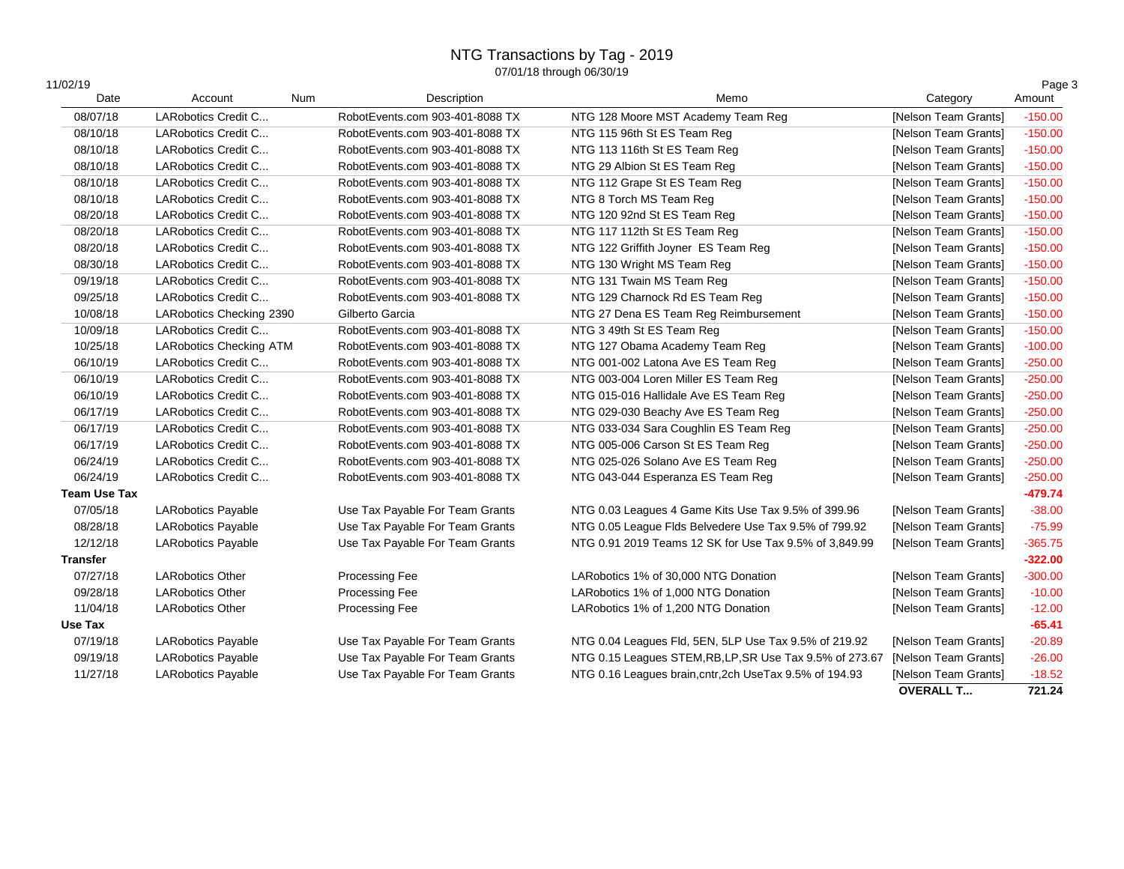# NTG Transactions by Tag - 2019

| 11/02/19<br>Date    | Account                        | Num | Description                     | Memo                                                     | Category             | Page 3<br>Amount |
|---------------------|--------------------------------|-----|---------------------------------|----------------------------------------------------------|----------------------|------------------|
| 08/07/18            | LARobotics Credit C            |     | RobotEvents.com 903-401-8088 TX | NTG 128 Moore MST Academy Team Reg                       | [Nelson Team Grants] | $-150.00$        |
| 08/10/18            | LARobotics Credit C            |     | RobotEvents.com 903-401-8088 TX | NTG 115 96th St ES Team Reg                              | [Nelson Team Grants] | $-150.00$        |
| 08/10/18            | LARobotics Credit C            |     | RobotEvents.com 903-401-8088 TX | NTG 113 116th St ES Team Reg                             | [Nelson Team Grants] | $-150.00$        |
| 08/10/18            | LARobotics Credit C            |     | RobotEvents.com 903-401-8088 TX | NTG 29 Albion St ES Team Reg                             | [Nelson Team Grants] | $-150.00$        |
| 08/10/18            | LARobotics Credit C            |     | RobotEvents.com 903-401-8088 TX | NTG 112 Grape St ES Team Reg                             | [Nelson Team Grants] | $-150.00$        |
| 08/10/18            | LARobotics Credit C            |     | RobotEvents.com 903-401-8088 TX | NTG 8 Torch MS Team Reg                                  | [Nelson Team Grants] | $-150.00$        |
| 08/20/18            | LARobotics Credit C            |     | RobotEvents.com 903-401-8088 TX | NTG 120 92nd St ES Team Reg                              | [Nelson Team Grants] | $-150.00$        |
| 08/20/18            | LARobotics Credit C            |     | RobotEvents.com 903-401-8088 TX | NTG 117 112th St ES Team Reg                             | [Nelson Team Grants] | $-150.00$        |
| 08/20/18            | LARobotics Credit C            |     | RobotEvents.com 903-401-8088 TX | NTG 122 Griffith Joyner ES Team Reg                      | [Nelson Team Grants] | $-150.00$        |
| 08/30/18            | LARobotics Credit C            |     | RobotEvents.com 903-401-8088 TX | NTG 130 Wright MS Team Reg                               | [Nelson Team Grants] | $-150.00$        |
| 09/19/18            | LARobotics Credit C            |     | RobotEvents.com 903-401-8088 TX | NTG 131 Twain MS Team Reg                                | [Nelson Team Grants] | $-150.00$        |
| 09/25/18            | LARobotics Credit C            |     | RobotEvents.com 903-401-8088 TX | NTG 129 Charnock Rd ES Team Reg                          | [Nelson Team Grants] | $-150.00$        |
| 10/08/18            | LARobotics Checking 2390       |     | Gilberto Garcia                 | NTG 27 Dena ES Team Reg Reimbursement                    | [Nelson Team Grants] | $-150.00$        |
| 10/09/18            | LARobotics Credit C            |     | RobotEvents.com 903-401-8088 TX | NTG 3 49th St ES Team Reg                                | [Nelson Team Grants] | $-150.00$        |
| 10/25/18            | <b>LARobotics Checking ATM</b> |     | RobotEvents.com 903-401-8088 TX | NTG 127 Obama Academy Team Reg                           | [Nelson Team Grants] | $-100.00$        |
| 06/10/19            | LARobotics Credit C            |     | RobotEvents.com 903-401-8088 TX | NTG 001-002 Latona Ave ES Team Reg                       | [Nelson Team Grants] | $-250.00$        |
| 06/10/19            | LARobotics Credit C            |     | RobotEvents.com 903-401-8088 TX | NTG 003-004 Loren Miller ES Team Reg                     | [Nelson Team Grants] | $-250.00$        |
| 06/10/19            | LARobotics Credit C            |     | RobotEvents.com 903-401-8088 TX | NTG 015-016 Hallidale Ave ES Team Reg                    | [Nelson Team Grants] | $-250.00$        |
| 06/17/19            | LARobotics Credit C            |     | RobotEvents.com 903-401-8088 TX | NTG 029-030 Beachy Ave ES Team Reg                       | [Nelson Team Grants] | $-250.00$        |
| 06/17/19            | LARobotics Credit C            |     | RobotEvents.com 903-401-8088 TX | NTG 033-034 Sara Coughlin ES Team Reg                    | [Nelson Team Grants] | $-250.00$        |
| 06/17/19            | LARobotics Credit C            |     | RobotEvents.com 903-401-8088 TX | NTG 005-006 Carson St ES Team Reg                        | [Nelson Team Grants] | $-250.00$        |
| 06/24/19            | LARobotics Credit C            |     | RobotEvents.com 903-401-8088 TX | NTG 025-026 Solano Ave ES Team Reg                       | [Nelson Team Grants] | $-250.00$        |
| 06/24/19            | LARobotics Credit C            |     | RobotEvents.com 903-401-8088 TX | NTG 043-044 Esperanza ES Team Reg                        | [Nelson Team Grants] | $-250.00$        |
| <b>Team Use Tax</b> |                                |     |                                 |                                                          |                      | $-479.74$        |
| 07/05/18            | <b>LARobotics Payable</b>      |     | Use Tax Payable For Team Grants | NTG 0.03 Leagues 4 Game Kits Use Tax 9.5% of 399.96      | [Nelson Team Grants] | $-38.00$         |
| 08/28/18            | <b>LARobotics Payable</b>      |     | Use Tax Payable For Team Grants | NTG 0.05 League Flds Belvedere Use Tax 9.5% of 799.92    | [Nelson Team Grants] | $-75.99$         |
| 12/12/18            | <b>LARobotics Payable</b>      |     | Use Tax Payable For Team Grants | NTG 0.91 2019 Teams 12 SK for Use Tax 9.5% of 3,849.99   | [Nelson Team Grants] | $-365.75$        |
| <b>Transfer</b>     |                                |     |                                 |                                                          |                      | $-322.00$        |
| 07/27/18            | <b>LARobotics Other</b>        |     | Processing Fee                  | LARobotics 1% of 30,000 NTG Donation                     | [Nelson Team Grants] | $-300.00$        |
| 09/28/18            | <b>LARobotics Other</b>        |     | <b>Processing Fee</b>           | LARobotics 1% of 1,000 NTG Donation                      | [Nelson Team Grants] | $-10.00$         |
| 11/04/18            | <b>LARobotics Other</b>        |     | Processing Fee                  | LARobotics 1% of 1,200 NTG Donation                      | [Nelson Team Grants] | $-12.00$         |
| Use Tax             |                                |     |                                 |                                                          |                      | $-65.41$         |
| 07/19/18            | <b>LARobotics Payable</b>      |     | Use Tax Payable For Team Grants | NTG 0.04 Leagues Fld, 5EN, 5LP Use Tax 9.5% of 219.92    | [Nelson Team Grants] | $-20.89$         |
| 09/19/18            | <b>LARobotics Payable</b>      |     | Use Tax Payable For Team Grants | NTG 0.15 Leagues STEM, RB, LP, SR Use Tax 9.5% of 273.67 | [Nelson Team Grants] | $-26.00$         |
| 11/27/18            | <b>LARobotics Payable</b>      |     | Use Tax Payable For Team Grants | NTG 0.16 Leagues brain, cntr, 2ch UseTax 9.5% of 194.93  | [Nelson Team Grants] | $-18.52$         |
|                     |                                |     |                                 |                                                          | <b>OVERALL T</b>     | 721.24           |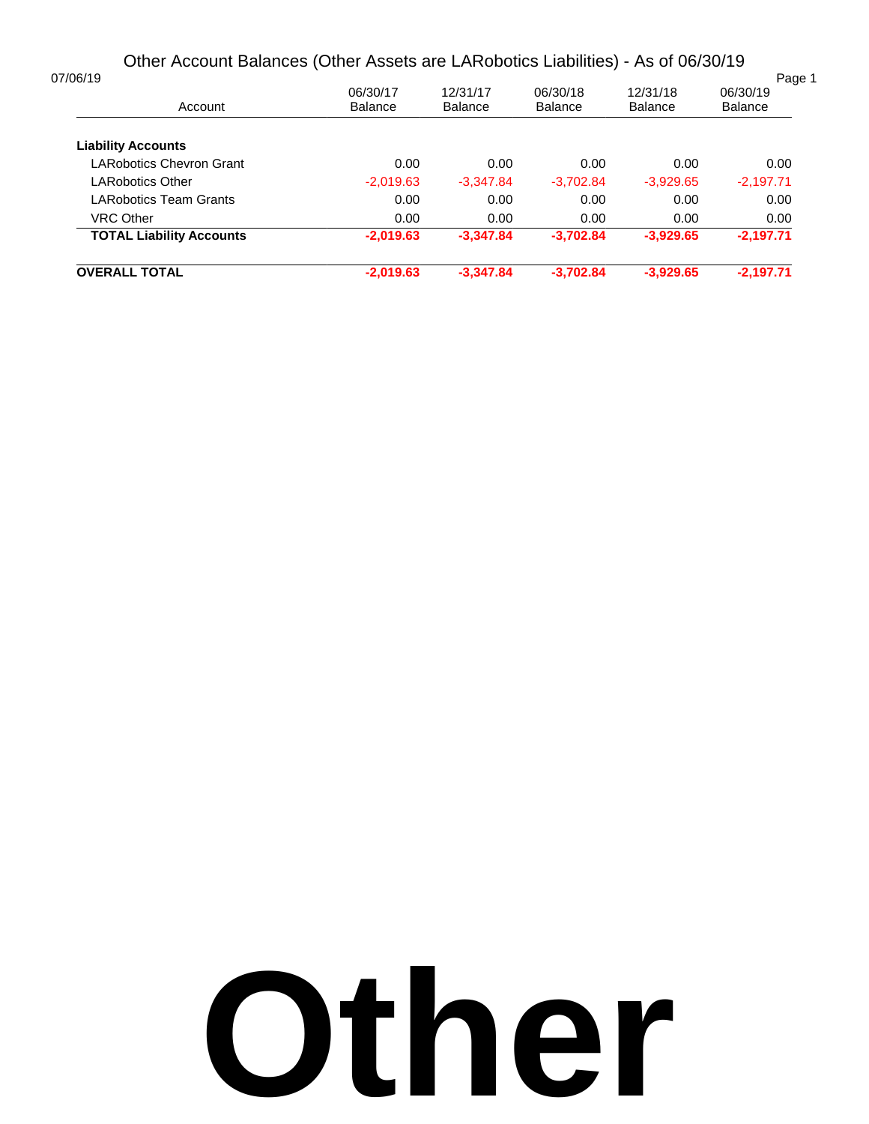# Other Account Balances (Other Assets are LARobotics Liabilities) - As of 06/30/19

| <b>OVERALL TOTAL</b>            | $-2,019.63$    | $-3,347.84$    | $-3.702.84$    | $-3,929.65$    | $-2,197.71$        |
|---------------------------------|----------------|----------------|----------------|----------------|--------------------|
| <b>TOTAL Liability Accounts</b> | $-2,019.63$    | $-3,347.84$    | $-3,702.84$    | $-3,929.65$    | $-2,197.71$        |
| <b>VRC Other</b>                | 0.00           | 0.00           | 0.00           | 0.00           | 0.00               |
| LARobotics Team Grants          | 0.00           | 0.00           | 0.00           | 0.00           | 0.00               |
| LARobotics Other                | $-2,019.63$    | $-3,347.84$    | $-3,702.84$    | $-3,929.65$    | $-2,197.71$        |
| LARobotics Chevron Grant        | 0.00           | 0.00           | 0.00           | 0.00           | 0.00               |
| <b>Liability Accounts</b>       |                |                |                |                |                    |
| Account                         | <b>Balance</b> | <b>Balance</b> | <b>Balance</b> | <b>Balance</b> | <b>Balance</b>     |
| 07/06/19                        | 06/30/17       | 12/31/17       | 06/30/18       | 12/31/18       | Page 1<br>06/30/19 |

# **Other**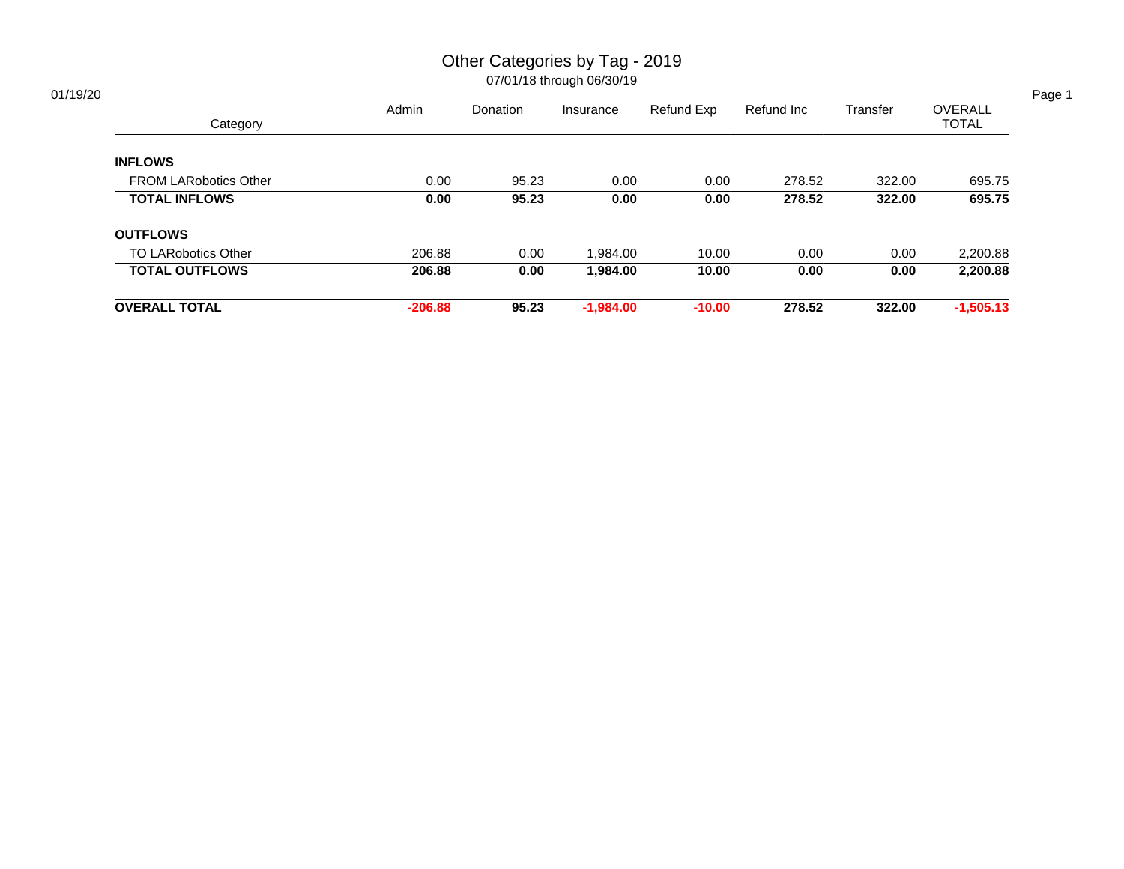# Other Categories by Tag - 2019

|                              | Admin     | Donation | Insurance   | Refund Exp | Refund Inc | Transfer | OVERALL      |
|------------------------------|-----------|----------|-------------|------------|------------|----------|--------------|
| Category                     |           |          |             |            |            |          | <b>TOTAL</b> |
| <b>INFLOWS</b>               |           |          |             |            |            |          |              |
| <b>FROM LARobotics Other</b> | 0.00      | 95.23    | 0.00        | 0.00       | 278.52     | 322.00   | 695.75       |
| <b>TOTAL INFLOWS</b>         | 0.00      | 95.23    | 0.00        | 0.00       | 278.52     | 322.00   | 695.75       |
| <b>OUTFLOWS</b>              |           |          |             |            |            |          |              |
| <b>TO LARobotics Other</b>   | 206.88    | 0.00     | 1,984.00    | 10.00      | 0.00       | 0.00     | 2,200.88     |
| <b>TOTAL OUTFLOWS</b>        | 206.88    | 0.00     | 1,984.00    | 10.00      | 0.00       | 0.00     | 2,200.88     |
| <b>OVERALL TOTAL</b>         | $-206.88$ | 95.23    | $-1,984.00$ | $-10.00$   | 278.52     | 322.00   | $-1,505.13$  |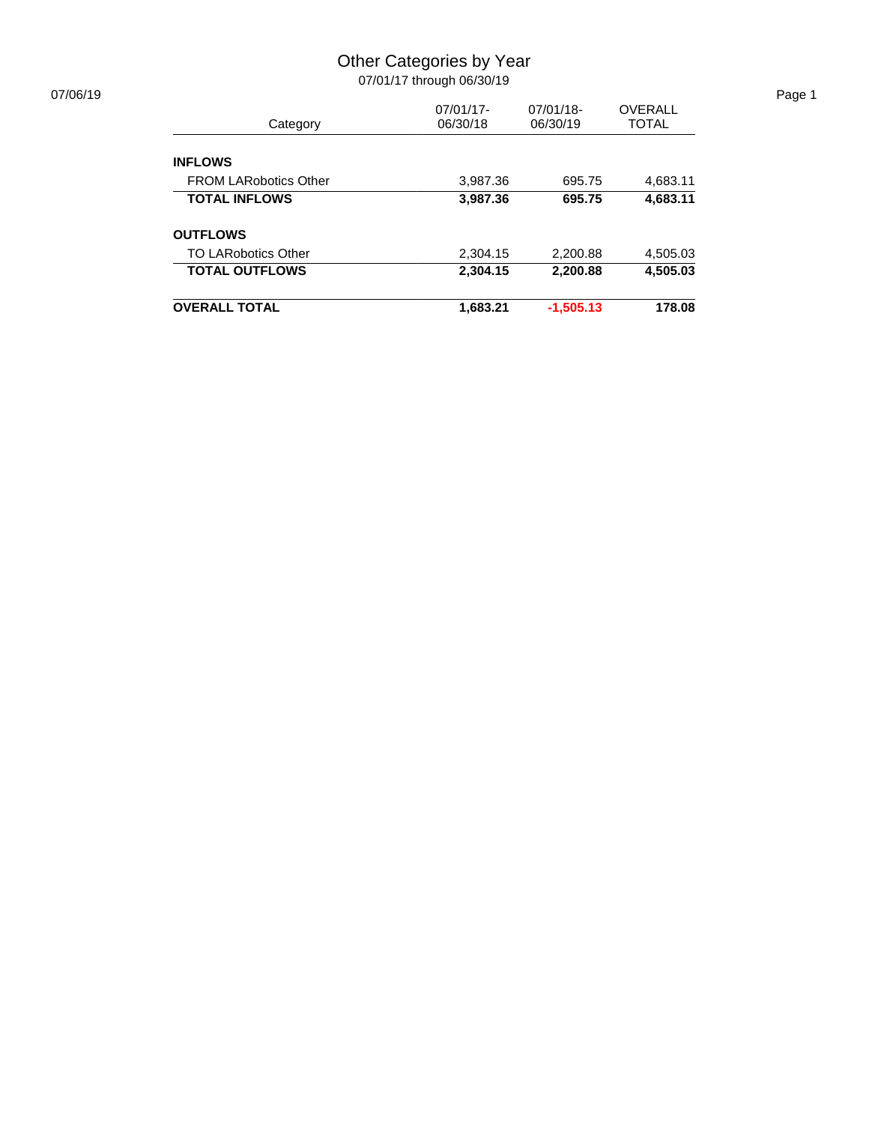## Other Categories by Year

| 07/06/19 |                              |           |              |              | Page 1 |
|----------|------------------------------|-----------|--------------|--------------|--------|
|          |                              | 07/01/17- | $07/01/18$ - | OVERALL      |        |
|          | Category                     | 06/30/18  | 06/30/19     | <b>TOTAL</b> |        |
|          | <b>INFLOWS</b>               |           |              |              |        |
|          | <b>FROM LARobotics Other</b> | 3.987.36  | 695.75       | 4,683.11     |        |
|          | <b>TOTAL INFLOWS</b>         | 3,987.36  | 695.75       | 4,683.11     |        |
|          | <b>OUTFLOWS</b>              |           |              |              |        |
|          | <b>TO LARobotics Other</b>   | 2,304.15  | 2,200.88     | 4,505.03     |        |
|          | <b>TOTAL OUTFLOWS</b>        | 2,304.15  | 2,200.88     | 4,505.03     |        |
|          | <b>OVERALL TOTAL</b>         | 1,683.21  | $-1,505.13$  | 178.08       |        |
|          |                              |           |              |              |        |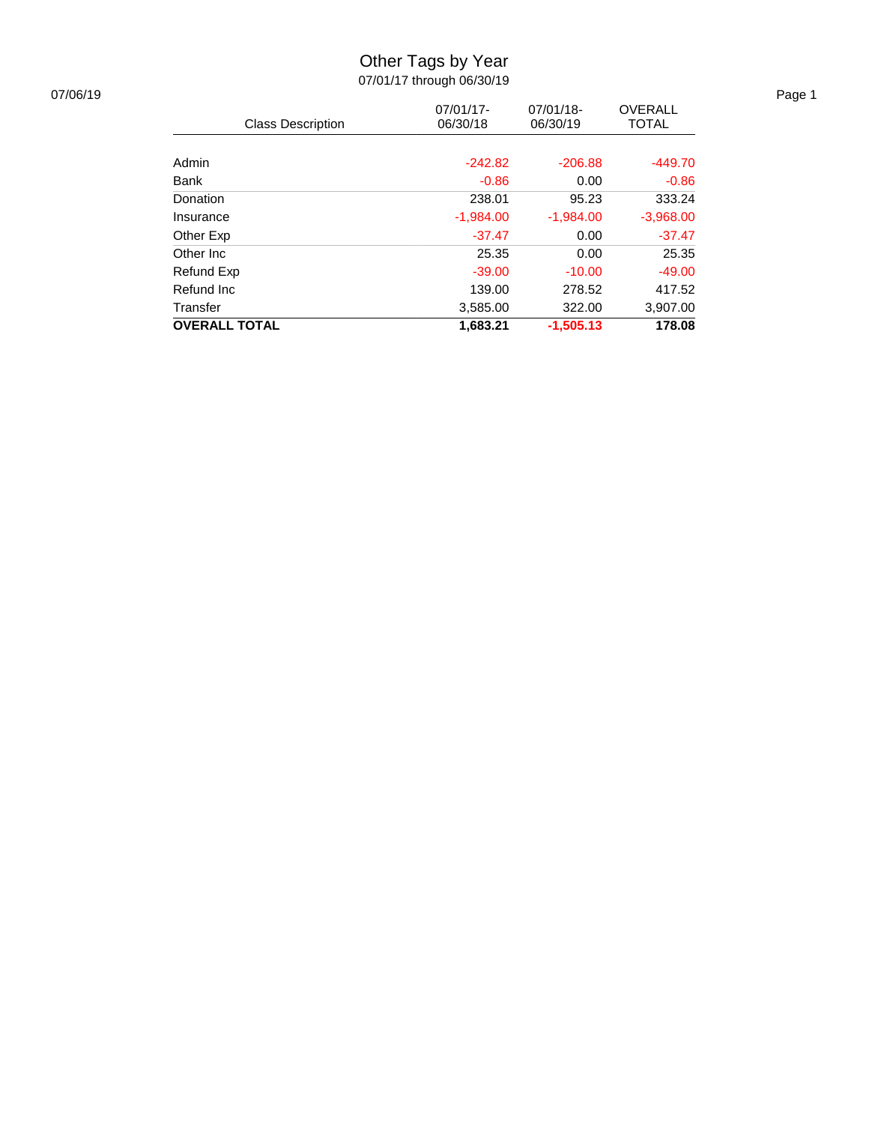# Other Tags by Year

| 07/06/19 |                          |             |             |                | Page 1 |
|----------|--------------------------|-------------|-------------|----------------|--------|
|          |                          | 07/01/17-   | 07/01/18-   | <b>OVERALL</b> |        |
|          | <b>Class Description</b> | 06/30/18    | 06/30/19    | <b>TOTAL</b>   |        |
|          |                          |             |             |                |        |
|          | Admin                    | $-242.82$   | $-206.88$   | $-449.70$      |        |
|          | <b>Bank</b>              | $-0.86$     | 0.00        | $-0.86$        |        |
|          | Donation                 | 238.01      | 95.23       | 333.24         |        |
|          | Insurance                | $-1,984.00$ | $-1,984.00$ | $-3,968.00$    |        |
|          | Other Exp                | $-37.47$    | 0.00        | $-37.47$       |        |
|          | Other Inc                | 25.35       | 0.00        | 25.35          |        |
|          | Refund Exp               | $-39.00$    | $-10.00$    | $-49.00$       |        |
|          | Refund Inc               | 139.00      | 278.52      | 417.52         |        |
|          | Transfer                 | 3,585.00    | 322.00      | 3,907.00       |        |
|          | <b>OVERALL TOTAL</b>     | 1,683.21    | $-1,505.13$ | 178.08         |        |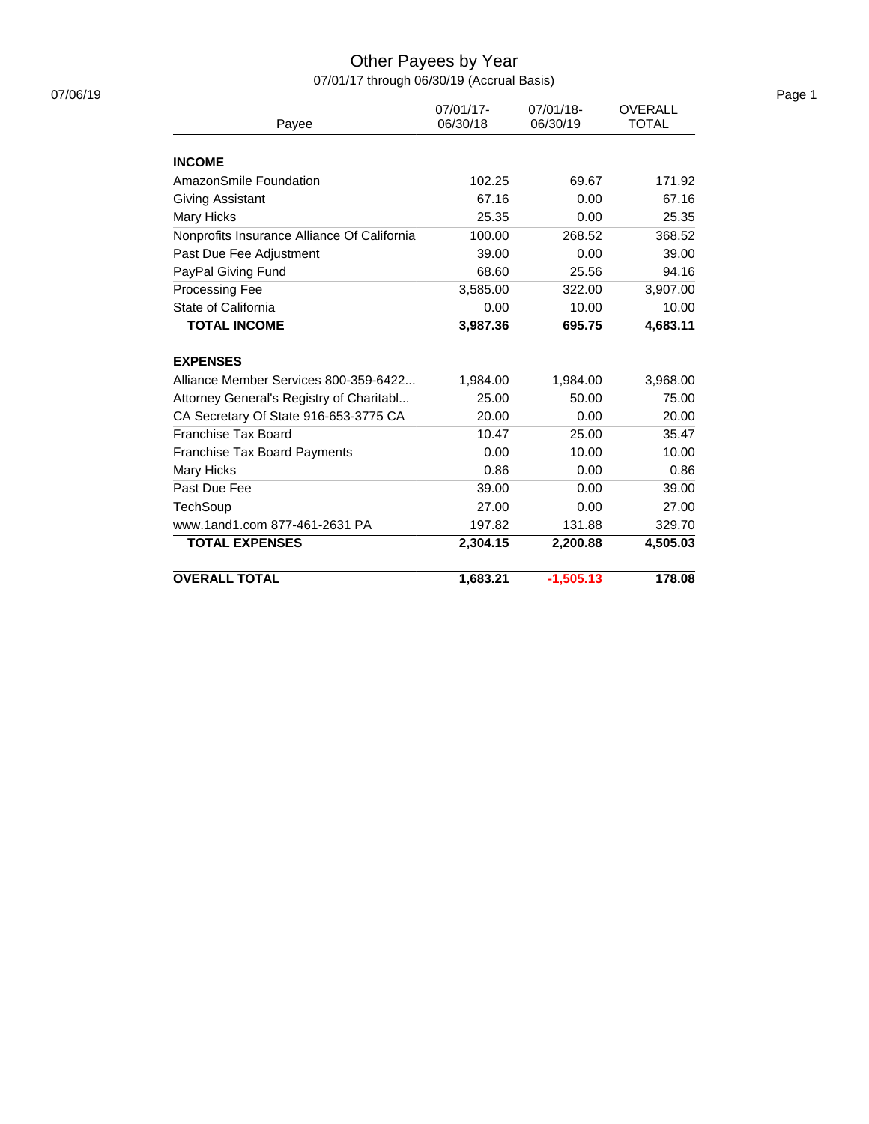# Other Payees by Year

07/01/17 through 06/30/19 (Accrual Basis)

| Payee                                       | 07/01/17-<br>06/30/18 | 07/01/18-<br>06/30/19 | <b>OVERALL</b><br><b>TOTAL</b> |
|---------------------------------------------|-----------------------|-----------------------|--------------------------------|
|                                             |                       |                       |                                |
| <b>INCOME</b>                               |                       |                       |                                |
| AmazonSmile Foundation                      | 102.25                | 69.67                 | 171.92                         |
| Giving Assistant                            | 67.16                 | 0.00                  | 67.16                          |
| Mary Hicks                                  | 25.35                 | 0.00                  | 25.35                          |
| Nonprofits Insurance Alliance Of California | 100.00                | 268.52                | 368.52                         |
| Past Due Fee Adjustment                     | 39.00                 | 0.00                  | 39.00                          |
| PayPal Giving Fund                          | 68.60                 | 25.56                 | 94.16                          |
| <b>Processing Fee</b>                       | 3,585.00              | 322.00                | 3,907.00                       |
| State of California                         | 0.00                  | 10.00                 | 10.00                          |
| <b>TOTAL INCOME</b>                         | 3,987.36              | 695.75                | 4,683.11                       |
| <b>EXPENSES</b>                             |                       |                       |                                |
| Alliance Member Services 800-359-6422       | 1,984.00              | 1,984.00              | 3,968.00                       |
| Attorney General's Registry of Charitabl    | 25.00                 | 50.00                 | 75.00                          |
| CA Secretary Of State 916-653-3775 CA       | 20.00                 | 0.00                  | 20.00                          |
| Franchise Tax Board                         | 10.47                 | 25.00                 | 35.47                          |
| <b>Franchise Tax Board Payments</b>         | 0.00                  | 10.00                 | 10.00                          |
| Mary Hicks                                  | 0.86                  | 0.00                  | 0.86                           |
| Past Due Fee                                | 39.00                 | 0.00                  | 39.00                          |
| <b>TechSoup</b>                             | 27.00                 | 0.00                  | 27.00                          |
| www.1and1.com 877-461-2631 PA               | 197.82                | 131.88                | 329.70                         |
| <b>TOTAL EXPENSES</b>                       | 2,304.15              | 2,200.88              | 4,505.03                       |
| <b>OVERALL TOTAL</b>                        | 1.683.21              | $-1.505.13$           | 178.08                         |

07/06/19 Page 1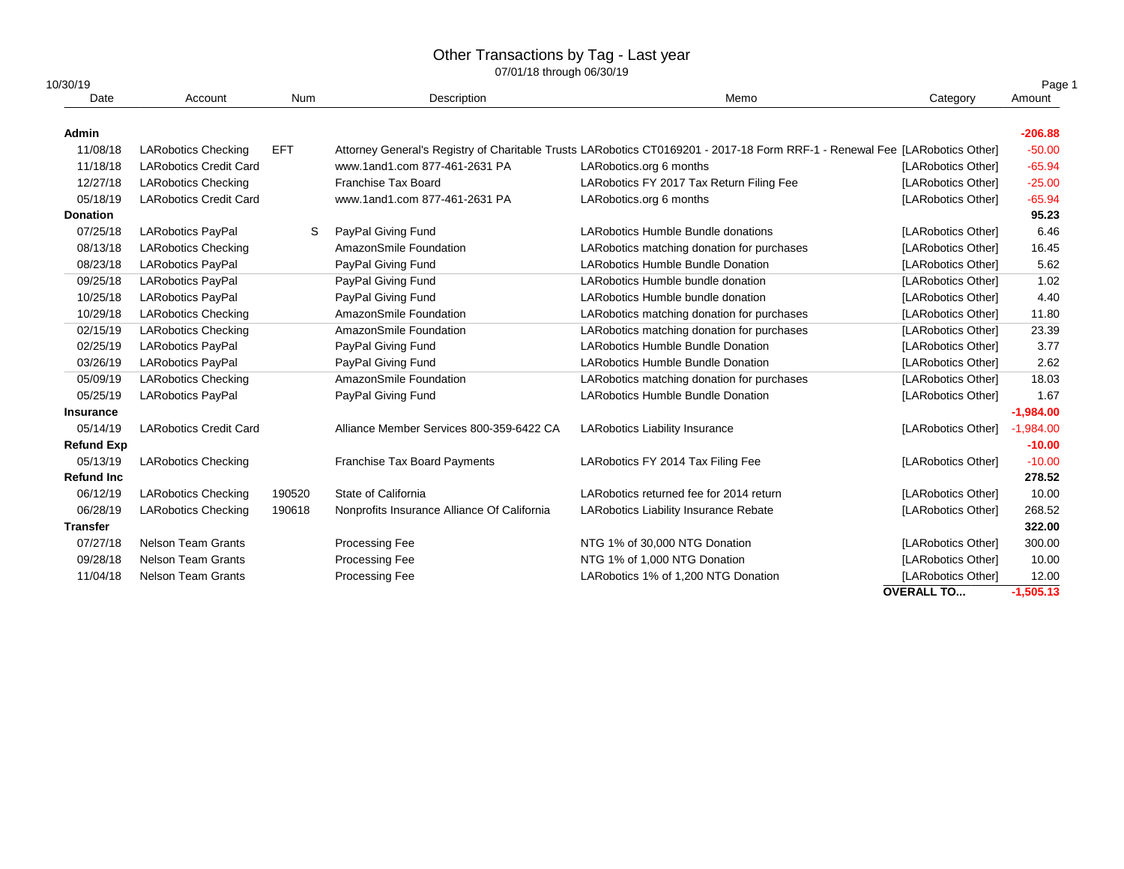# Other Transactions by Tag - Last year

| 10/30/19          |                               |            |                                             |                                                                                                                             | Page 1             |             |
|-------------------|-------------------------------|------------|---------------------------------------------|-----------------------------------------------------------------------------------------------------------------------------|--------------------|-------------|
| Date              | Account<br>Num                |            | Description                                 | Memo                                                                                                                        | Category           | Amount      |
| Admin             |                               |            |                                             |                                                                                                                             |                    | $-206.88$   |
| 11/08/18          | <b>LARobotics Checking</b>    | <b>EFT</b> |                                             | Attorney General's Registry of Charitable Trusts LARobotics CT0169201 - 2017-18 Form RRF-1 - Renewal Fee [LARobotics Other] |                    | $-50.00$    |
| 11/18/18          | <b>LARobotics Credit Card</b> |            | www.1and1.com 877-461-2631 PA               | LARobotics.org 6 months                                                                                                     | [LARobotics Other] | $-65.94$    |
| 12/27/18          | <b>LARobotics Checking</b>    |            | <b>Franchise Tax Board</b>                  | LARobotics FY 2017 Tax Return Filing Fee                                                                                    | [LARobotics Other] | $-25.00$    |
| 05/18/19          | <b>LARobotics Credit Card</b> |            | www.1and1.com 877-461-2631 PA               | LARobotics.org 6 months                                                                                                     | [LARobotics Other] | $-65.94$    |
| <b>Donation</b>   |                               |            |                                             |                                                                                                                             |                    | 95.23       |
| 07/25/18          | <b>LARobotics PayPal</b>      | S          | PayPal Giving Fund                          | LARobotics Humble Bundle donations                                                                                          | [LARobotics Other] | 6.46        |
| 08/13/18          | <b>LARobotics Checking</b>    |            | AmazonSmile Foundation                      | LARobotics matching donation for purchases                                                                                  | [LARobotics Other] | 16.45       |
| 08/23/18          | <b>LARobotics PayPal</b>      |            | PayPal Giving Fund                          | <b>LARobotics Humble Bundle Donation</b>                                                                                    | [LARobotics Other] | 5.62        |
| 09/25/18          | <b>LARobotics PayPal</b>      |            | PayPal Giving Fund                          | LARobotics Humble bundle donation                                                                                           | [LARobotics Other] | 1.02        |
| 10/25/18          | <b>LARobotics PayPal</b>      |            | PayPal Giving Fund                          | LARobotics Humble bundle donation                                                                                           | [LARobotics Other] | 4.40        |
| 10/29/18          | <b>LARobotics Checking</b>    |            | AmazonSmile Foundation                      | LARobotics matching donation for purchases                                                                                  | [LARobotics Other] | 11.80       |
| 02/15/19          | <b>LARobotics Checking</b>    |            | AmazonSmile Foundation                      | LARobotics matching donation for purchases                                                                                  | [LARobotics Other] | 23.39       |
| 02/25/19          | <b>LARobotics PayPal</b>      |            | PayPal Giving Fund                          | LARobotics Humble Bundle Donation                                                                                           | [LARobotics Other] | 3.77        |
| 03/26/19          | <b>LARobotics PayPal</b>      |            | PayPal Giving Fund                          | <b>LARobotics Humble Bundle Donation</b>                                                                                    | [LARobotics Other] | 2.62        |
| 05/09/19          | <b>LARobotics Checking</b>    |            | AmazonSmile Foundation                      | LARobotics matching donation for purchases                                                                                  | [LARobotics Other] | 18.03       |
| 05/25/19          | <b>LARobotics PayPal</b>      |            | PayPal Giving Fund                          | <b>LARobotics Humble Bundle Donation</b>                                                                                    | [LARobotics Other] | 1.67        |
| Insurance         |                               |            |                                             |                                                                                                                             |                    | $-1,984.00$ |
| 05/14/19          | <b>LARobotics Credit Card</b> |            | Alliance Member Services 800-359-6422 CA    | <b>LARobotics Liability Insurance</b>                                                                                       | [LARobotics Other] | $-1,984.00$ |
| <b>Refund Exp</b> |                               |            |                                             |                                                                                                                             |                    | $-10.00$    |
| 05/13/19          | <b>LARobotics Checking</b>    |            | Franchise Tax Board Payments                | LARobotics FY 2014 Tax Filing Fee                                                                                           | [LARobotics Other] | $-10.00$    |
| <b>Refund Inc</b> |                               |            |                                             |                                                                                                                             |                    | 278.52      |
| 06/12/19          | <b>LARobotics Checking</b>    | 190520     | State of California                         | LARobotics returned fee for 2014 return                                                                                     | [LARobotics Other] | 10.00       |
| 06/28/19          | <b>LARobotics Checking</b>    | 190618     | Nonprofits Insurance Alliance Of California | <b>LARobotics Liability Insurance Rebate</b>                                                                                | [LARobotics Other] | 268.52      |
| <b>Transfer</b>   |                               |            |                                             |                                                                                                                             |                    | 322.00      |
| 07/27/18          | <b>Nelson Team Grants</b>     |            | Processing Fee                              | NTG 1% of 30,000 NTG Donation                                                                                               | [LARobotics Other] | 300.00      |
| 09/28/18          | <b>Nelson Team Grants</b>     |            | Processing Fee                              | NTG 1% of 1,000 NTG Donation                                                                                                | [LARobotics Other] | 10.00       |
| 11/04/18          | <b>Nelson Team Grants</b>     |            | Processing Fee                              | LARobotics 1% of 1,200 NTG Donation                                                                                         | [LARobotics Other] | 12.00       |
|                   |                               |            |                                             |                                                                                                                             | <b>OVERALL TO</b>  | $-1,505.13$ |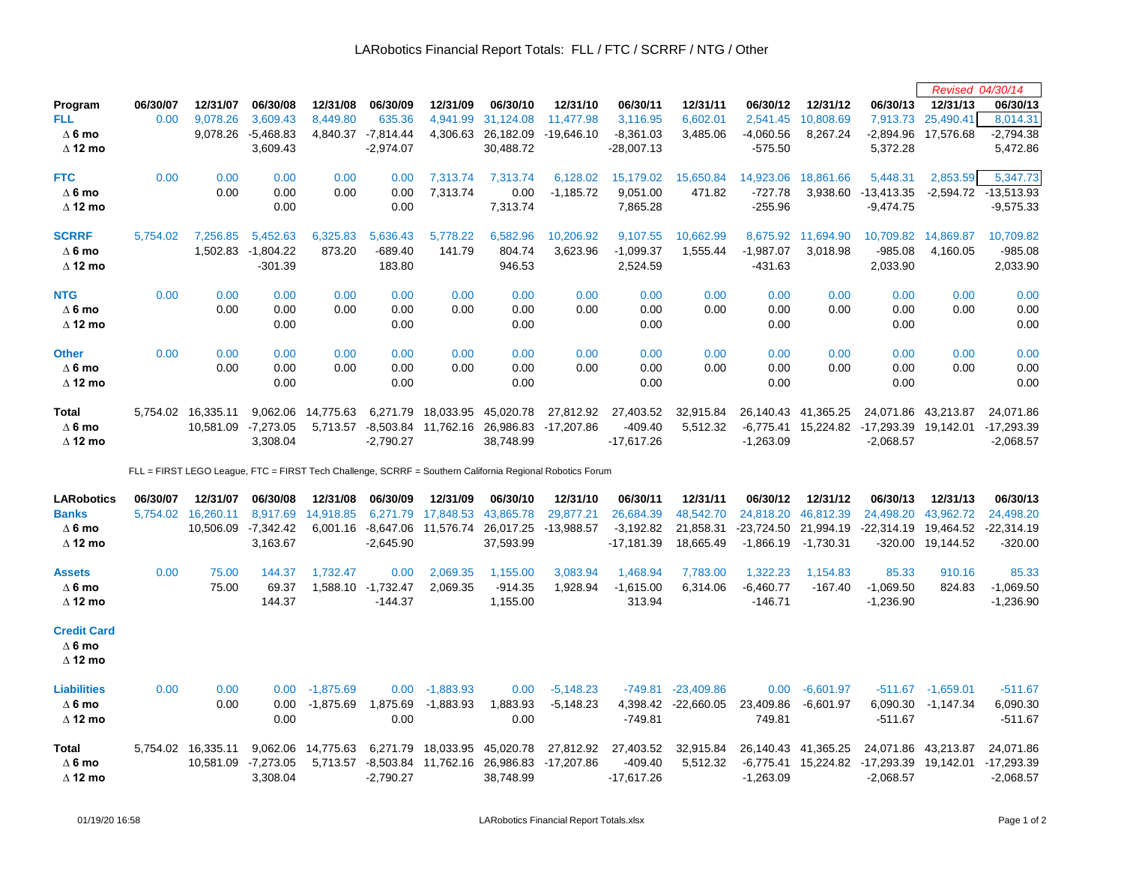|                    |          |                     |                    |                    |                    |                    |                                                   |                                                                                                          |              |              |              |             |                      | Revised 04/30/14    |              |
|--------------------|----------|---------------------|--------------------|--------------------|--------------------|--------------------|---------------------------------------------------|----------------------------------------------------------------------------------------------------------|--------------|--------------|--------------|-------------|----------------------|---------------------|--------------|
| Program            | 06/30/07 | 12/31/07            | 06/30/08           | 12/31/08           | 06/30/09           | 12/31/09           | 06/30/10                                          | 12/31/10                                                                                                 | 06/30/11     | 12/31/11     | 06/30/12     | 12/31/12    | 06/30/13             | 12/31/13            | 06/30/13     |
| <b>FLL</b>         | 0.00     | 9,078.26            | 3,609.43           | 8,449.80           | 635.36             | 4,941.99           | 31,124.08                                         | 11,477.98                                                                                                | 3,116.95     | 6,602.01     | 2,541.45     | 10,808.69   | 7,913.73             | 25,490.41           | 8,014.31     |
| $\Delta$ 6 mo      |          | 9,078.26            | $-5,468.83$        | 4,840.37           | $-7,814.44$        | 4,306.63           | 26,182.09                                         | $-19,646.10$                                                                                             | $-8,361.03$  | 3,485.06     | $-4,060.56$  | 8,267.24    | -2,894.96            | 17,576.68           | $-2,794.38$  |
| $\Delta$ 12 mo     |          |                     | 3,609.43           |                    | $-2,974.07$        |                    | 30,488.72                                         |                                                                                                          | -28,007.13   |              | $-575.50$    |             | 5,372.28             |                     | 5,472.86     |
| <b>FTC</b>         | 0.00     | 0.00                | 0.00               | 0.00               | 0.00               | 7,313.74           | 7,313.74                                          | 6,128.02                                                                                                 | 15,179.02    | 15,650.84    | 14,923.06    | 18,861.66   | 5,448.31             | 2,853.59            | 5,347.73     |
| $\Delta$ 6 mo      |          | 0.00                | 0.00               | 0.00               | 0.00               | 7,313.74           | 0.00                                              | $-1,185.72$                                                                                              | 9,051.00     | 471.82       | $-727.78$    |             | 3,938.60 -13,413.35  | $-2,594.72$         | $-13,513.93$ |
| $\Delta$ 12 mo     |          |                     | 0.00               |                    | 0.00               |                    | 7,313.74                                          |                                                                                                          | 7,865.28     |              | $-255.96$    |             | $-9,474.75$          |                     | $-9,575.33$  |
| <b>SCRRF</b>       | 5,754.02 | 7,256.85            | 5,452.63           | 6,325.83           | 5,636.43           | 5,778.22           | 6,582.96                                          | 10,206.92                                                                                                | 9,107.55     | 10,662.99    | 8,675.92     | 11,694.90   | 10,709.82            | 14,869.87           | 10,709.82    |
| $\Delta$ 6 mo      |          |                     | 1,502.83 -1,804.22 | 873.20             | $-689.40$          | 141.79             | 804.74                                            | 3,623.96                                                                                                 | $-1,099.37$  | 1,555.44     | $-1,987.07$  | 3,018.98    | $-985.08$            | 4,160.05            | $-985.08$    |
| $\Delta$ 12 mo     |          |                     | $-301.39$          |                    | 183.80             |                    | 946.53                                            |                                                                                                          | 2,524.59     |              | $-431.63$    |             | 2,033.90             |                     | 2,033.90     |
| <b>NTG</b>         | 0.00     | 0.00                | 0.00               | 0.00               | 0.00               | 0.00               | 0.00                                              | 0.00                                                                                                     | 0.00         | 0.00         | 0.00         | 0.00        | 0.00                 | 0.00                | 0.00         |
| $\Delta$ 6 mo      |          | 0.00                | 0.00               | 0.00               | 0.00               | 0.00               | 0.00                                              | 0.00                                                                                                     | 0.00         | 0.00         | 0.00         | 0.00        | 0.00                 | 0.00                | 0.00         |
| $\Delta$ 12 mo     |          |                     | 0.00               |                    | 0.00               |                    | 0.00                                              |                                                                                                          | 0.00         |              | 0.00         |             | 0.00                 |                     | 0.00         |
| <b>Other</b>       | 0.00     | 0.00                | 0.00               | 0.00               | 0.00               | 0.00               | 0.00                                              | 0.00                                                                                                     | 0.00         | 0.00         | 0.00         | 0.00        | 0.00                 | 0.00                | 0.00         |
| $\Delta$ 6 mo      |          | 0.00                | 0.00               | 0.00               | 0.00               | 0.00               | 0.00                                              | 0.00                                                                                                     | 0.00         | 0.00         | 0.00         | 0.00        | 0.00                 | 0.00                | 0.00         |
| $\Delta$ 12 mo     |          |                     | 0.00               |                    | 0.00               |                    | 0.00                                              |                                                                                                          | 0.00         |              | 0.00         |             | 0.00                 |                     | 0.00         |
| Total              |          | 5,754.02 16,335.11  |                    | 9,062.06 14,775.63 |                    |                    | 6,271.79 18,033.95 45,020.78                      | 27,812.92                                                                                                | 27,403.52    | 32,915.84    | 26,140.43    | 41,365.25   | 24,071.86            | 43,213.87           | 24,071.86    |
| $\Delta$ 6 mo      |          | 10,581.09 -7,273.05 |                    |                    |                    |                    | 5,713.57 -8,503.84 11,762.16 26,986.83 -17,207.86 |                                                                                                          | $-409.40$    | 5,512.32     | -6,775.41    |             | 15,224.82 -17,293.39 | 19,142.01           | $-17,293.39$ |
| $\Delta$ 12 mo     |          |                     | 3,308.04           |                    | $-2,790.27$        |                    | 38,748.99                                         |                                                                                                          | $-17,617.26$ |              | $-1,263.09$  |             | $-2,068.57$          |                     | $-2,068.57$  |
|                    |          |                     |                    |                    |                    |                    |                                                   | FLL = FIRST LEGO League, FTC = FIRST Tech Challenge, SCRRF = Southern California Regional Robotics Forum |              |              |              |             |                      |                     |              |
| <b>LARobotics</b>  | 06/30/07 | 12/31/07            | 06/30/08           | 12/31/08           | 06/30/09           | 12/31/09           | 06/30/10                                          | 12/31/10                                                                                                 | 06/30/11     | 12/31/11     | 06/30/12     | 12/31/12    | 06/30/13             | 12/31/13            | 06/30/13     |
| <b>Banks</b>       |          | 5,754.02 16,260.11  | 8,917.69           | 14,918.85          | 6,271.79           | 17,848.53          | 43,865.78                                         | 29,877.21                                                                                                | 26,684.39    | 48,542.70    | 24,818.20    | 46,812.39   | 24,498.20            | 43,962.72           | 24,498.20    |
| $\Delta$ 6 mo      |          | 10,506.09           | -7,342.42          | 6,001.16           | $-8,647.06$        | 11,576.74          | 26,017.25                                         | $-13,988.57$                                                                                             | $-3,192.82$  | 21,858.31    | $-23,724.50$ | 21,994.19   | $-22,314.19$         | 19,464.52           | $-22,314.19$ |
| $\Delta$ 12 mo     |          |                     | 3,163.67           |                    | $-2,645.90$        |                    | 37,593.99                                         |                                                                                                          | $-17,181.39$ | 18,665.49    | $-1,866.19$  | -1,730.31   |                      | -320.00 19,144.52   | $-320.00$    |
| Assets             | 0.00     | 75.00               | 144.37             | 1,732.47           | 0.00               | 2,069.35           | 1,155.00                                          | 3,083.94                                                                                                 | 1,468.94     | 7,783.00     | 1,322.23     | 1,154.83    | 85.33                | 910.16              | 85.33        |
| $\Delta$ 6 mo      |          | 75.00               | 69.37              |                    | 1,588.10 -1,732.47 | 2,069.35           | $-914.35$                                         | 1,928.94                                                                                                 | $-1,615.00$  | 6,314.06     | $-6,460.77$  | $-167.40$   | $-1,069.50$          | 824.83              | $-1,069.50$  |
| $\Delta$ 12 mo     |          |                     | 144.37             |                    | $-144.37$          |                    | 1,155.00                                          |                                                                                                          | 313.94       |              | $-146.71$    |             | $-1,236.90$          |                     | $-1,236.90$  |
| <b>Credit Card</b> |          |                     |                    |                    |                    |                    |                                                   |                                                                                                          |              |              |              |             |                      |                     |              |
| $\Delta$ 6 mo      |          |                     |                    |                    |                    |                    |                                                   |                                                                                                          |              |              |              |             |                      |                     |              |
| $\Delta$ 12 mo     |          |                     |                    |                    |                    |                    |                                                   |                                                                                                          |              |              |              |             |                      |                     |              |
| <b>Liabilities</b> | 0.00     | 0.00                | 0.00               | $-1,875.69$        | 0.00               | $-1,883.93$        | 0.00                                              | $-5,148.23$                                                                                              | $-749.81$    | $-23,409.86$ | 0.00         | $-6,601.97$ | $-511.67$            | $-1,659.01$         | $-511.67$    |
| $\Delta$ 6 mo      |          | 0.00                | 0.00               | -1,875.69          | 1,875.69           | $-1,883.93$        | 1,883.93                                          | $-5,148.23$                                                                                              | 4,398.42     | $-22,660.05$ | 23,409.86    | $-6,601.97$ | 6,090.30             | -1,147.34           | 6,090.30     |
| $\Delta$ 12 mo     |          |                     | 0.00               |                    | 0.00               |                    | 0.00                                              |                                                                                                          | $-749.81$    |              | 749.81       |             | $-511.67$            |                     | $-511.67$    |
| Total              |          | 5,754.02 16,335.11  |                    | 9,062.06 14,775.63 |                    | 6,271.79 18,033.95 | 45,020.78                                         | 27,812.92                                                                                                | 27,403.52    | 32,915.84    | 26,140.43    | 41,365.25   |                      | 24,071.86 43,213.87 | 24,071.86    |
| $\Delta$ 6 mo      |          | 10.581.09           | -7,273.05          | 5,713.57           |                    |                    | -8,503.84 11,762.16 26,986.83                     | -17,207.86                                                                                               | $-409.40$    | 5,512.32     | -6,775.41    |             | 15,224.82 -17,293.39 | 19,142.01           | $-17,293.39$ |
| $\Delta$ 12 mo     |          |                     | 3,308.04           |                    | $-2,790.27$        |                    | 38,748.99                                         |                                                                                                          | $-17,617.26$ |              | $-1,263.09$  |             | $-2,068.57$          |                     | $-2,068.57$  |